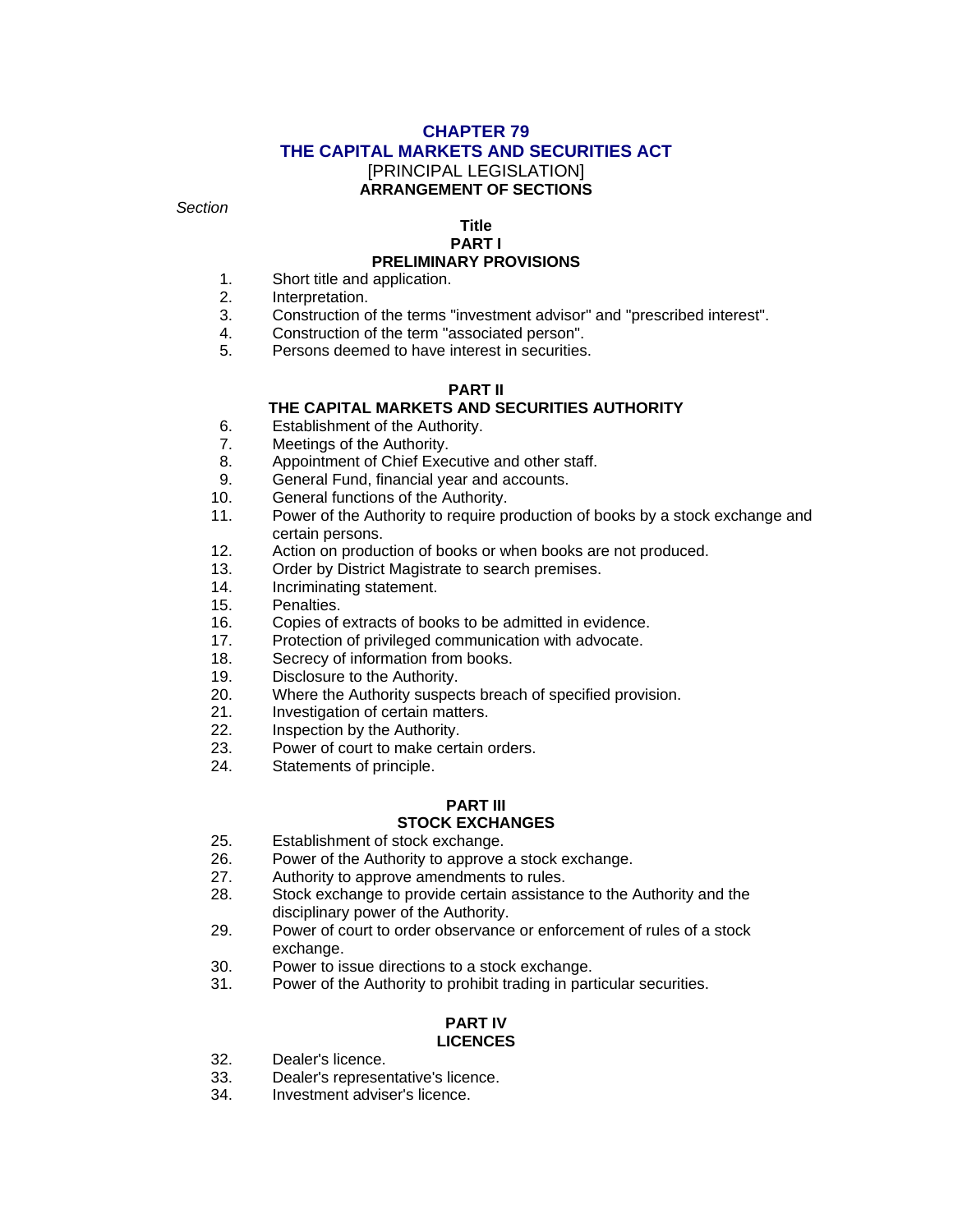### **CHAPTER 79 THE CAPITAL MARKETS AND SECURITIES ACT**  [PRINCIPAL LEGISLATION] **ARRANGEMENT OF SECTIONS**

*Section* 

# **Title**

### **PART I**

#### **PRELIMINARY PROVISIONS**

- 1. Short title and application.
- 2. Interpretation.
- 3. Construction of the terms "investment advisor" and "prescribed interest".
- 4. Construction of the term "associated person".
- 5. Persons deemed to have interest in securities.

#### **PART II**

#### **THE CAPITAL MARKETS AND SECURITIES AUTHORITY**

- 6. Establishment of the Authority.
- 7. Meetings of the Authority.
- 8. Appointment of Chief Executive and other staff.
- 9. General Fund, financial year and accounts.
- 10. General functions of the Authority.
- 11. Power of the Authority to require production of books by a stock exchange and certain persons.
- 12. Action on production of books or when books are not produced.
- 13. Order by District Magistrate to search premises.
- 14. Incriminating statement.
- 15. Penalties.
- 16. Copies of extracts of books to be admitted in evidence.
- 17. Protection of privileged communication with advocate.
- 18. Secrecy of information from books.
- 19. Disclosure to the Authority.
- 20. Where the Authority suspects breach of specified provision.
- 21. Investigation of certain matters.<br>22. Inspection by the Authority.
- Inspection by the Authority.
- 23. Power of court to make certain orders.
- 24. Statements of principle.

# **PART III**

# **STOCK EXCHANGES**

- 25. Establishment of stock exchange.
- 26. Power of the Authority to approve a stock exchange.
- 27. Authority to approve amendments to rules.
- 28. Stock exchange to provide certain assistance to the Authority and the disciplinary power of the Authority.
- 29. Power of court to order observance or enforcement of rules of a stock exchange.
- 30. Power to issue directions to a stock exchange.<br>31. Power of the Authority to prohibit trading in part
- Power of the Authority to prohibit trading in particular securities.

#### **PART IV LICENCES**

- 32. Dealer's licence.<br>33. Dealer's represer
- 33. Dealer's representative's licence.<br>34. Investment adviser's licence.
- Investment adviser's licence.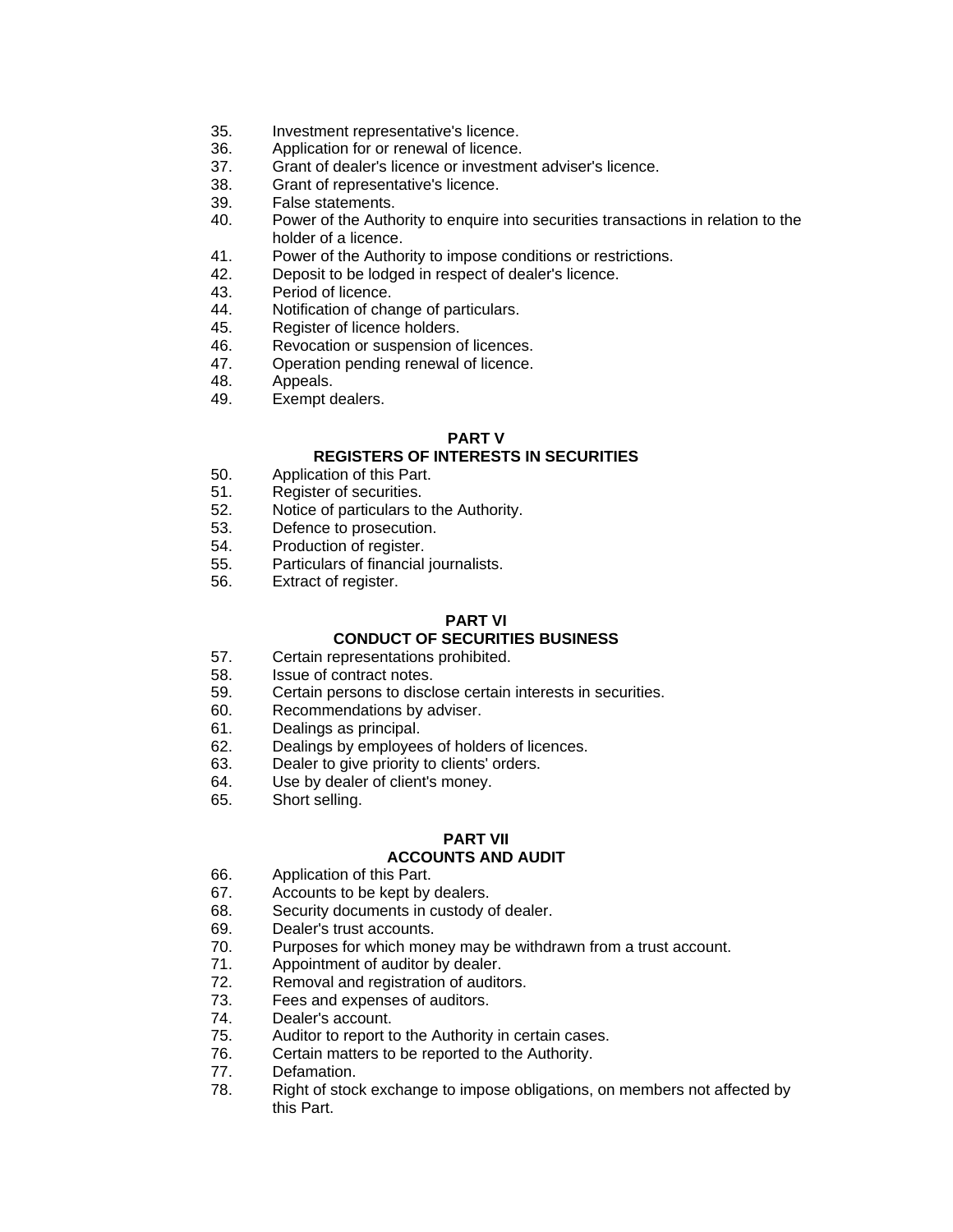- 35. Investment representative's licence.
- 36. Application for or renewal of licence.
- 37. Grant of dealer's licence or investment adviser's licence.
- 38. Grant of representative's licence.
- 39. False statements.
- 40. Power of the Authority to enquire into securities transactions in relation to the holder of a licence.
- 41. Power of the Authority to impose conditions or restrictions.
- 42. Deposit to be lodged in respect of dealer's licence.
- 43. Period of licence.
- 44. Notification of change of particulars.
- 45. Register of licence holders.
- 46. Revocation or suspension of licences.
- 47. Operation pending renewal of licence.
- 48. Appeals.
- 49. Exempt dealers.

#### **PART V**

### **REGISTERS OF INTERESTS IN SECURITIES**

- 50. Application of this Part.
- 51. Register of securities.
- 52. Notice of particulars to the Authority.
- 53. Defence to prosecution.
- 54. Production of register.
- 55. Particulars of financial journalists.
- 56. Extract of register.

# **PART VI**

# **CONDUCT OF SECURITIES BUSINESS**

- 57. Certain representations prohibited.
- 58. Issue of contract notes.
- 59. Certain persons to disclose certain interests in securities.
- 60. Recommendations by adviser.
- 61. Dealings as principal.<br>62. Dealings by employee
- Dealings by employees of holders of licences.
- 63. Dealer to give priority to clients' orders.
- 64. Use by dealer of client's money.
- 65. Short selling.

#### **PART VII ACCOUNTS AND AUDIT**

- 66. Application of this Part.
- 67. Accounts to be kept by dealers.
- 68. Security documents in custody of dealer.
- 69. Dealer's trust accounts.
- 70. Purposes for which money may be withdrawn from a trust account.
- 71. Appointment of auditor by dealer.
- 72. Removal and registration of auditors.
- 73. Fees and expenses of auditors.
- 74. Dealer's account.
- 75. Auditor to report to the Authority in certain cases.
- 76. Certain matters to be reported to the Authority.
- 77. Defamation.
- 78. Right of stock exchange to impose obligations, on members not affected by this Part.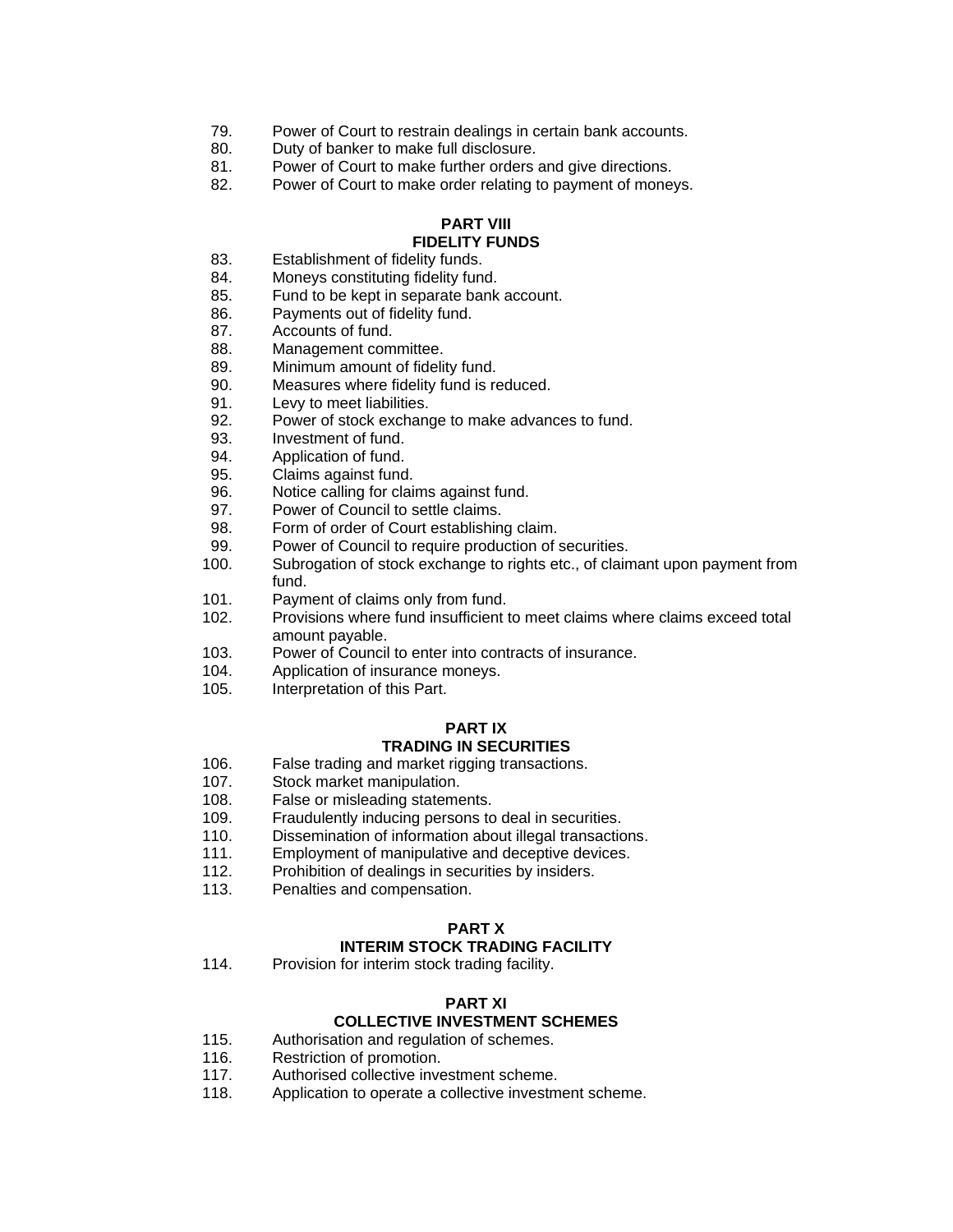- 79. Power of Court to restrain dealings in certain bank accounts.
- 80. Duty of banker to make full disclosure.
- 81. Power of Court to make further orders and give directions.
- 82. Power of Court to make order relating to payment of moneys.

#### **PART VIII FIDELITY FUNDS**

- 83. Establishment of fidelity funds.
- 84. Moneys constituting fidelity fund.
- 85. Fund to be kept in separate bank account.
- 86. Payments out of fidelity fund.
- 87. Accounts of fund.
- 88. Management committee.
- 89. Minimum amount of fidelity fund.
- 90. Measures where fidelity fund is reduced.
- 91. Levy to meet liabilities.
- 92. Power of stock exchange to make advances to fund.
- 93. Investment of fund.
- 94. Application of fund.
- 95. Claims against fund.
- 96. Notice calling for claims against fund.
- 97. Power of Council to settle claims.
- 98. Form of order of Court establishing claim.
- 99. Power of Council to require production of securities.
- 100. Subrogation of stock exchange to rights etc., of claimant upon payment from fund.
- 101. Payment of claims only from fund.
- 102. Provisions where fund insufficient to meet claims where claims exceed total amount payable.
- 103. Power of Council to enter into contracts of insurance.
- 104. Application of insurance moneys.<br>105. Interpretation of this Part.
- Interpretation of this Part.

#### **PART IX TRADING IN SECURITIES**

- 106. False trading and market rigging transactions.
- 107. Stock market manipulation.
- 108. False or misleading statements.
- 109. Fraudulently inducing persons to deal in securities.
- 110. Dissemination of information about illegal transactions.
- 111. Employment of manipulative and deceptive devices.
- 112. Prohibition of dealings in securities by insiders.
- 113. Penalties and compensation.

#### **PART X**

#### **INTERIM STOCK TRADING FACILITY**

114. Provision for interim stock trading facility.

#### **PART XI**

#### **COLLECTIVE INVESTMENT SCHEMES**

- 115. Authorisation and regulation of schemes.
- 116. Restriction of promotion.
- 117. Authorised collective investment scheme.
- 118. Application to operate a collective investment scheme.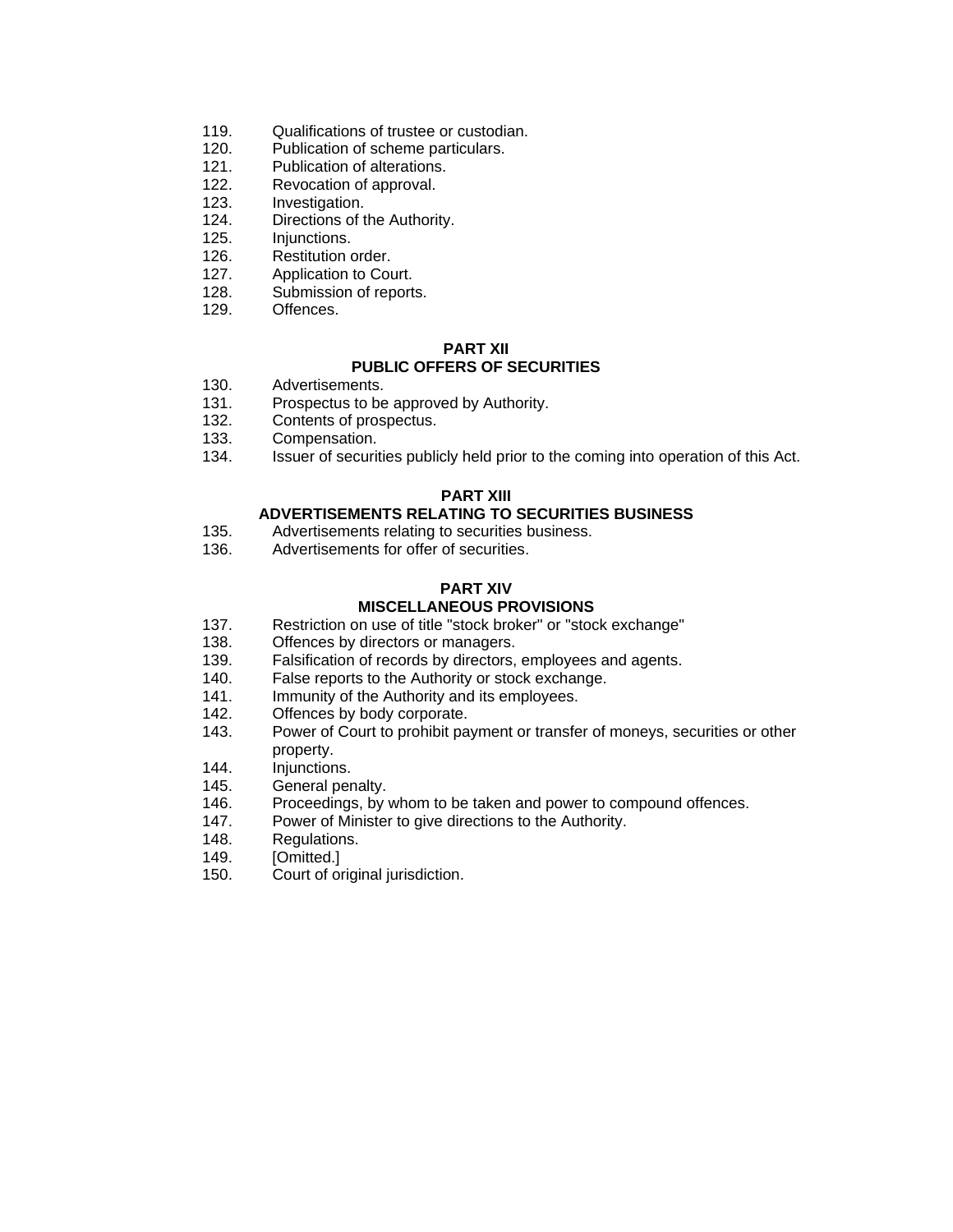- 119. Qualifications of trustee or custodian.
- 120. Publication of scheme particulars.
- 121. Publication of alterations.
- 122. Revocation of approval.
- 123. Investigation.
- 124. Directions of the Authority.
- 125. Injunctions.
- 126. Restitution order.
- 127. Application to Court.
- 128. Submission of reports.
- 129. Offences.

#### **PART XII PUBLIC OFFERS OF SECURITIES**

- 130. Advertisements.
- 131. Prospectus to be approved by Authority.
- 132. Contents of prospectus.
- 133. Compensation.
- 134. Issuer of securities publicly held prior to the coming into operation of this Act.

#### **PART XIII**

#### **ADVERTISEMENTS RELATING TO SECURITIES BUSINESS**

- 135. Advertisements relating to securities business.
- 136. Advertisements for offer of securities.

#### **PART XIV**

#### **MISCELLANEOUS PROVISIONS**

- 137. Restriction on use of title "stock broker" or "stock exchange"
- 138. Offences by directors or managers.
- 139. Falsification of records by directors, employees and agents.
- 140. False reports to the Authority or stock exchange.
- 141. Immunity of the Authority and its employees.
- 142. Offences by body corporate.
- 143. Power of Court to prohibit payment or transfer of moneys, securities or other property.
- 144. Injunctions.
- 145. General penalty.
- 146. Proceedings, by whom to be taken and power to compound offences.
- 147. Power of Minister to give directions to the Authority.<br>148. Regulations.
- Regulations.
- 149. [Omitted.]
- 150. Court of original jurisdiction.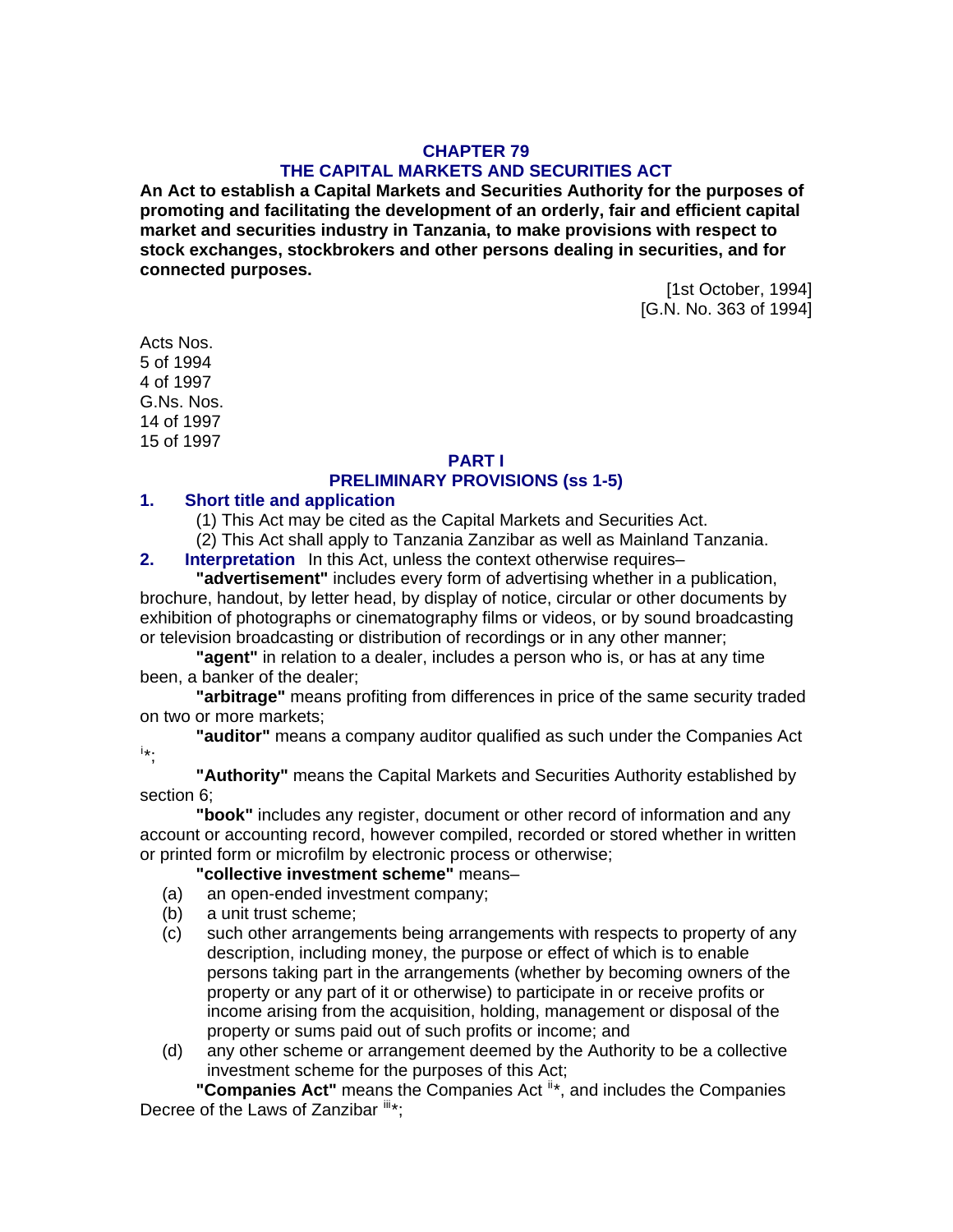### **CHAPTER 79 THE CAPITAL MARKETS AND SECURITIES ACT**

**An Act to establish a Capital Markets and Securities Authority for the purposes of promoting and facilitating the development of an orderly, fair and efficient capital market and securities industry in Tanzania, to make provisions with respect to stock exchanges, stockbrokers and other persons dealing in securities, and for connected purposes.** 

> [1st October, 1994] [G.N. No. 363 of 1994]

Acts Nos. 5 of 1994 4 of 1997 G.Ns. Nos. 14 of 1997 15 of 1997

# **PART I**

# **PRELIMINARY PROVISIONS (ss 1-5)**

#### **1. Short title and application**

(1) This Act may be cited as the Capital Markets and Securities Act.

(2) This Act shall apply to Tanzania Zanzibar as well as Mainland Tanzania.

**2. Interpretation** In this Act, unless the context otherwise requires–

**"advertisement"** includes every form of advertising whether in a publication, brochure, handout, by letter head, by display of notice, circular or other documents by exhibition of photographs or cinematography films or videos, or by sound broadcasting or television broadcasting or distribution of recordings or in any other manner;

**"agent"** in relation to a dealer, includes a person who is, or has at any time been, a banker of the dealer;

**"arbitrage"** means profiting from differences in price of the same security traded on two or more markets;

**"auditor"** means a company auditor qualified as such under the Companies Act [i](#page-64-0) \*;

**"Authority"** means the Capital Markets and Securities Authority established by section 6;

**"book"** includes any register, document or other record of information and any account or accounting record, however compiled, recorded or stored whether in written or printed form or microfilm by electronic process or otherwise;

**"collective investment scheme"** means–

- (a) an open-ended investment company;
- (b) a unit trust scheme;
- (c) such other arrangements being arrangements with respects to property of any description, including money, the purpose or effect of which is to enable persons taking part in the arrangements (whether by becoming owners of the property or any part of it or otherwise) to participate in or receive profits or income arising from the acquisition, holding, management or disposal of the property or sums paid out of such profits or income; and
- (d) any other scheme or arrangement deemed by the Authority to be a collective investment scheme for the purposes of this Act;

**"Companies Act"** means the Companies Act  $\mathbb{I}^*$ , and includes the Companies Decree of the Laws of Zanzibar  $\mathbb{I}^*$ ;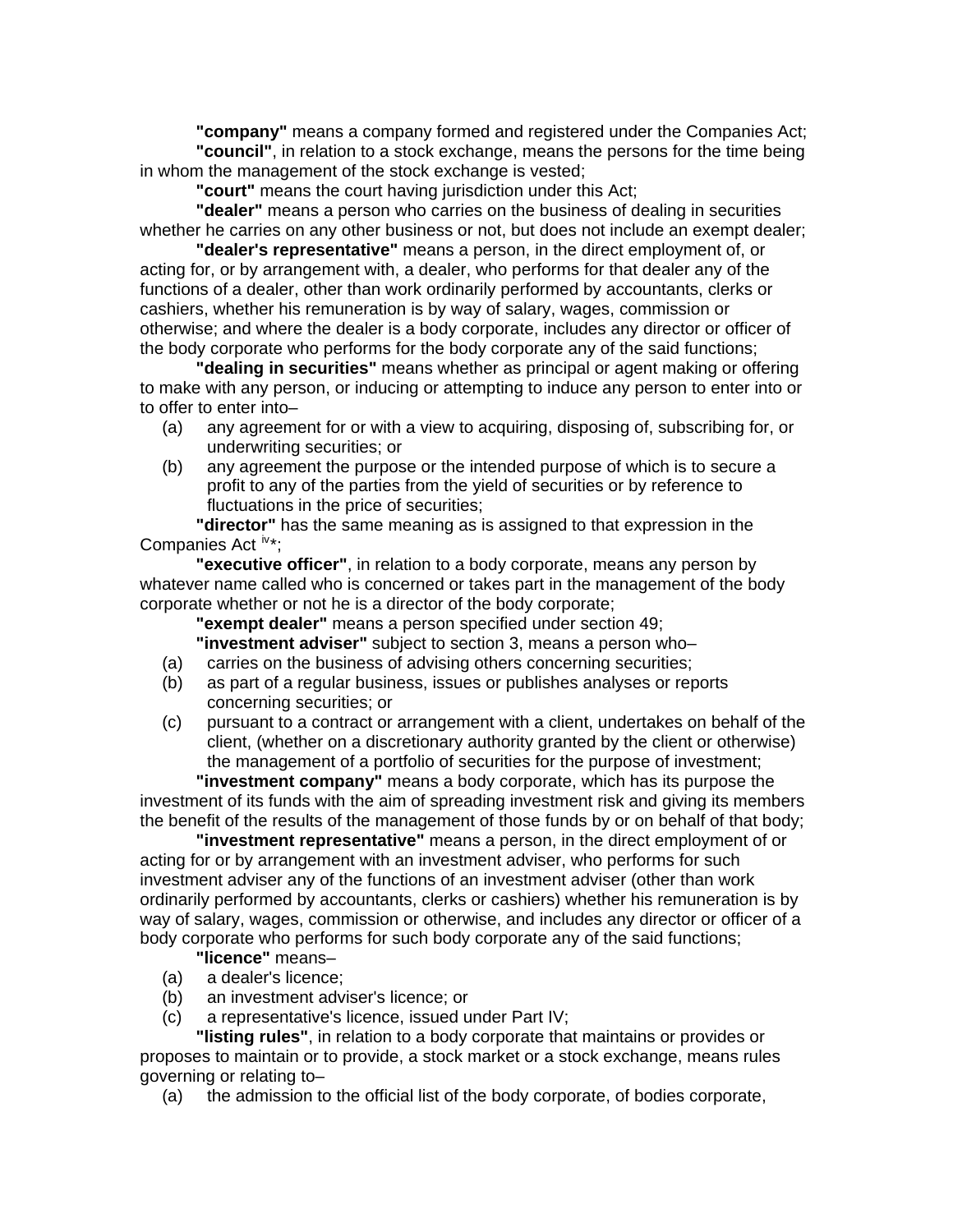**"company"** means a company formed and registered under the Companies Act; **"council"**, in relation to a stock exchange, means the persons for the time being in whom the management of the stock exchange is vested;

**"court"** means the court having jurisdiction under this Act;

**"dealer"** means a person who carries on the business of dealing in securities whether he carries on any other business or not, but does not include an exempt dealer;

**"dealer's representative"** means a person, in the direct employment of, or acting for, or by arrangement with, a dealer, who performs for that dealer any of the functions of a dealer, other than work ordinarily performed by accountants, clerks or cashiers, whether his remuneration is by way of salary, wages, commission or otherwise; and where the dealer is a body corporate, includes any director or officer of the body corporate who performs for the body corporate any of the said functions;

**"dealing in securities"** means whether as principal or agent making or offering to make with any person, or inducing or attempting to induce any person to enter into or to offer to enter into–

- (a) any agreement for or with a view to acquiring, disposing of, subscribing for, or underwriting securities; or
- (b) any agreement the purpose or the intended purpose of which is to secure a profit to any of the parties from the yield of securities or by reference to fluctuations in the price of securities;

**"director"** has the same meaning as is assigned to that expression in the Companies Act  $iv^*$  $iv^*$ :

**"executive officer"**, in relation to a body corporate, means any person by whatever name called who is concerned or takes part in the management of the body corporate whether or not he is a director of the body corporate;

**"exempt dealer"** means a person specified under section 49;

**"investment adviser"** subject to section 3, means a person who–

- (a) carries on the business of advising others concerning securities;
- (b) as part of a regular business, issues or publishes analyses or reports concerning securities; or
- (c) pursuant to a contract or arrangement with a client, undertakes on behalf of the client, (whether on a discretionary authority granted by the client or otherwise) the management of a portfolio of securities for the purpose of investment;

**"investment company"** means a body corporate, which has its purpose the investment of its funds with the aim of spreading investment risk and giving its members the benefit of the results of the management of those funds by or on behalf of that body;

**"investment representative"** means a person, in the direct employment of or acting for or by arrangement with an investment adviser, who performs for such investment adviser any of the functions of an investment adviser (other than work ordinarily performed by accountants, clerks or cashiers) whether his remuneration is by way of salary, wages, commission or otherwise, and includes any director or officer of a body corporate who performs for such body corporate any of the said functions;

**"licence"** means–

- (a) a dealer's licence;
- (b) an investment adviser's licence; or
- (c) a representative's licence, issued under Part IV;

**"listing rules"**, in relation to a body corporate that maintains or provides or proposes to maintain or to provide, a stock market or a stock exchange, means rules governing or relating to–

(a) the admission to the official list of the body corporate, of bodies corporate,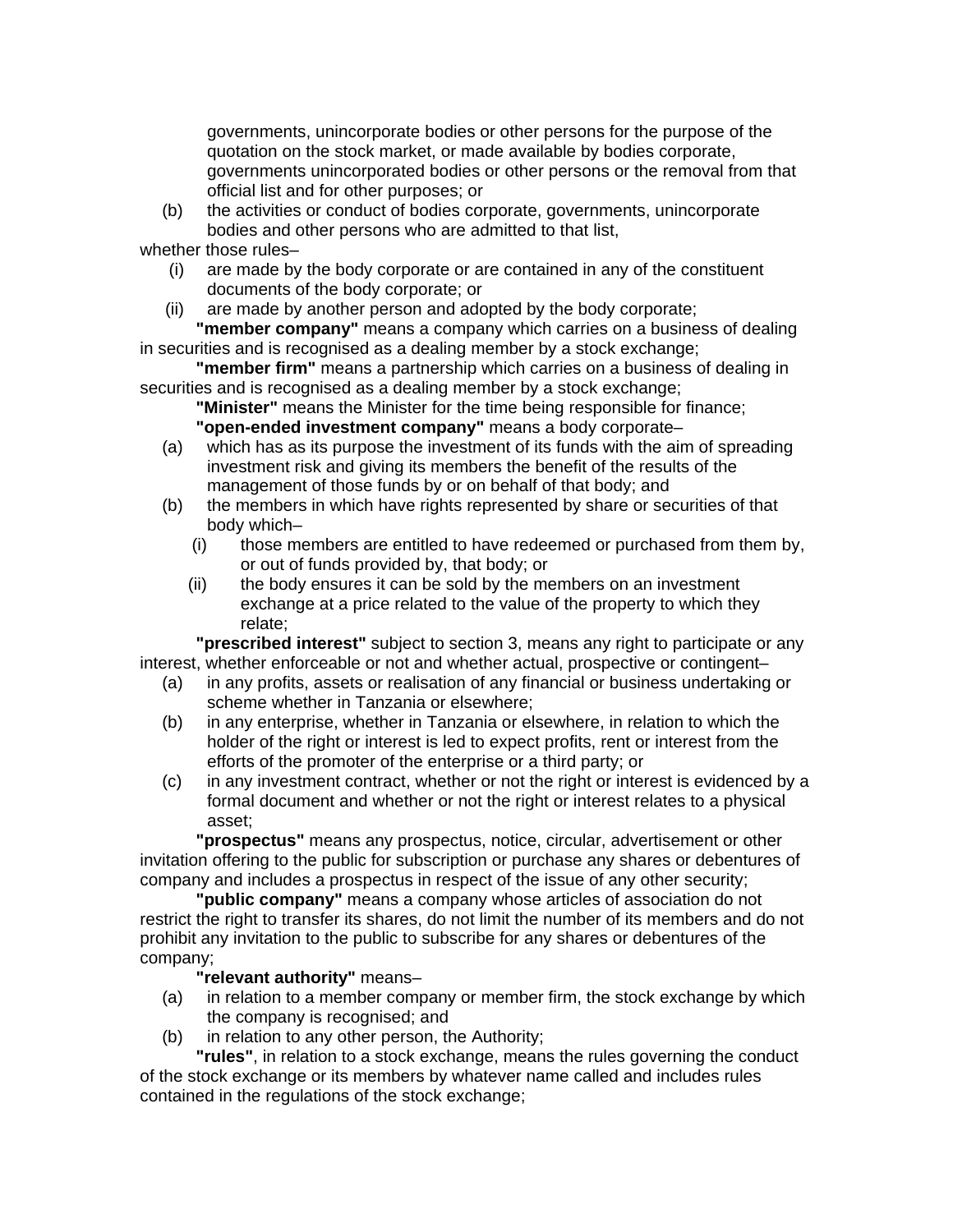governments, unincorporate bodies or other persons for the purpose of the quotation on the stock market, or made available by bodies corporate, governments unincorporated bodies or other persons or the removal from that official list and for other purposes; or

(b) the activities or conduct of bodies corporate, governments, unincorporate bodies and other persons who are admitted to that list,

whether those rules–

(i) are made by the body corporate or are contained in any of the constituent documents of the body corporate; or

(ii) are made by another person and adopted by the body corporate; **"member company"** means a company which carries on a business of dealing in securities and is recognised as a dealing member by a stock exchange;

**"member firm"** means a partnership which carries on a business of dealing in securities and is recognised as a dealing member by a stock exchange;

**"Minister"** means the Minister for the time being responsible for finance; **"open-ended investment company"** means a body corporate–

- (a) which has as its purpose the investment of its funds with the aim of spreading investment risk and giving its members the benefit of the results of the management of those funds by or on behalf of that body; and
- (b) the members in which have rights represented by share or securities of that body which–
	- (i) those members are entitled to have redeemed or purchased from them by, or out of funds provided by, that body; or
	- (ii) the body ensures it can be sold by the members on an investment exchange at a price related to the value of the property to which they relate;

**"prescribed interest"** subject to section 3, means any right to participate or any interest, whether enforceable or not and whether actual, prospective or contingent–

- (a) in any profits, assets or realisation of any financial or business undertaking or scheme whether in Tanzania or elsewhere;
- (b) in any enterprise, whether in Tanzania or elsewhere, in relation to which the holder of the right or interest is led to expect profits, rent or interest from the efforts of the promoter of the enterprise or a third party; or
- (c) in any investment contract, whether or not the right or interest is evidenced by a formal document and whether or not the right or interest relates to a physical asset;

**"prospectus"** means any prospectus, notice, circular, advertisement or other invitation offering to the public for subscription or purchase any shares or debentures of company and includes a prospectus in respect of the issue of any other security;

**"public company"** means a company whose articles of association do not restrict the right to transfer its shares, do not limit the number of its members and do not prohibit any invitation to the public to subscribe for any shares or debentures of the company;

### **"relevant authority"** means–

- (a) in relation to a member company or member firm, the stock exchange by which the company is recognised; and
- (b) in relation to any other person, the Authority;

**"rules"**, in relation to a stock exchange, means the rules governing the conduct of the stock exchange or its members by whatever name called and includes rules contained in the regulations of the stock exchange;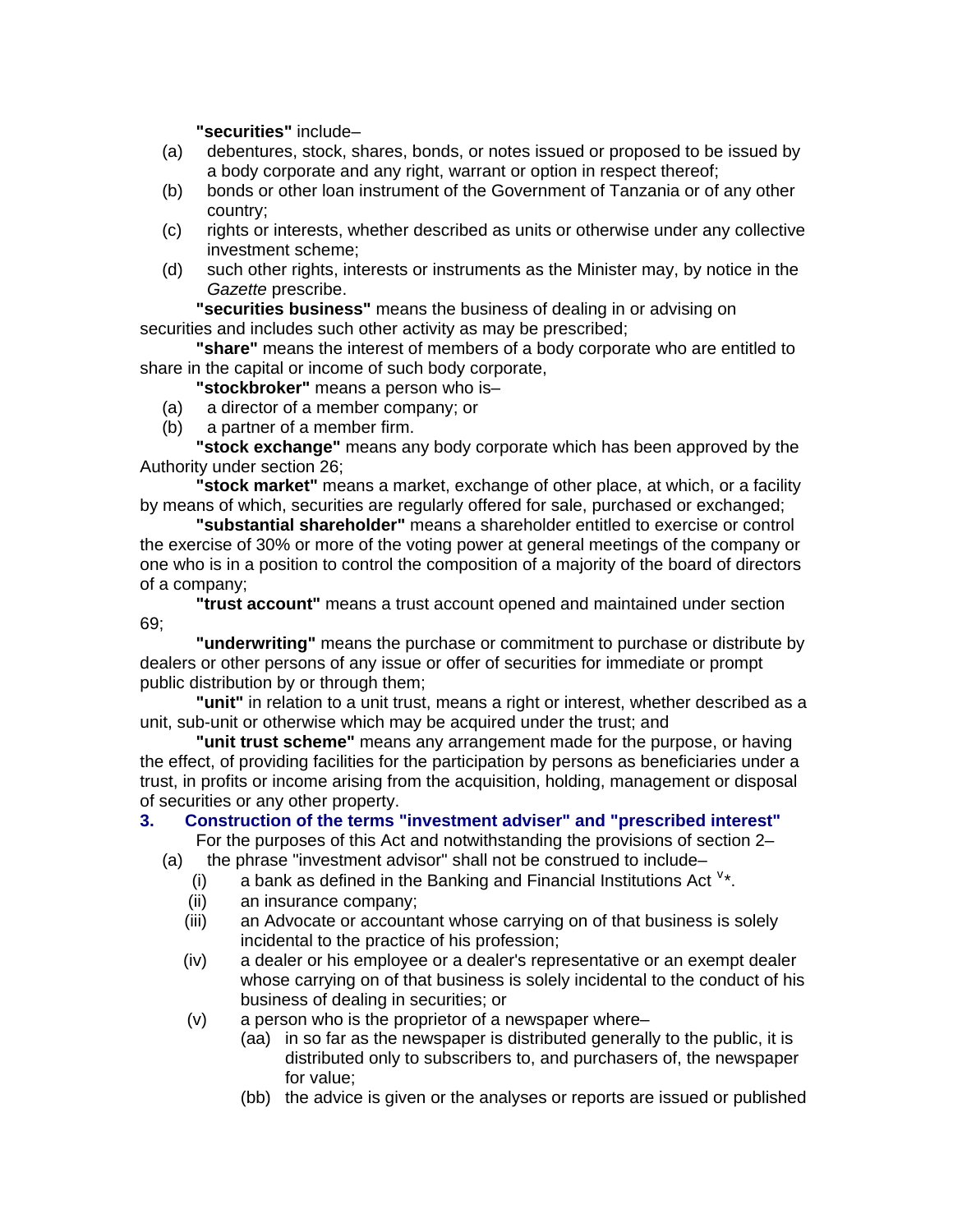**"securities"** include–

- (a) debentures, stock, shares, bonds, or notes issued or proposed to be issued by a body corporate and any right, warrant or option in respect thereof;
- (b) bonds or other loan instrument of the Government of Tanzania or of any other country;
- (c) rights or interests, whether described as units or otherwise under any collective investment scheme;
- (d) such other rights, interests or instruments as the Minister may, by notice in the *Gazette* prescribe.

**"securities business"** means the business of dealing in or advising on securities and includes such other activity as may be prescribed;

**"share"** means the interest of members of a body corporate who are entitled to share in the capital or income of such body corporate,

**"stockbroker"** means a person who is–

- (a) a director of a member company; or
- (b) a partner of a member firm.

**"stock exchange"** means any body corporate which has been approved by the Authority under section 26;

**"stock market"** means a market, exchange of other place, at which, or a facility by means of which, securities are regularly offered for sale, purchased or exchanged;

**"substantial shareholder"** means a shareholder entitled to exercise or control the exercise of 30% or more of the voting power at general meetings of the company or one who is in a position to control the composition of a majority of the board of directors of a company;

**"trust account"** means a trust account opened and maintained under section 69;

**"underwriting"** means the purchase or commitment to purchase or distribute by dealers or other persons of any issue or offer of securities for immediate or prompt public distribution by or through them;

**"unit"** in relation to a unit trust, means a right or interest, whether described as a unit, sub-unit or otherwise which may be acquired under the trust; and

**"unit trust scheme"** means any arrangement made for the purpose, or having the effect, of providing facilities for the participation by persons as beneficiaries under a trust, in profits or income arising from the acquisition, holding, management or disposal of securities or any other property.

# **3. Construction of the terms "investment adviser" and "prescribed interest"**

For the purposes of this Act and notwithstanding the provisions of section 2–

- (a) the phrase "investment advisor" shall not be construed to include–
- $(i)$  a bank as defined in the Banking and Financial Institutions Act  $v^*$  $v^*$ .
	- (ii) an insurance company;
	- (iii) an Advocate or accountant whose carrying on of that business is solely incidental to the practice of his profession;
	- (iv) a dealer or his employee or a dealer's representative or an exempt dealer whose carrying on of that business is solely incidental to the conduct of his business of dealing in securities; or
	- (v) a person who is the proprietor of a newspaper where–
		- (aa) in so far as the newspaper is distributed generally to the public, it is distributed only to subscribers to, and purchasers of, the newspaper for value;
		- (bb) the advice is given or the analyses or reports are issued or published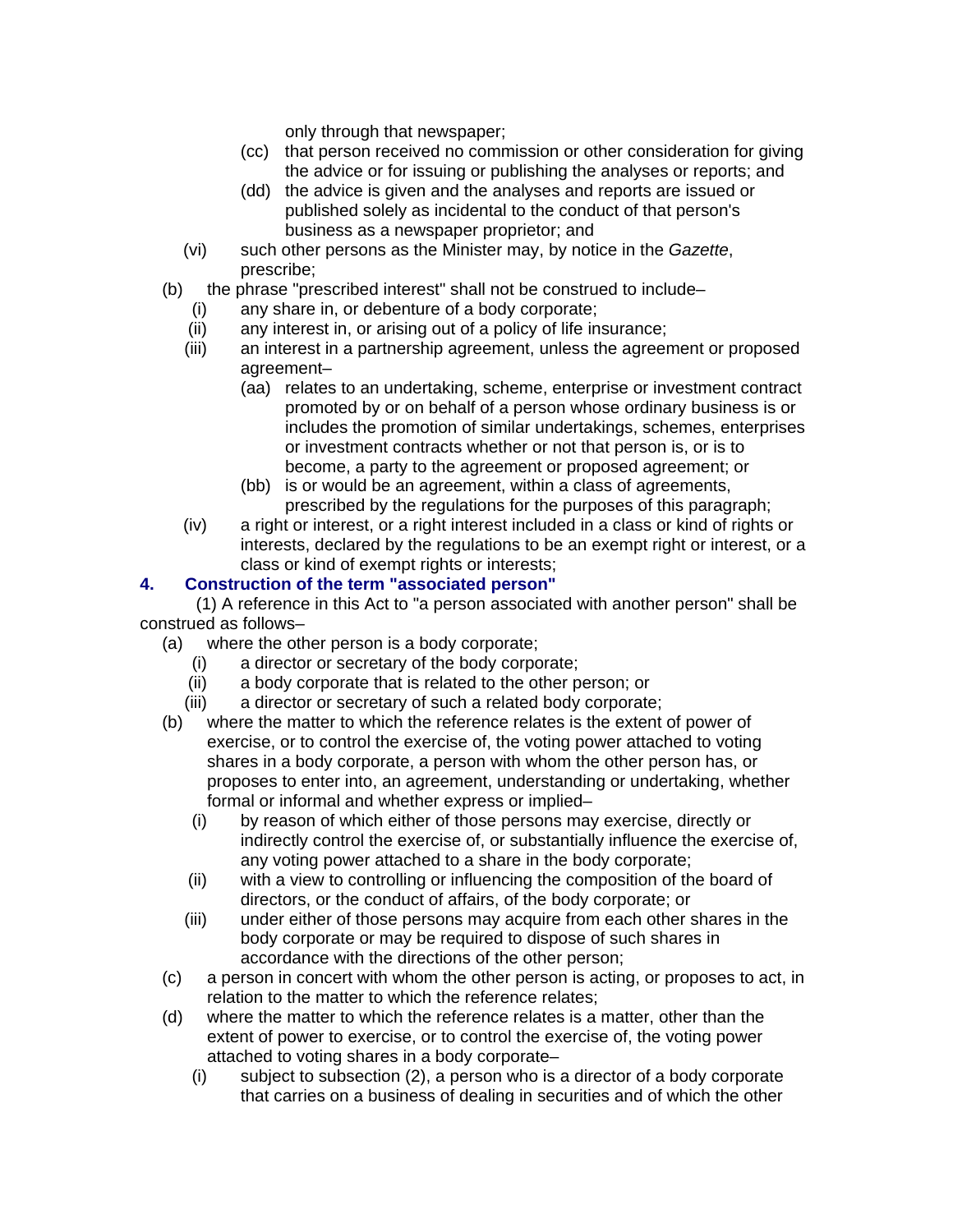only through that newspaper;

- (cc) that person received no commission or other consideration for giving the advice or for issuing or publishing the analyses or reports; and
- (dd) the advice is given and the analyses and reports are issued or published solely as incidental to the conduct of that person's business as a newspaper proprietor; and
- (vi) such other persons as the Minister may, by notice in the *Gazette*, prescribe;
- (b) the phrase "prescribed interest" shall not be construed to include–
	- (i) any share in, or debenture of a body corporate;
	- (ii) any interest in, or arising out of a policy of life insurance;
	- (iii) an interest in a partnership agreement, unless the agreement or proposed agreement–
		- (aa) relates to an undertaking, scheme, enterprise or investment contract promoted by or on behalf of a person whose ordinary business is or includes the promotion of similar undertakings, schemes, enterprises or investment contracts whether or not that person is, or is to become, a party to the agreement or proposed agreement; or
		- (bb) is or would be an agreement, within a class of agreements, prescribed by the regulations for the purposes of this paragraph;
	- (iv) a right or interest, or a right interest included in a class or kind of rights or interests, declared by the regulations to be an exempt right or interest, or a class or kind of exempt rights or interests;

# **4. Construction of the term "associated person"**

(1) A reference in this Act to "a person associated with another person" shall be construed as follows–

- (a) where the other person is a body corporate;
	- a director or secretary of the body corporate;
	- (ii) a body corporate that is related to the other person; or
	- (iii) a director or secretary of such a related body corporate;
- (b) where the matter to which the reference relates is the extent of power of exercise, or to control the exercise of, the voting power attached to voting shares in a body corporate, a person with whom the other person has, or proposes to enter into, an agreement, understanding or undertaking, whether formal or informal and whether express or implied–
	- (i) by reason of which either of those persons may exercise, directly or indirectly control the exercise of, or substantially influence the exercise of, any voting power attached to a share in the body corporate;
	- (ii) with a view to controlling or influencing the composition of the board of directors, or the conduct of affairs, of the body corporate; or
	- (iii) under either of those persons may acquire from each other shares in the body corporate or may be required to dispose of such shares in accordance with the directions of the other person;
- (c) a person in concert with whom the other person is acting, or proposes to act, in relation to the matter to which the reference relates;
- (d) where the matter to which the reference relates is a matter, other than the extent of power to exercise, or to control the exercise of, the voting power attached to voting shares in a body corporate–
	- (i) subject to subsection (2), a person who is a director of a body corporate that carries on a business of dealing in securities and of which the other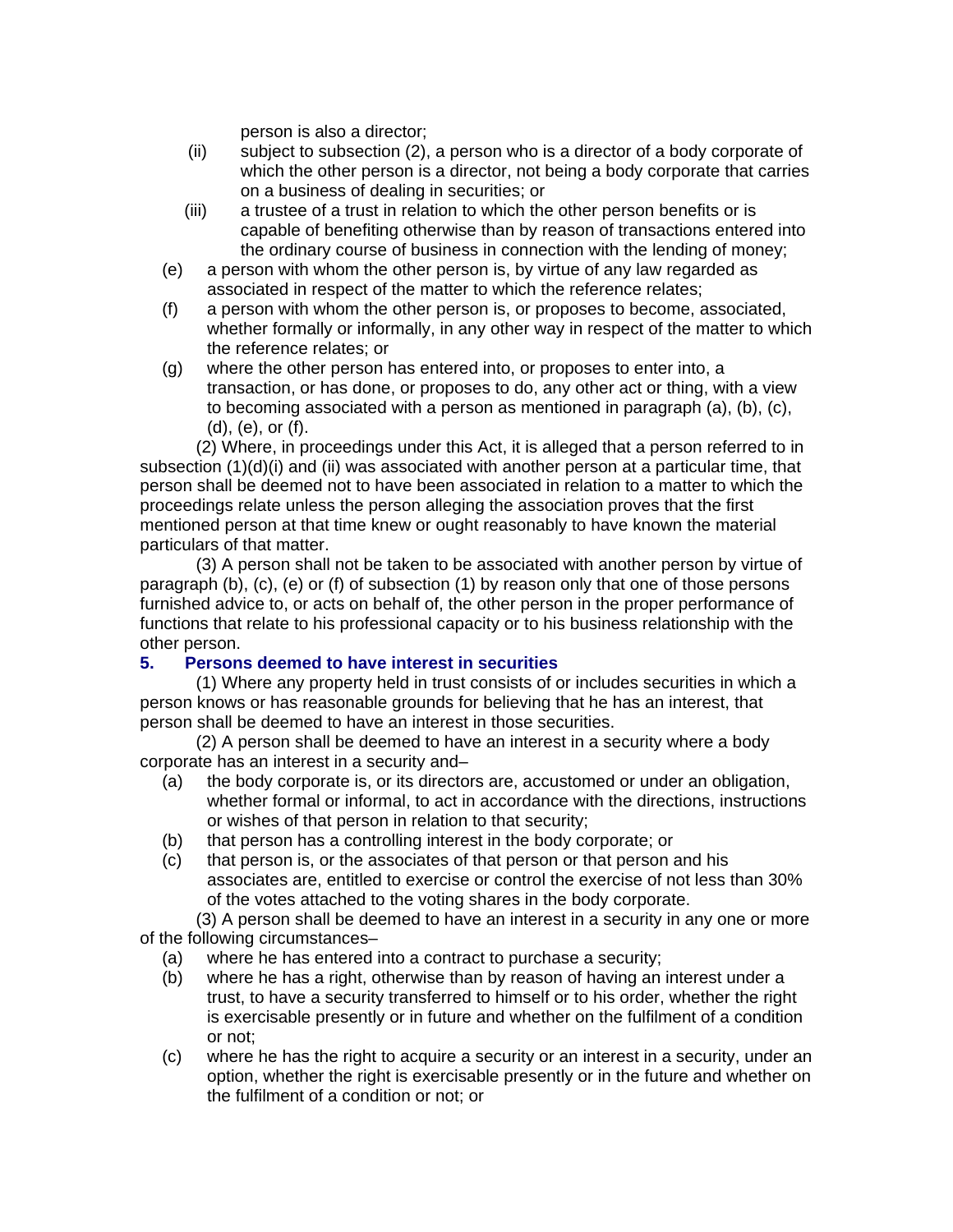person is also a director;

- (ii) subject to subsection (2), a person who is a director of a body corporate of which the other person is a director, not being a body corporate that carries on a business of dealing in securities; or
- (iii) a trustee of a trust in relation to which the other person benefits or is capable of benefiting otherwise than by reason of transactions entered into the ordinary course of business in connection with the lending of money;
- (e) a person with whom the other person is, by virtue of any law regarded as associated in respect of the matter to which the reference relates;
- (f) a person with whom the other person is, or proposes to become, associated, whether formally or informally, in any other way in respect of the matter to which the reference relates; or
- (g) where the other person has entered into, or proposes to enter into, a transaction, or has done, or proposes to do, any other act or thing, with a view to becoming associated with a person as mentioned in paragraph (a), (b), (c), (d), (e), or (f).

(2) Where, in proceedings under this Act, it is alleged that a person referred to in subsection (1)(d)(i) and (ii) was associated with another person at a particular time, that person shall be deemed not to have been associated in relation to a matter to which the proceedings relate unless the person alleging the association proves that the first mentioned person at that time knew or ought reasonably to have known the material particulars of that matter.

(3) A person shall not be taken to be associated with another person by virtue of paragraph (b), (c), (e) or (f) of subsection (1) by reason only that one of those persons furnished advice to, or acts on behalf of, the other person in the proper performance of functions that relate to his professional capacity or to his business relationship with the other person.

### **5. Persons deemed to have interest in securities**

(1) Where any property held in trust consists of or includes securities in which a person knows or has reasonable grounds for believing that he has an interest, that person shall be deemed to have an interest in those securities.

(2) A person shall be deemed to have an interest in a security where a body corporate has an interest in a security and–

- (a) the body corporate is, or its directors are, accustomed or under an obligation, whether formal or informal, to act in accordance with the directions, instructions or wishes of that person in relation to that security;
- (b) that person has a controlling interest in the body corporate; or
- (c) that person is, or the associates of that person or that person and his associates are, entitled to exercise or control the exercise of not less than 30% of the votes attached to the voting shares in the body corporate.

(3) A person shall be deemed to have an interest in a security in any one or more of the following circumstances–

- (a) where he has entered into a contract to purchase a security;
- (b) where he has a right, otherwise than by reason of having an interest under a trust, to have a security transferred to himself or to his order, whether the right is exercisable presently or in future and whether on the fulfilment of a condition or not;
- (c) where he has the right to acquire a security or an interest in a security, under an option, whether the right is exercisable presently or in the future and whether on the fulfilment of a condition or not; or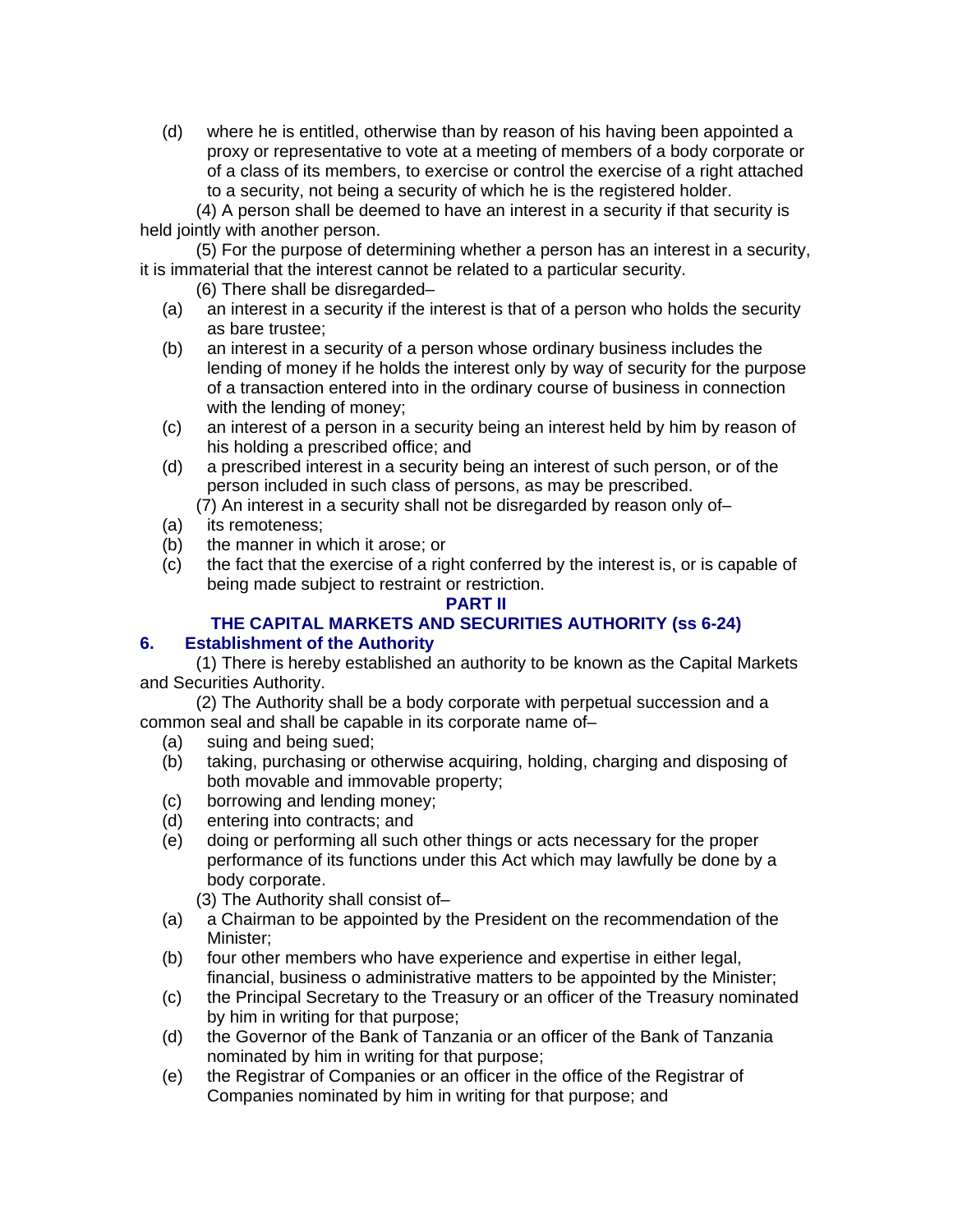(d) where he is entitled, otherwise than by reason of his having been appointed a proxy or representative to vote at a meeting of members of a body corporate or of a class of its members, to exercise or control the exercise of a right attached to a security, not being a security of which he is the registered holder.

(4) A person shall be deemed to have an interest in a security if that security is held jointly with another person.

(5) For the purpose of determining whether a person has an interest in a security, it is immaterial that the interest cannot be related to a particular security.

(6) There shall be disregarded–

- (a) an interest in a security if the interest is that of a person who holds the security as bare trustee;
- (b) an interest in a security of a person whose ordinary business includes the lending of money if he holds the interest only by way of security for the purpose of a transaction entered into in the ordinary course of business in connection with the lending of money;
- (c) an interest of a person in a security being an interest held by him by reason of his holding a prescribed office; and
- (d) a prescribed interest in a security being an interest of such person, or of the person included in such class of persons, as may be prescribed.

(7) An interest in a security shall not be disregarded by reason only of–

- (a) its remoteness;
- (b) the manner in which it arose; or
- (c) the fact that the exercise of a right conferred by the interest is, or is capable of being made subject to restraint or restriction.

#### **PART II**

# **THE CAPITAL MARKETS AND SECURITIES AUTHORITY (ss 6-24)**

### **6. Establishment of the Authority**

(1) There is hereby established an authority to be known as the Capital Markets and Securities Authority.

(2) The Authority shall be a body corporate with perpetual succession and a common seal and shall be capable in its corporate name of–

- (a) suing and being sued;
- (b) taking, purchasing or otherwise acquiring, holding, charging and disposing of both movable and immovable property;
- (c) borrowing and lending money;
- (d) entering into contracts; and
- (e) doing or performing all such other things or acts necessary for the proper performance of its functions under this Act which may lawfully be done by a body corporate.

(3) The Authority shall consist of–

- (a) a Chairman to be appointed by the President on the recommendation of the Minister;
- (b) four other members who have experience and expertise in either legal, financial, business o administrative matters to be appointed by the Minister;
- (c) the Principal Secretary to the Treasury or an officer of the Treasury nominated by him in writing for that purpose;
- (d) the Governor of the Bank of Tanzania or an officer of the Bank of Tanzania nominated by him in writing for that purpose;
- (e) the Registrar of Companies or an officer in the office of the Registrar of Companies nominated by him in writing for that purpose; and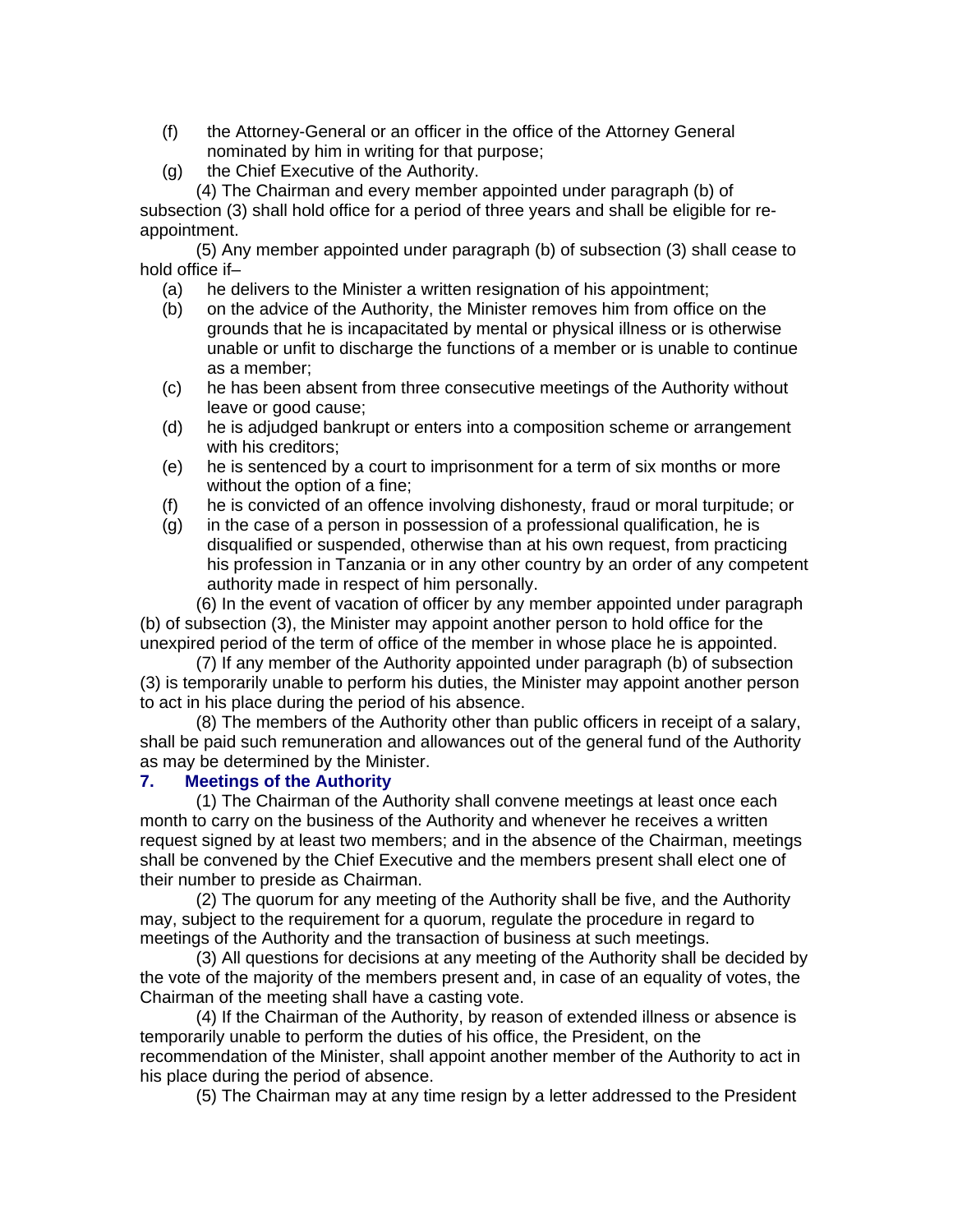- (f) the Attorney-General or an officer in the office of the Attorney General nominated by him in writing for that purpose;
- (g) the Chief Executive of the Authority.

(4) The Chairman and every member appointed under paragraph (b) of subsection (3) shall hold office for a period of three years and shall be eligible for reappointment.

(5) Any member appointed under paragraph (b) of subsection (3) shall cease to hold office if–

- (a) he delivers to the Minister a written resignation of his appointment;
- (b) on the advice of the Authority, the Minister removes him from office on the grounds that he is incapacitated by mental or physical illness or is otherwise unable or unfit to discharge the functions of a member or is unable to continue as a member;
- (c) he has been absent from three consecutive meetings of the Authority without leave or good cause;
- (d) he is adjudged bankrupt or enters into a composition scheme or arrangement with his creditors;
- (e) he is sentenced by a court to imprisonment for a term of six months or more without the option of a fine;
- (f) he is convicted of an offence involving dishonesty, fraud or moral turpitude; or
- (g) in the case of a person in possession of a professional qualification, he is disqualified or suspended, otherwise than at his own request, from practicing his profession in Tanzania or in any other country by an order of any competent authority made in respect of him personally.

(6) In the event of vacation of officer by any member appointed under paragraph (b) of subsection (3), the Minister may appoint another person to hold office for the unexpired period of the term of office of the member in whose place he is appointed.

(7) If any member of the Authority appointed under paragraph (b) of subsection (3) is temporarily unable to perform his duties, the Minister may appoint another person to act in his place during the period of his absence.

(8) The members of the Authority other than public officers in receipt of a salary, shall be paid such remuneration and allowances out of the general fund of the Authority as may be determined by the Minister.

### **7. Meetings of the Authority**

(1) The Chairman of the Authority shall convene meetings at least once each month to carry on the business of the Authority and whenever he receives a written request signed by at least two members; and in the absence of the Chairman, meetings shall be convened by the Chief Executive and the members present shall elect one of their number to preside as Chairman.

(2) The quorum for any meeting of the Authority shall be five, and the Authority may, subject to the requirement for a quorum, regulate the procedure in regard to meetings of the Authority and the transaction of business at such meetings.

(3) All questions for decisions at any meeting of the Authority shall be decided by the vote of the majority of the members present and, in case of an equality of votes, the Chairman of the meeting shall have a casting vote.

(4) If the Chairman of the Authority, by reason of extended illness or absence is temporarily unable to perform the duties of his office, the President, on the recommendation of the Minister, shall appoint another member of the Authority to act in his place during the period of absence.

(5) The Chairman may at any time resign by a letter addressed to the President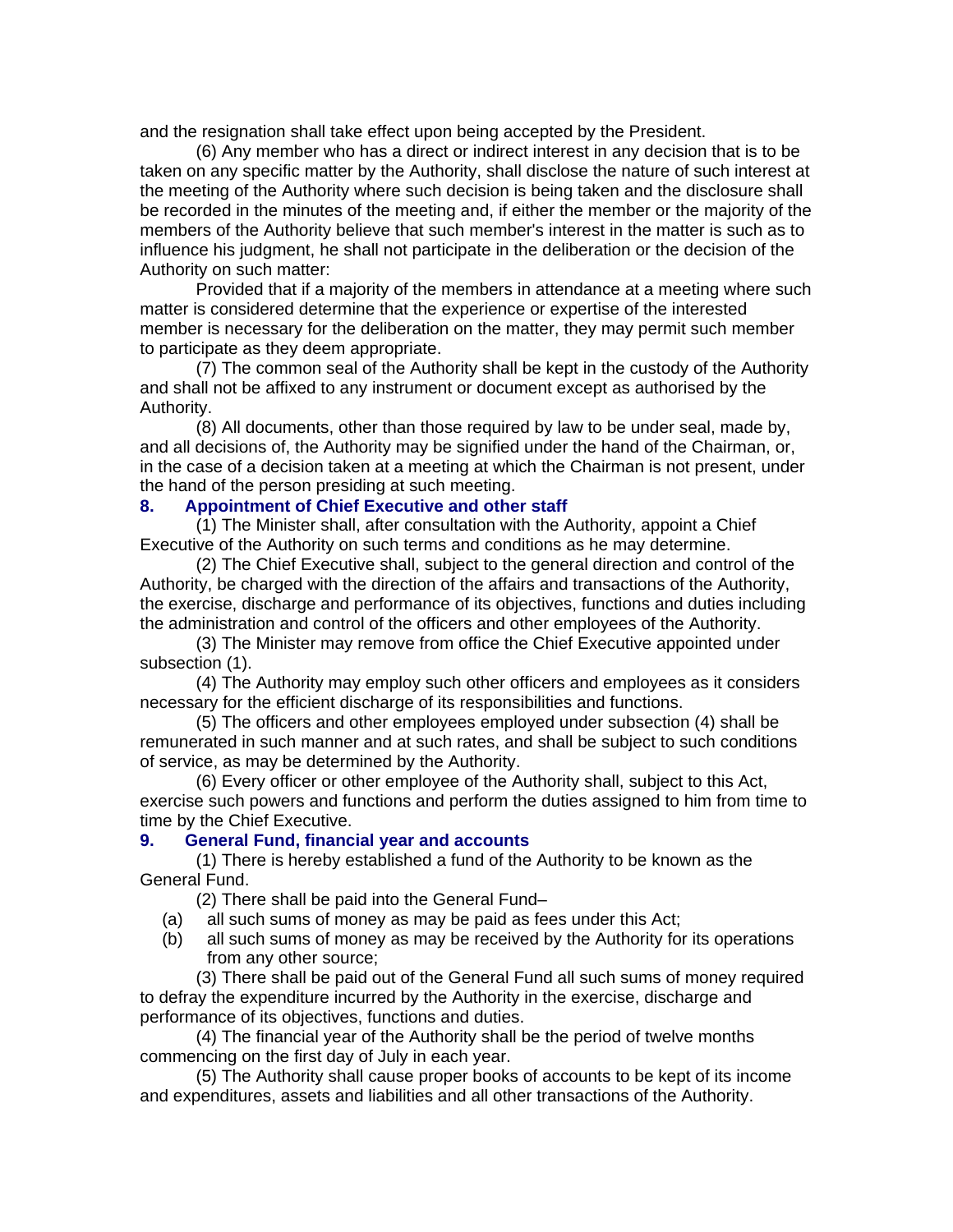and the resignation shall take effect upon being accepted by the President.

(6) Any member who has a direct or indirect interest in any decision that is to be taken on any specific matter by the Authority, shall disclose the nature of such interest at the meeting of the Authority where such decision is being taken and the disclosure shall be recorded in the minutes of the meeting and, if either the member or the majority of the members of the Authority believe that such member's interest in the matter is such as to influence his judgment, he shall not participate in the deliberation or the decision of the Authority on such matter:

Provided that if a majority of the members in attendance at a meeting where such matter is considered determine that the experience or expertise of the interested member is necessary for the deliberation on the matter, they may permit such member to participate as they deem appropriate.

(7) The common seal of the Authority shall be kept in the custody of the Authority and shall not be affixed to any instrument or document except as authorised by the Authority.

(8) All documents, other than those required by law to be under seal, made by, and all decisions of, the Authority may be signified under the hand of the Chairman, or, in the case of a decision taken at a meeting at which the Chairman is not present, under the hand of the person presiding at such meeting.

### **8. Appointment of Chief Executive and other staff**

(1) The Minister shall, after consultation with the Authority, appoint a Chief Executive of the Authority on such terms and conditions as he may determine.

(2) The Chief Executive shall, subject to the general direction and control of the Authority, be charged with the direction of the affairs and transactions of the Authority, the exercise, discharge and performance of its objectives, functions and duties including the administration and control of the officers and other employees of the Authority.

(3) The Minister may remove from office the Chief Executive appointed under subsection (1).

(4) The Authority may employ such other officers and employees as it considers necessary for the efficient discharge of its responsibilities and functions.

(5) The officers and other employees employed under subsection (4) shall be remunerated in such manner and at such rates, and shall be subject to such conditions of service, as may be determined by the Authority.

(6) Every officer or other employee of the Authority shall, subject to this Act, exercise such powers and functions and perform the duties assigned to him from time to time by the Chief Executive.

#### **9. General Fund, financial year and accounts**

(1) There is hereby established a fund of the Authority to be known as the General Fund.

(2) There shall be paid into the General Fund–

- (a) all such sums of money as may be paid as fees under this Act;
- (b) all such sums of money as may be received by the Authority for its operations from any other source;

(3) There shall be paid out of the General Fund all such sums of money required to defray the expenditure incurred by the Authority in the exercise, discharge and performance of its objectives, functions and duties.

(4) The financial year of the Authority shall be the period of twelve months commencing on the first day of July in each year.

(5) The Authority shall cause proper books of accounts to be kept of its income and expenditures, assets and liabilities and all other transactions of the Authority.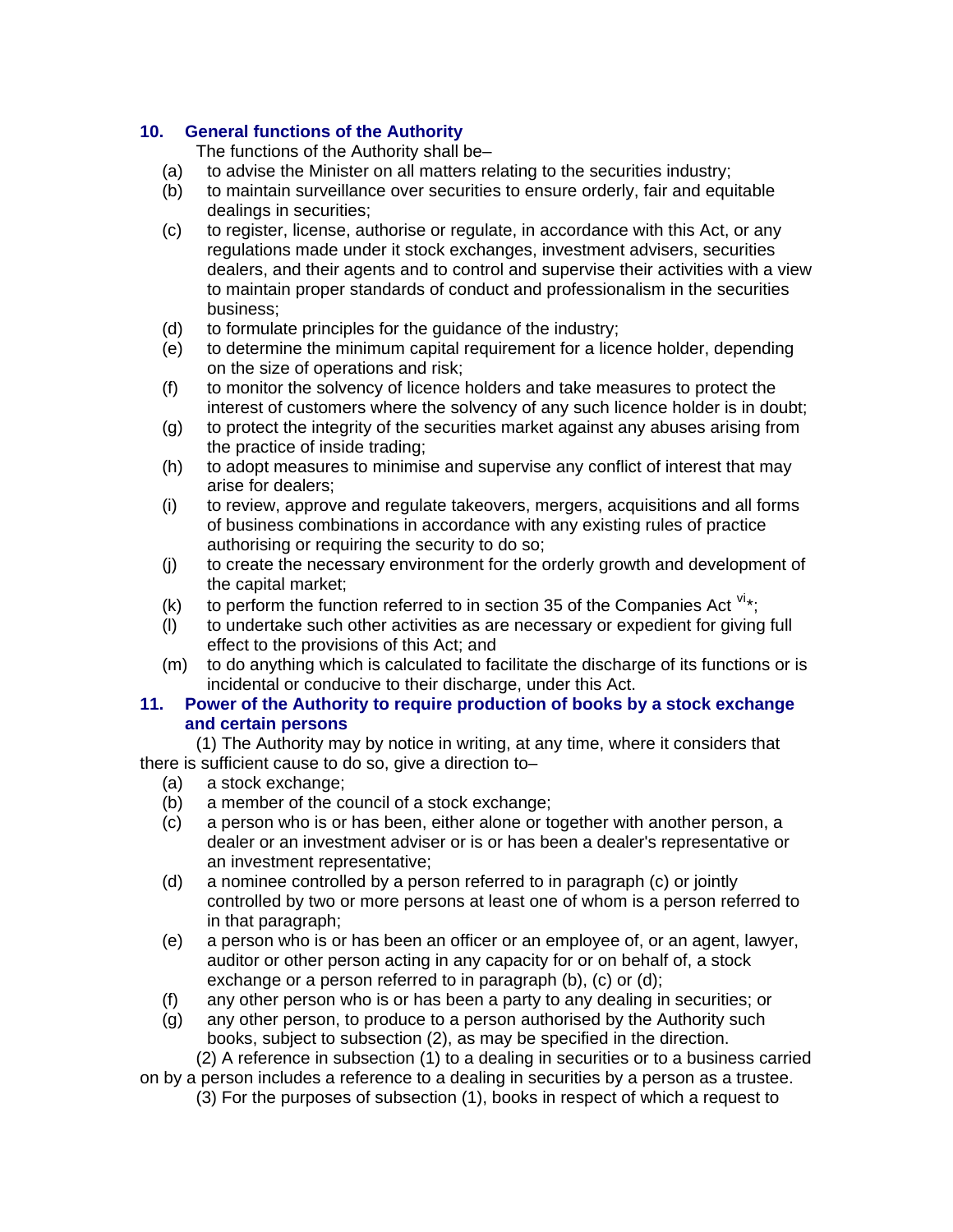# **10. General functions of the Authority**

The functions of the Authority shall be–

- (a) to advise the Minister on all matters relating to the securities industry;
- (b) to maintain surveillance over securities to ensure orderly, fair and equitable dealings in securities;
- (c) to register, license, authorise or regulate, in accordance with this Act, or any regulations made under it stock exchanges, investment advisers, securities dealers, and their agents and to control and supervise their activities with a view to maintain proper standards of conduct and professionalism in the securities business;
- (d) to formulate principles for the guidance of the industry;
- (e) to determine the minimum capital requirement for a licence holder, depending on the size of operations and risk;
- (f) to monitor the solvency of licence holders and take measures to protect the interest of customers where the solvency of any such licence holder is in doubt;
- (g) to protect the integrity of the securities market against any abuses arising from the practice of inside trading;
- (h) to adopt measures to minimise and supervise any conflict of interest that may arise for dealers;
- (i) to review, approve and regulate takeovers, mergers, acquisitions and all forms of business combinations in accordance with any existing rules of practice authorising or requiring the security to do so;
- (j) to create the necessary environment for the orderly growth and development of the capital market;
- (k) to perform the function referred to in section 35 of the Companies Act  $v_{\text{A}}$ ;
- (l) to undertake such other activities as are necessary or expedient for giving full effect to the provisions of this Act; and
- (m) to do anything which is calculated to facilitate the discharge of its functions or is incidental or conducive to their discharge, under this Act.

### **11. Power of the Authority to require production of books by a stock exchange and certain persons**

(1) The Authority may by notice in writing, at any time, where it considers that there is sufficient cause to do so, give a direction to–

- (a) a stock exchange;
- (b) a member of the council of a stock exchange;
- (c) a person who is or has been, either alone or together with another person, a dealer or an investment adviser or is or has been a dealer's representative or an investment representative;
- (d) a nominee controlled by a person referred to in paragraph (c) or jointly controlled by two or more persons at least one of whom is a person referred to in that paragraph;
- (e) a person who is or has been an officer or an employee of, or an agent, lawyer, auditor or other person acting in any capacity for or on behalf of, a stock exchange or a person referred to in paragraph (b), (c) or (d);
- (f) any other person who is or has been a party to any dealing in securities; or
- (g) any other person, to produce to a person authorised by the Authority such books, subject to subsection (2), as may be specified in the direction.

(2) A reference in subsection (1) to a dealing in securities or to a business carried

on by a person includes a reference to a dealing in securities by a person as a trustee. (3) For the purposes of subsection (1), books in respect of which a request to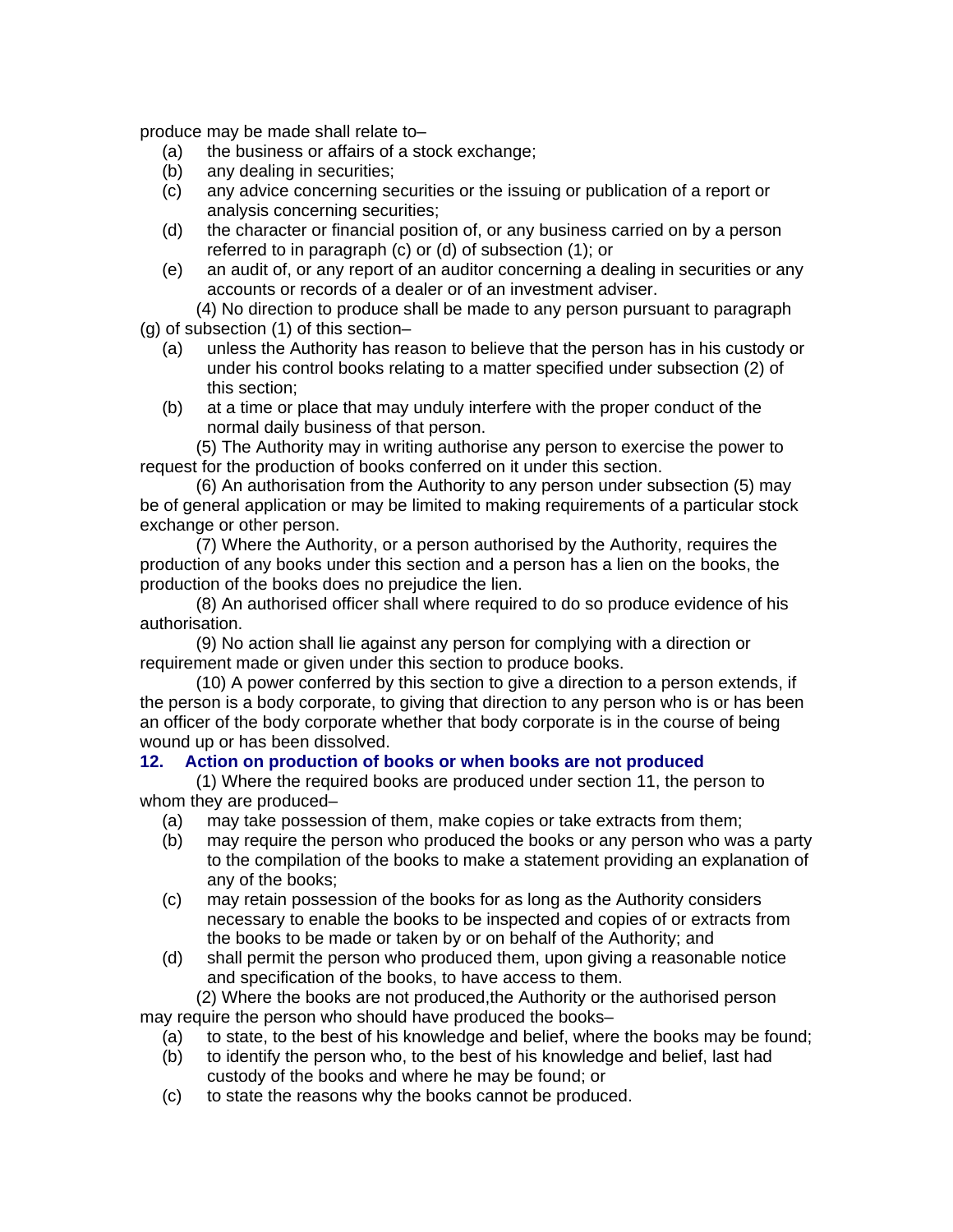produce may be made shall relate to–

- (a) the business or affairs of a stock exchange;
- (b) any dealing in securities;
- (c) any advice concerning securities or the issuing or publication of a report or analysis concerning securities;
- (d) the character or financial position of, or any business carried on by a person referred to in paragraph (c) or (d) of subsection (1); or
- (e) an audit of, or any report of an auditor concerning a dealing in securities or any accounts or records of a dealer or of an investment adviser.

(4) No direction to produce shall be made to any person pursuant to paragraph (g) of subsection (1) of this section–

- (a) unless the Authority has reason to believe that the person has in his custody or under his control books relating to a matter specified under subsection (2) of this section;
- (b) at a time or place that may unduly interfere with the proper conduct of the normal daily business of that person.

(5) The Authority may in writing authorise any person to exercise the power to request for the production of books conferred on it under this section.

(6) An authorisation from the Authority to any person under subsection (5) may be of general application or may be limited to making requirements of a particular stock exchange or other person.

(7) Where the Authority, or a person authorised by the Authority, requires the production of any books under this section and a person has a lien on the books, the production of the books does no prejudice the lien.

(8) An authorised officer shall where required to do so produce evidence of his authorisation.

(9) No action shall lie against any person for complying with a direction or requirement made or given under this section to produce books.

(10) A power conferred by this section to give a direction to a person extends, if the person is a body corporate, to giving that direction to any person who is or has been an officer of the body corporate whether that body corporate is in the course of being wound up or has been dissolved.

### **12. Action on production of books or when books are not produced**

(1) Where the required books are produced under section 11, the person to whom they are produced–

- (a) may take possession of them, make copies or take extracts from them;
- (b) may require the person who produced the books or any person who was a party to the compilation of the books to make a statement providing an explanation of any of the books;
- (c) may retain possession of the books for as long as the Authority considers necessary to enable the books to be inspected and copies of or extracts from the books to be made or taken by or on behalf of the Authority; and
- (d) shall permit the person who produced them, upon giving a reasonable notice and specification of the books, to have access to them.

(2) Where the books are not produced,the Authority or the authorised person may require the person who should have produced the books–

- (a) to state, to the best of his knowledge and belief, where the books may be found;
- (b) to identify the person who, to the best of his knowledge and belief, last had custody of the books and where he may be found; or
- (c) to state the reasons why the books cannot be produced.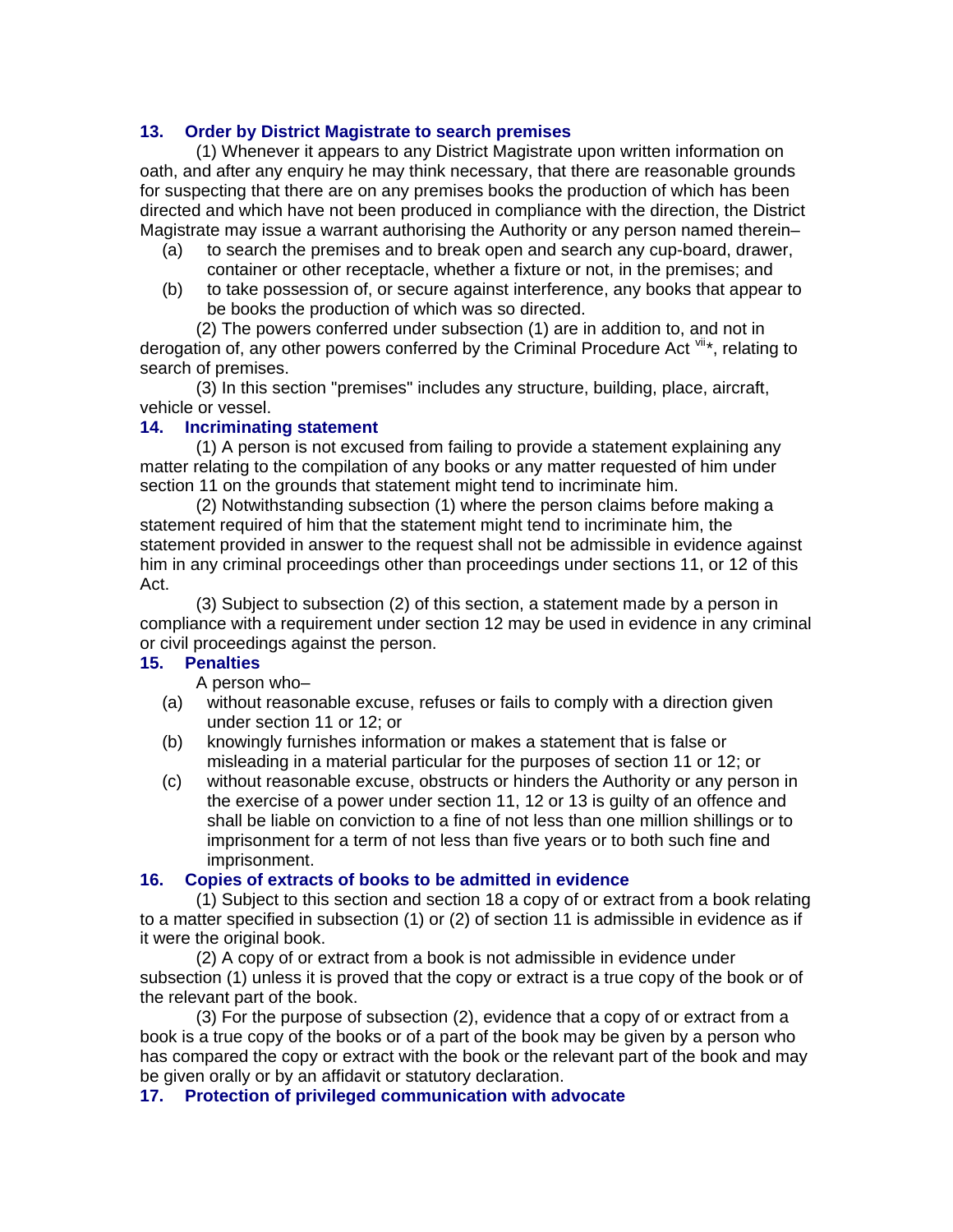### **13. Order by District Magistrate to search premises**

(1) Whenever it appears to any District Magistrate upon written information on oath, and after any enquiry he may think necessary, that there are reasonable grounds for suspecting that there are on any premises books the production of which has been directed and which have not been produced in compliance with the direction, the District Magistrate may issue a warrant authorising the Authority or any person named therein–

- (a) to search the premises and to break open and search any cup-board, drawer, container or other receptacle, whether a fixture or not, in the premises; and
- (b) to take possession of, or secure against interference, any books that appear to be books the production of which was so directed.

(2) The powers conferred under subsection (1) are in addition to, and not in derogation of, any other powers conferred by the Criminal Procedure Act  $\mathbb{V}^{1*}$ , relating to search of premises.

(3) In this section "premises" includes any structure, building, place, aircraft, vehicle or vessel.

#### **14. Incriminating statement**

(1) A person is not excused from failing to provide a statement explaining any matter relating to the compilation of any books or any matter requested of him under section 11 on the grounds that statement might tend to incriminate him.

(2) Notwithstanding subsection (1) where the person claims before making a statement required of him that the statement might tend to incriminate him, the statement provided in answer to the request shall not be admissible in evidence against him in any criminal proceedings other than proceedings under sections 11, or 12 of this Act.

(3) Subject to subsection (2) of this section, a statement made by a person in compliance with a requirement under section 12 may be used in evidence in any criminal or civil proceedings against the person.

#### **15. Penalties**

A person who–

- (a) without reasonable excuse, refuses or fails to comply with a direction given under section 11 or 12; or
- (b) knowingly furnishes information or makes a statement that is false or misleading in a material particular for the purposes of section 11 or 12; or
- (c) without reasonable excuse, obstructs or hinders the Authority or any person in the exercise of a power under section 11, 12 or 13 is guilty of an offence and shall be liable on conviction to a fine of not less than one million shillings or to imprisonment for a term of not less than five years or to both such fine and imprisonment.

#### **16. Copies of extracts of books to be admitted in evidence**

(1) Subject to this section and section 18 a copy of or extract from a book relating to a matter specified in subsection (1) or (2) of section 11 is admissible in evidence as if it were the original book.

(2) A copy of or extract from a book is not admissible in evidence under subsection (1) unless it is proved that the copy or extract is a true copy of the book or of the relevant part of the book.

(3) For the purpose of subsection (2), evidence that a copy of or extract from a book is a true copy of the books or of a part of the book may be given by a person who has compared the copy or extract with the book or the relevant part of the book and may be given orally or by an affidavit or statutory declaration.

#### **17. Protection of privileged communication with advocate**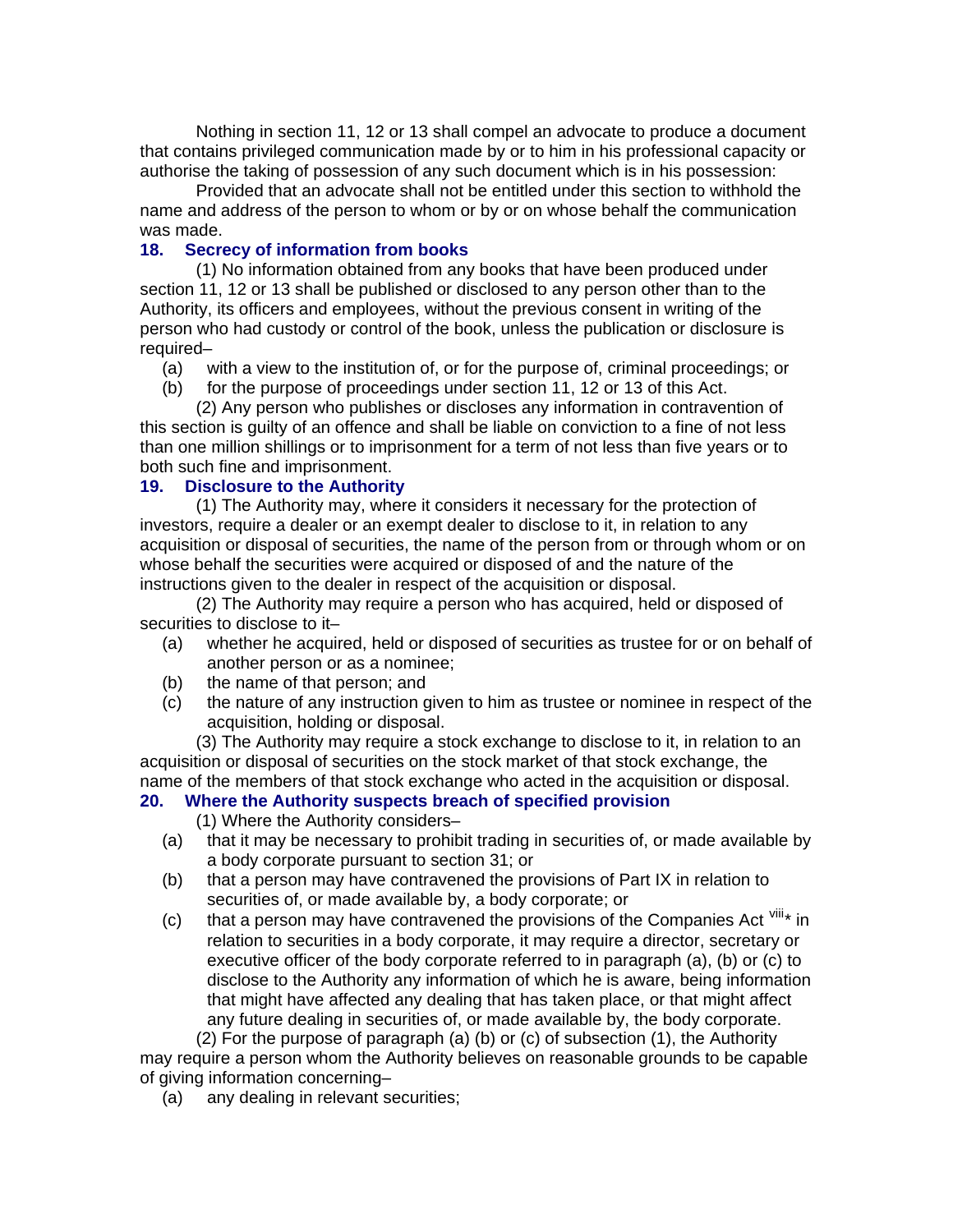Nothing in section 11, 12 or 13 shall compel an advocate to produce a document that contains privileged communication made by or to him in his professional capacity or authorise the taking of possession of any such document which is in his possession:

Provided that an advocate shall not be entitled under this section to withhold the name and address of the person to whom or by or on whose behalf the communication was made.

### **18. Secrecy of information from books**

(1) No information obtained from any books that have been produced under section 11, 12 or 13 shall be published or disclosed to any person other than to the Authority, its officers and employees, without the previous consent in writing of the person who had custody or control of the book, unless the publication or disclosure is required–

- (a) with a view to the institution of, or for the purpose of, criminal proceedings; or
- (b) for the purpose of proceedings under section 11, 12 or 13 of this Act.

(2) Any person who publishes or discloses any information in contravention of this section is guilty of an offence and shall be liable on conviction to a fine of not less than one million shillings or to imprisonment for a term of not less than five years or to both such fine and imprisonment.

### **19. Disclosure to the Authority**

(1) The Authority may, where it considers it necessary for the protection of investors, require a dealer or an exempt dealer to disclose to it, in relation to any acquisition or disposal of securities, the name of the person from or through whom or on whose behalf the securities were acquired or disposed of and the nature of the instructions given to the dealer in respect of the acquisition or disposal.

(2) The Authority may require a person who has acquired, held or disposed of securities to disclose to it–

- (a) whether he acquired, held or disposed of securities as trustee for or on behalf of another person or as a nominee;
- (b) the name of that person; and
- (c) the nature of any instruction given to him as trustee or nominee in respect of the acquisition, holding or disposal.

(3) The Authority may require a stock exchange to disclose to it, in relation to an acquisition or disposal of securities on the stock market of that stock exchange, the name of the members of that stock exchange who acted in the acquisition or disposal.

### **20. Where the Authority suspects breach of specified provision**

(1) Where the Authority considers–

- (a) that it may be necessary to prohibit trading in securities of, or made available by a body corporate pursuant to section 31; or
- (b) that a person may have contravened the provisions of Part IX in relation to securities of, or made available by, a body corporate; or
- (c) that a person may have contravened the provisions of the Companies Act  $\frac{VIII_{*}}{I}$  in relation to securities in a body corporate, it may require a director, secretary or executive officer of the body corporate referred to in paragraph (a), (b) or (c) to disclose to the Authority any information of which he is aware, being information that might have affected any dealing that has taken place, or that might affect any future dealing in securities of, or made available by, the body corporate.

(2) For the purpose of paragraph (a) (b) or (c) of subsection (1), the Authority may require a person whom the Authority believes on reasonable grounds to be capable of giving information concerning–

(a) any dealing in relevant securities;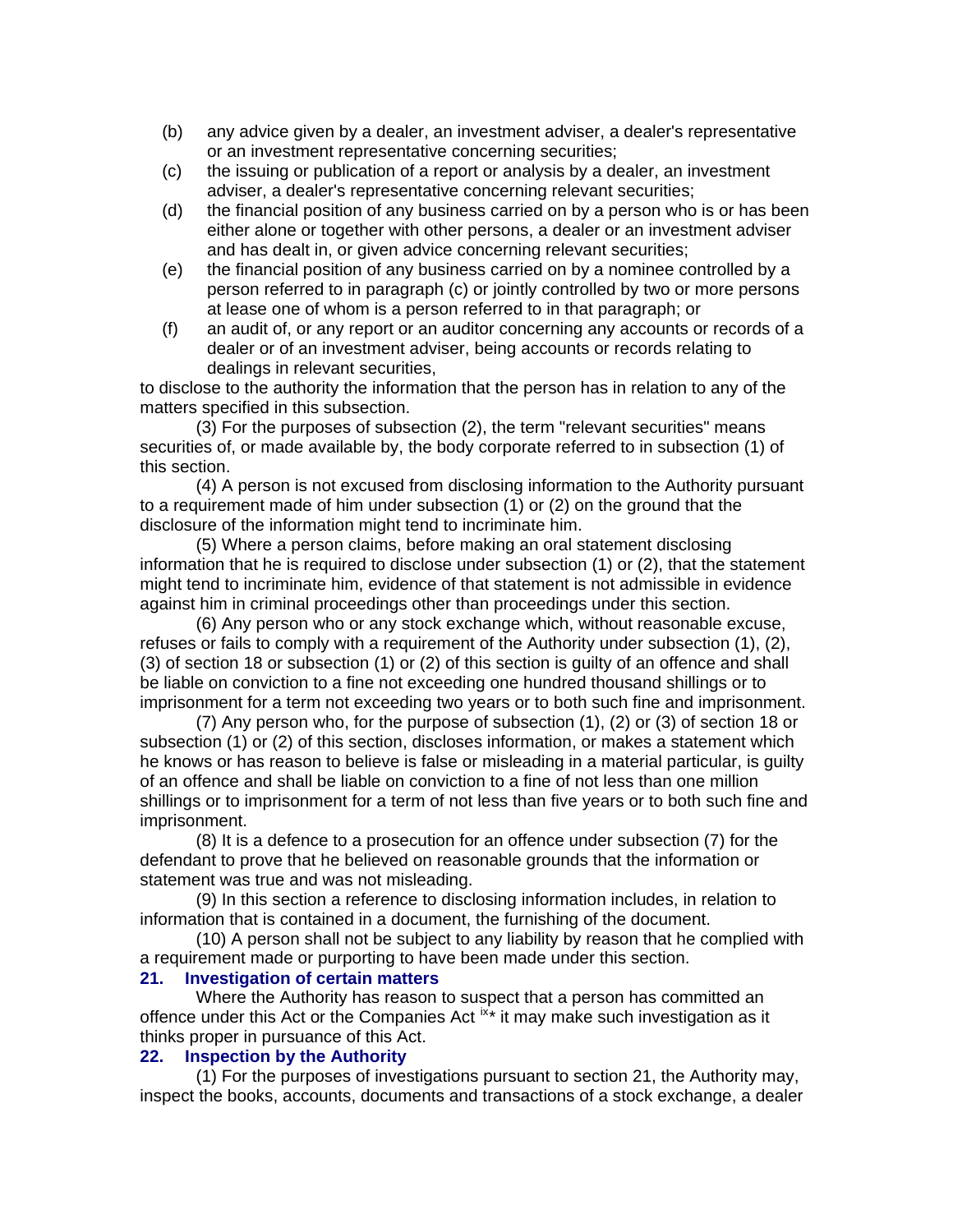- (b) any advice given by a dealer, an investment adviser, a dealer's representative or an investment representative concerning securities;
- (c) the issuing or publication of a report or analysis by a dealer, an investment adviser, a dealer's representative concerning relevant securities;
- (d) the financial position of any business carried on by a person who is or has been either alone or together with other persons, a dealer or an investment adviser and has dealt in, or given advice concerning relevant securities;
- (e) the financial position of any business carried on by a nominee controlled by a person referred to in paragraph (c) or jointly controlled by two or more persons at lease one of whom is a person referred to in that paragraph; or
- (f) an audit of, or any report or an auditor concerning any accounts or records of a dealer or of an investment adviser, being accounts or records relating to dealings in relevant securities,

to disclose to the authority the information that the person has in relation to any of the matters specified in this subsection.

(3) For the purposes of subsection (2), the term "relevant securities" means securities of, or made available by, the body corporate referred to in subsection (1) of this section.

(4) A person is not excused from disclosing information to the Authority pursuant to a requirement made of him under subsection (1) or (2) on the ground that the disclosure of the information might tend to incriminate him.

(5) Where a person claims, before making an oral statement disclosing information that he is required to disclose under subsection (1) or (2), that the statement might tend to incriminate him, evidence of that statement is not admissible in evidence against him in criminal proceedings other than proceedings under this section.

(6) Any person who or any stock exchange which, without reasonable excuse, refuses or fails to comply with a requirement of the Authority under subsection (1), (2), (3) of section 18 or subsection (1) or (2) of this section is guilty of an offence and shall be liable on conviction to a fine not exceeding one hundred thousand shillings or to imprisonment for a term not exceeding two years or to both such fine and imprisonment.

(7) Any person who, for the purpose of subsection (1), (2) or (3) of section 18 or subsection (1) or (2) of this section, discloses information, or makes a statement which he knows or has reason to believe is false or misleading in a material particular, is guilty of an offence and shall be liable on conviction to a fine of not less than one million shillings or to imprisonment for a term of not less than five years or to both such fine and imprisonment.

(8) It is a defence to a prosecution for an offence under subsection (7) for the defendant to prove that he believed on reasonable grounds that the information or statement was true and was not misleading.

(9) In this section a reference to disclosing information includes, in relation to information that is contained in a document, the furnishing of the document.

(10) A person shall not be subject to any liability by reason that he complied with a requirement made or purporting to have been made under this section.

# **21. Investigation of certain matters**

Where the Authority has reason to suspect that a person has committed an offence under this Act or the Companies Act [ix](#page-64-1)\* it may make such investigation as it thinks proper in pursuance of this Act.

#### **22. Inspection by the Authority**

(1) For the purposes of investigations pursuant to section 21, the Authority may, inspect the books, accounts, documents and transactions of a stock exchange, a dealer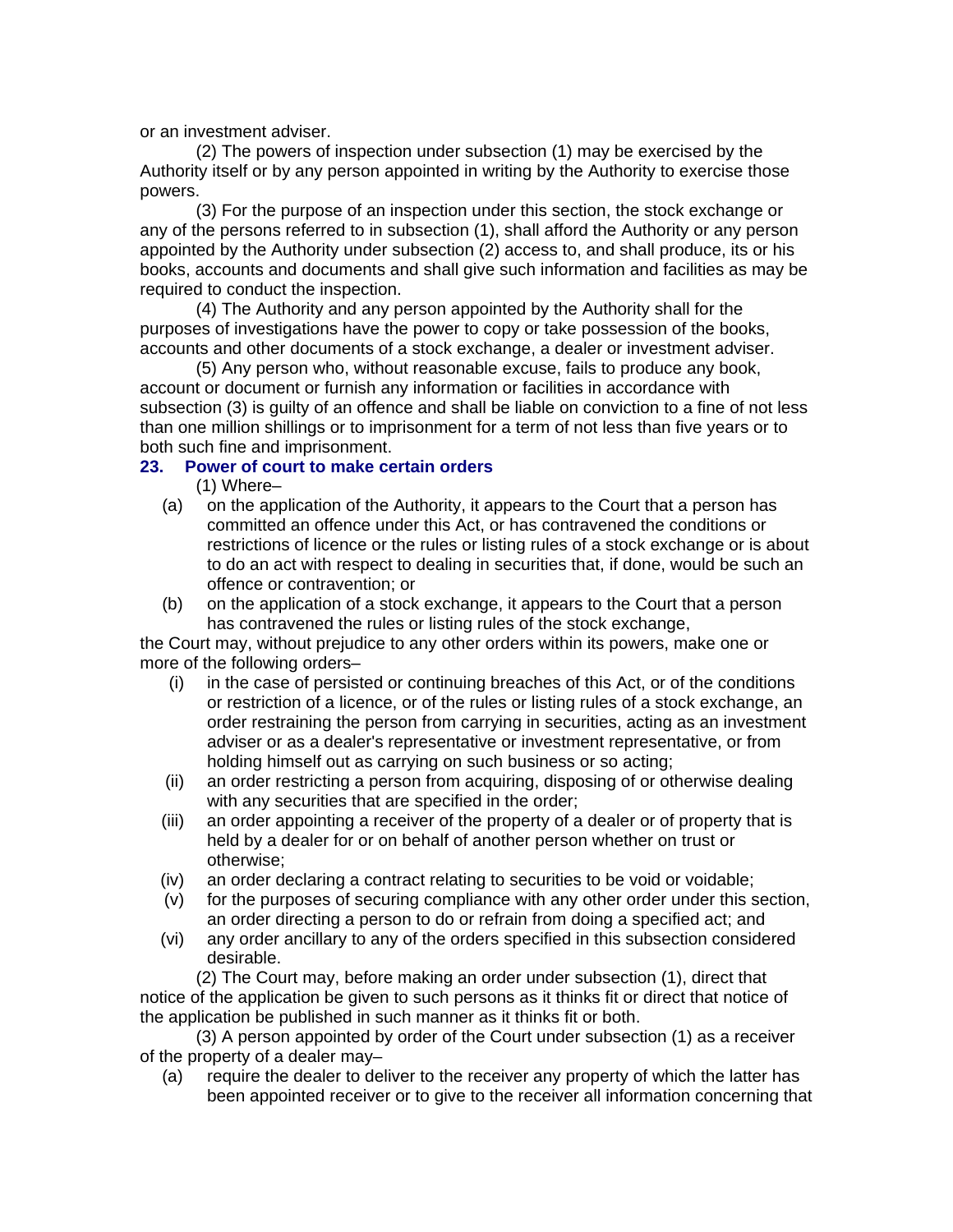or an investment adviser.

(2) The powers of inspection under subsection (1) may be exercised by the Authority itself or by any person appointed in writing by the Authority to exercise those powers.

(3) For the purpose of an inspection under this section, the stock exchange or any of the persons referred to in subsection (1), shall afford the Authority or any person appointed by the Authority under subsection (2) access to, and shall produce, its or his books, accounts and documents and shall give such information and facilities as may be required to conduct the inspection.

(4) The Authority and any person appointed by the Authority shall for the purposes of investigations have the power to copy or take possession of the books, accounts and other documents of a stock exchange, a dealer or investment adviser.

(5) Any person who, without reasonable excuse, fails to produce any book, account or document or furnish any information or facilities in accordance with subsection (3) is guilty of an offence and shall be liable on conviction to a fine of not less than one million shillings or to imprisonment for a term of not less than five years or to both such fine and imprisonment.

### **23. Power of court to make certain orders**

(1) Where–

- (a) on the application of the Authority, it appears to the Court that a person has committed an offence under this Act, or has contravened the conditions or restrictions of licence or the rules or listing rules of a stock exchange or is about to do an act with respect to dealing in securities that, if done, would be such an offence or contravention; or
- (b) on the application of a stock exchange, it appears to the Court that a person has contravened the rules or listing rules of the stock exchange,

the Court may, without prejudice to any other orders within its powers, make one or more of the following orders–

- (i) in the case of persisted or continuing breaches of this Act, or of the conditions or restriction of a licence, or of the rules or listing rules of a stock exchange, an order restraining the person from carrying in securities, acting as an investment adviser or as a dealer's representative or investment representative, or from holding himself out as carrying on such business or so acting;
- (ii) an order restricting a person from acquiring, disposing of or otherwise dealing with any securities that are specified in the order;
- (iii) an order appointing a receiver of the property of a dealer or of property that is held by a dealer for or on behalf of another person whether on trust or otherwise;
- (iv) an order declaring a contract relating to securities to be void or voidable;
- (v) for the purposes of securing compliance with any other order under this section, an order directing a person to do or refrain from doing a specified act; and
- (vi) any order ancillary to any of the orders specified in this subsection considered desirable.

(2) The Court may, before making an order under subsection (1), direct that notice of the application be given to such persons as it thinks fit or direct that notice of the application be published in such manner as it thinks fit or both.

(3) A person appointed by order of the Court under subsection (1) as a receiver of the property of a dealer may–

(a) require the dealer to deliver to the receiver any property of which the latter has been appointed receiver or to give to the receiver all information concerning that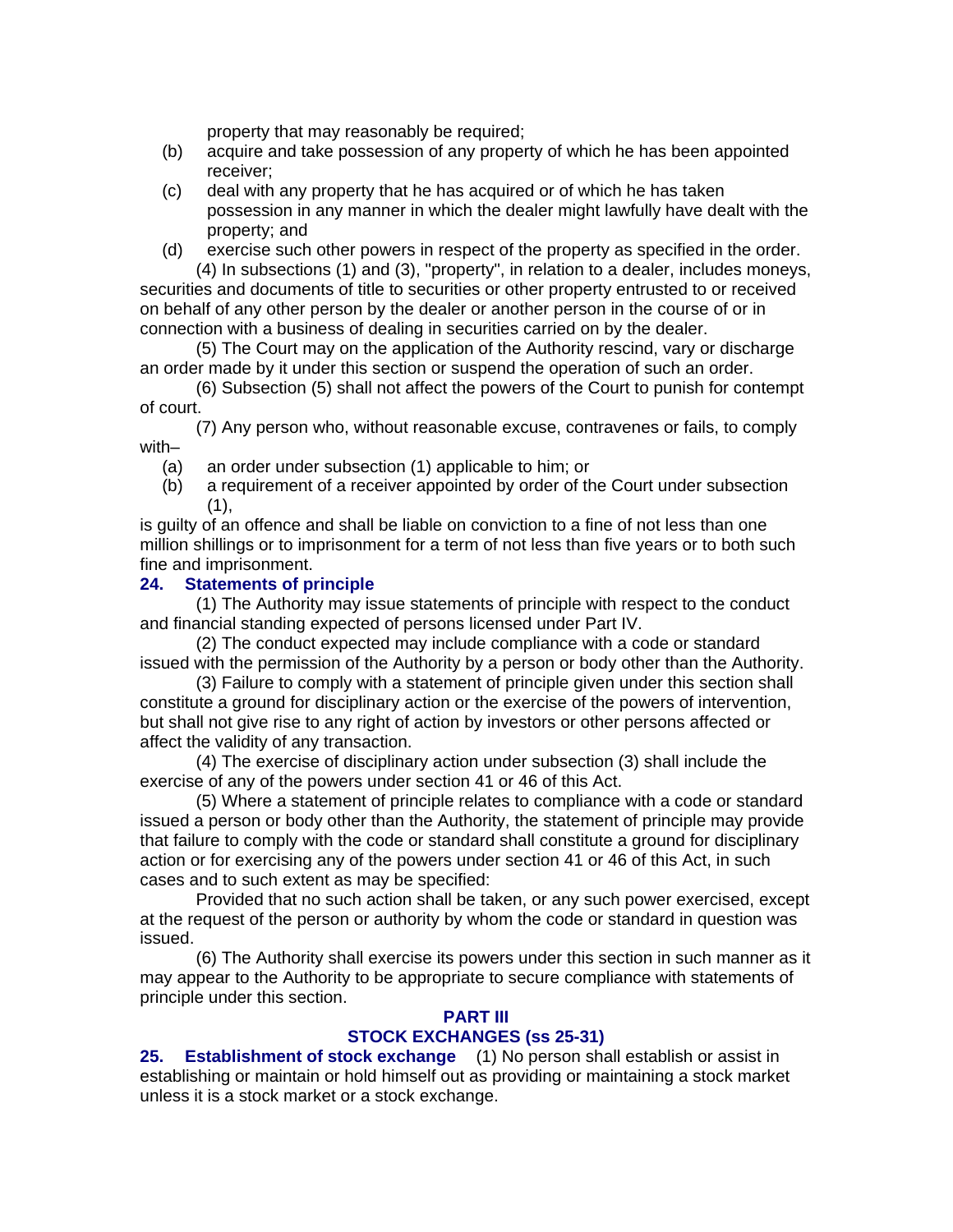property that may reasonably be required;

- (b) acquire and take possession of any property of which he has been appointed receiver;
- (c) deal with any property that he has acquired or of which he has taken possession in any manner in which the dealer might lawfully have dealt with the property; and
- (d) exercise such other powers in respect of the property as specified in the order. (4) In subsections (1) and (3), "property", in relation to a dealer, includes moneys,

securities and documents of title to securities or other property entrusted to or received on behalf of any other person by the dealer or another person in the course of or in connection with a business of dealing in securities carried on by the dealer.

(5) The Court may on the application of the Authority rescind, vary or discharge an order made by it under this section or suspend the operation of such an order.

(6) Subsection (5) shall not affect the powers of the Court to punish for contempt of court.

(7) Any person who, without reasonable excuse, contravenes or fails, to comply with–

- (a) an order under subsection (1) applicable to him; or
- (b) a requirement of a receiver appointed by order of the Court under subsection  $(1),$

is guilty of an offence and shall be liable on conviction to a fine of not less than one million shillings or to imprisonment for a term of not less than five years or to both such fine and imprisonment.

### **24. Statements of principle**

(1) The Authority may issue statements of principle with respect to the conduct and financial standing expected of persons licensed under Part IV.

(2) The conduct expected may include compliance with a code or standard issued with the permission of the Authority by a person or body other than the Authority.

(3) Failure to comply with a statement of principle given under this section shall constitute a ground for disciplinary action or the exercise of the powers of intervention, but shall not give rise to any right of action by investors or other persons affected or affect the validity of any transaction.

(4) The exercise of disciplinary action under subsection (3) shall include the exercise of any of the powers under section 41 or 46 of this Act.

(5) Where a statement of principle relates to compliance with a code or standard issued a person or body other than the Authority, the statement of principle may provide that failure to comply with the code or standard shall constitute a ground for disciplinary action or for exercising any of the powers under section 41 or 46 of this Act, in such cases and to such extent as may be specified:

Provided that no such action shall be taken, or any such power exercised, except at the request of the person or authority by whom the code or standard in question was issued.

(6) The Authority shall exercise its powers under this section in such manner as it may appear to the Authority to be appropriate to secure compliance with statements of principle under this section.

#### **PART III STOCK EXCHANGES (ss 25-31)**

**25. Establishment of stock exchange** (1) No person shall establish or assist in establishing or maintain or hold himself out as providing or maintaining a stock market unless it is a stock market or a stock exchange.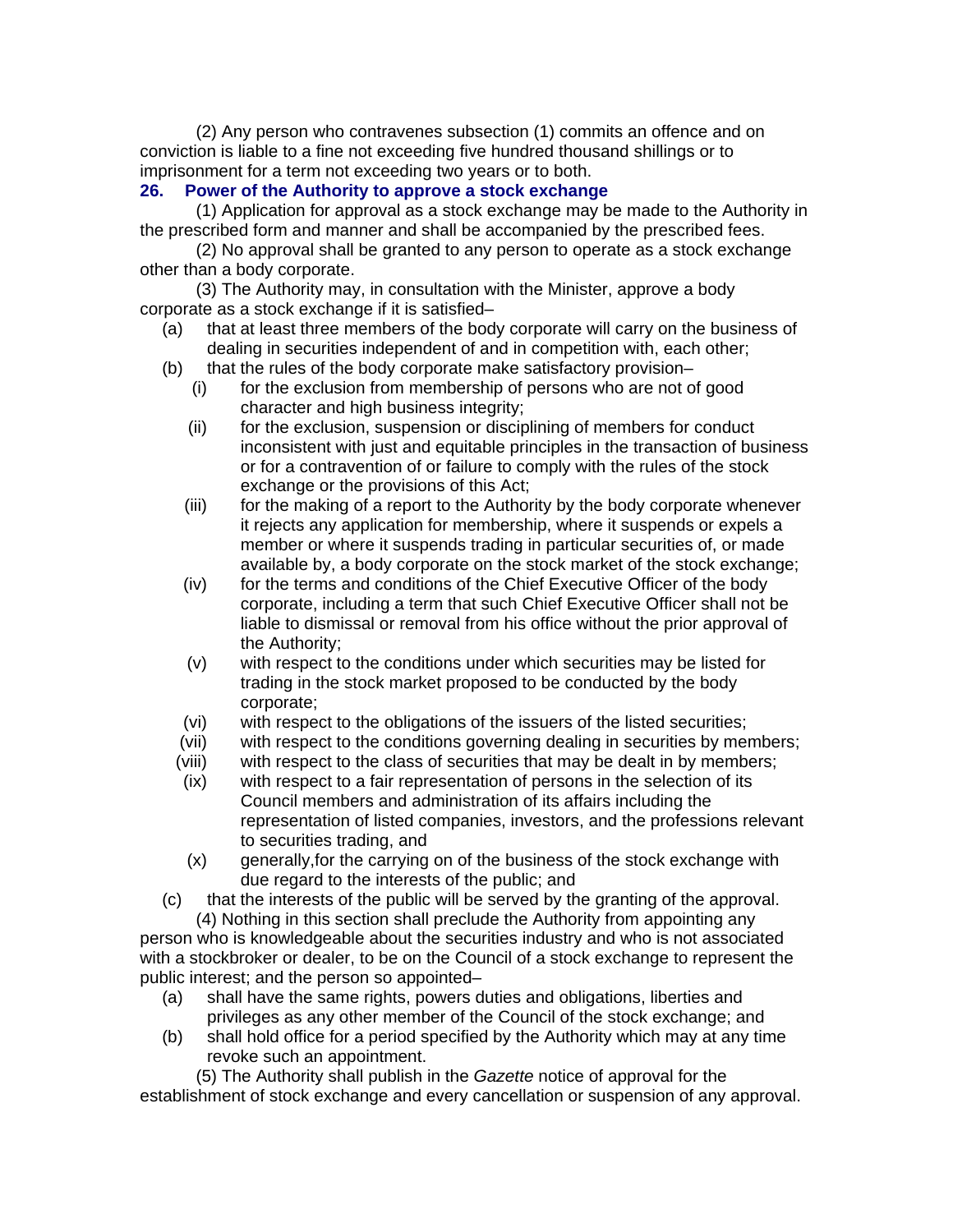(2) Any person who contravenes subsection (1) commits an offence and on conviction is liable to a fine not exceeding five hundred thousand shillings or to imprisonment for a term not exceeding two years or to both.

### **26. Power of the Authority to approve a stock exchange**

(1) Application for approval as a stock exchange may be made to the Authority in the prescribed form and manner and shall be accompanied by the prescribed fees.

(2) No approval shall be granted to any person to operate as a stock exchange other than a body corporate.

(3) The Authority may, in consultation with the Minister, approve a body corporate as a stock exchange if it is satisfied–

- (a) that at least three members of the body corporate will carry on the business of dealing in securities independent of and in competition with, each other;
- (b) that the rules of the body corporate make satisfactory provision–
	- (i) for the exclusion from membership of persons who are not of good character and high business integrity;
	- (ii) for the exclusion, suspension or disciplining of members for conduct inconsistent with just and equitable principles in the transaction of business or for a contravention of or failure to comply with the rules of the stock exchange or the provisions of this Act;
	- (iii) for the making of a report to the Authority by the body corporate whenever it rejects any application for membership, where it suspends or expels a member or where it suspends trading in particular securities of, or made available by, a body corporate on the stock market of the stock exchange;
	- (iv) for the terms and conditions of the Chief Executive Officer of the body corporate, including a term that such Chief Executive Officer shall not be liable to dismissal or removal from his office without the prior approval of the Authority;
	- (v) with respect to the conditions under which securities may be listed for trading in the stock market proposed to be conducted by the body corporate;
	- (vi) with respect to the obligations of the issuers of the listed securities;
	- (vii) with respect to the conditions governing dealing in securities by members;
	- (viii) with respect to the class of securities that may be dealt in by members;
	- (ix) with respect to a fair representation of persons in the selection of its Council members and administration of its affairs including the representation of listed companies, investors, and the professions relevant to securities trading, and
	- (x) generally,for the carrying on of the business of the stock exchange with due regard to the interests of the public; and
- (c) that the interests of the public will be served by the granting of the approval. (4) Nothing in this section shall preclude the Authority from appointing any

person who is knowledgeable about the securities industry and who is not associated with a stockbroker or dealer, to be on the Council of a stock exchange to represent the public interest; and the person so appointed–

- (a) shall have the same rights, powers duties and obligations, liberties and privileges as any other member of the Council of the stock exchange; and
- (b) shall hold office for a period specified by the Authority which may at any time revoke such an appointment.

(5) The Authority shall publish in the *Gazette* notice of approval for the establishment of stock exchange and every cancellation or suspension of any approval.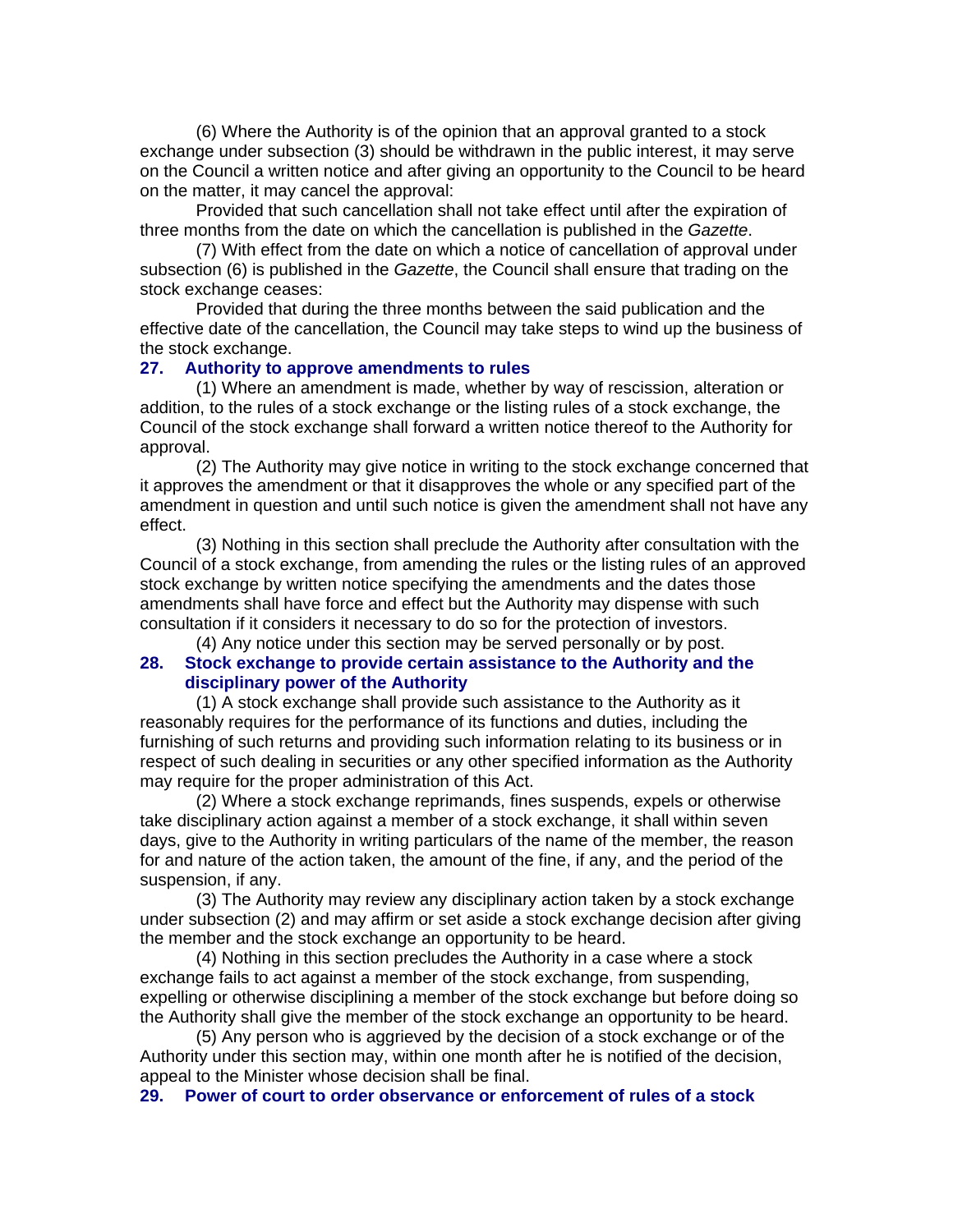(6) Where the Authority is of the opinion that an approval granted to a stock exchange under subsection (3) should be withdrawn in the public interest, it may serve on the Council a written notice and after giving an opportunity to the Council to be heard on the matter, it may cancel the approval:

Provided that such cancellation shall not take effect until after the expiration of three months from the date on which the cancellation is published in the *Gazette*.

(7) With effect from the date on which a notice of cancellation of approval under subsection (6) is published in the *Gazette*, the Council shall ensure that trading on the stock exchange ceases:

Provided that during the three months between the said publication and the effective date of the cancellation, the Council may take steps to wind up the business of the stock exchange.

#### **27. Authority to approve amendments to rules**

(1) Where an amendment is made, whether by way of rescission, alteration or addition, to the rules of a stock exchange or the listing rules of a stock exchange, the Council of the stock exchange shall forward a written notice thereof to the Authority for approval.

(2) The Authority may give notice in writing to the stock exchange concerned that it approves the amendment or that it disapproves the whole or any specified part of the amendment in question and until such notice is given the amendment shall not have any effect.

(3) Nothing in this section shall preclude the Authority after consultation with the Council of a stock exchange, from amending the rules or the listing rules of an approved stock exchange by written notice specifying the amendments and the dates those amendments shall have force and effect but the Authority may dispense with such consultation if it considers it necessary to do so for the protection of investors. (4) Any notice under this section may be served personally or by post.

### **28. Stock exchange to provide certain assistance to the Authority and the disciplinary power of the Authority**

(1) A stock exchange shall provide such assistance to the Authority as it reasonably requires for the performance of its functions and duties, including the furnishing of such returns and providing such information relating to its business or in respect of such dealing in securities or any other specified information as the Authority may require for the proper administration of this Act.

(2) Where a stock exchange reprimands, fines suspends, expels or otherwise take disciplinary action against a member of a stock exchange, it shall within seven days, give to the Authority in writing particulars of the name of the member, the reason for and nature of the action taken, the amount of the fine, if any, and the period of the suspension, if any.

(3) The Authority may review any disciplinary action taken by a stock exchange under subsection (2) and may affirm or set aside a stock exchange decision after giving the member and the stock exchange an opportunity to be heard.

(4) Nothing in this section precludes the Authority in a case where a stock exchange fails to act against a member of the stock exchange, from suspending, expelling or otherwise disciplining a member of the stock exchange but before doing so the Authority shall give the member of the stock exchange an opportunity to be heard.

(5) Any person who is aggrieved by the decision of a stock exchange or of the Authority under this section may, within one month after he is notified of the decision, appeal to the Minister whose decision shall be final.

**29. Power of court to order observance or enforcement of rules of a stock**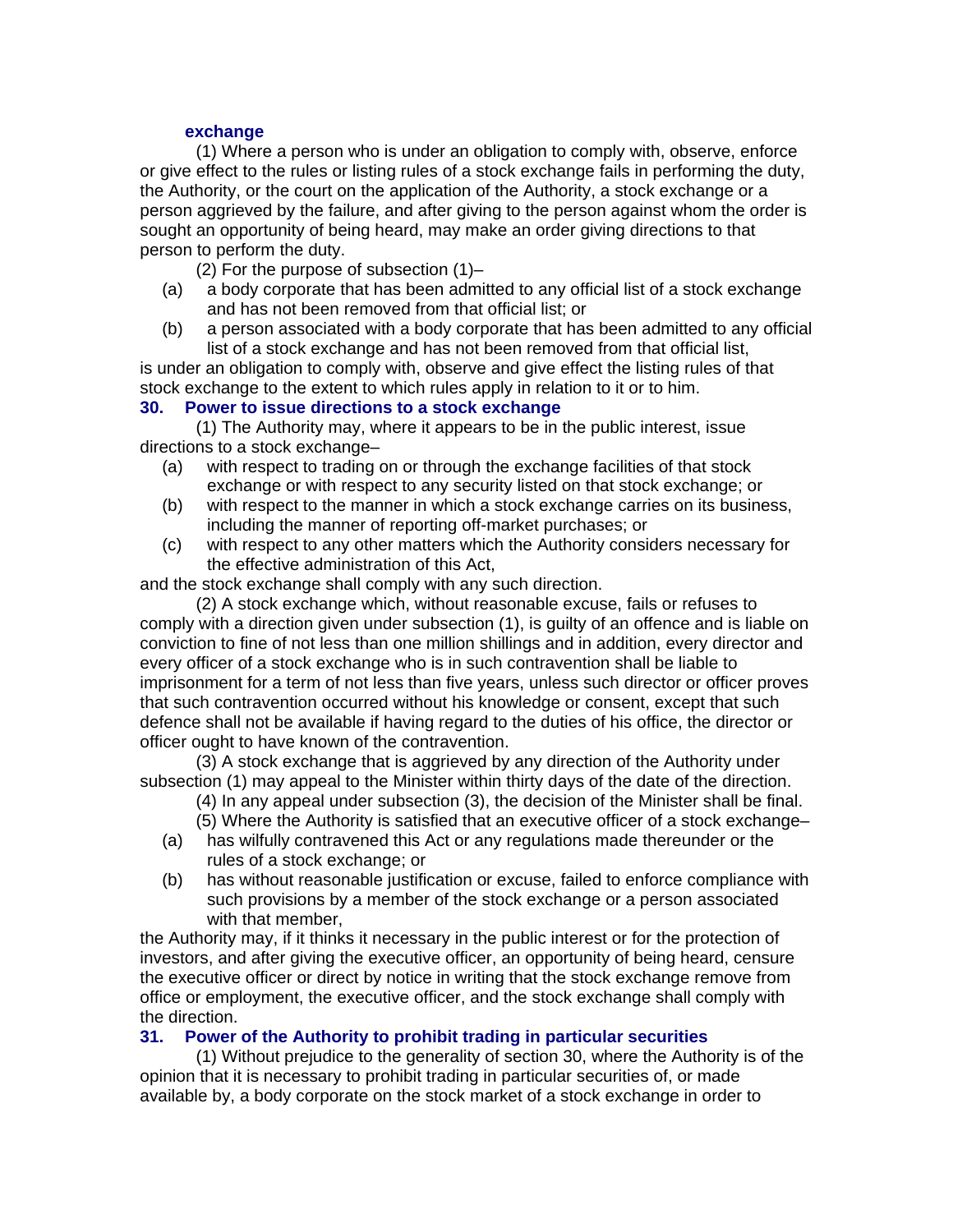### **exchange**

(1) Where a person who is under an obligation to comply with, observe, enforce or give effect to the rules or listing rules of a stock exchange fails in performing the duty, the Authority, or the court on the application of the Authority, a stock exchange or a person aggrieved by the failure, and after giving to the person against whom the order is sought an opportunity of being heard, may make an order giving directions to that person to perform the duty.

- (2) For the purpose of subsection (1)–
- (a) a body corporate that has been admitted to any official list of a stock exchange and has not been removed from that official list; or
- (b) a person associated with a body corporate that has been admitted to any official list of a stock exchange and has not been removed from that official list,

is under an obligation to comply with, observe and give effect the listing rules of that stock exchange to the extent to which rules apply in relation to it or to him.

### **30. Power to issue directions to a stock exchange**

(1) The Authority may, where it appears to be in the public interest, issue directions to a stock exchange–

- (a) with respect to trading on or through the exchange facilities of that stock exchange or with respect to any security listed on that stock exchange; or
- (b) with respect to the manner in which a stock exchange carries on its business, including the manner of reporting off-market purchases; or
- (c) with respect to any other matters which the Authority considers necessary for the effective administration of this Act,

and the stock exchange shall comply with any such direction.

(2) A stock exchange which, without reasonable excuse, fails or refuses to comply with a direction given under subsection (1), is guilty of an offence and is liable on conviction to fine of not less than one million shillings and in addition, every director and every officer of a stock exchange who is in such contravention shall be liable to imprisonment for a term of not less than five years, unless such director or officer proves that such contravention occurred without his knowledge or consent, except that such defence shall not be available if having regard to the duties of his office, the director or officer ought to have known of the contravention.

(3) A stock exchange that is aggrieved by any direction of the Authority under subsection (1) may appeal to the Minister within thirty days of the date of the direction.

- (4) In any appeal under subsection (3), the decision of the Minister shall be final.
- (5) Where the Authority is satisfied that an executive officer of a stock exchange–
- (a) has wilfully contravened this Act or any regulations made thereunder or the rules of a stock exchange; or
- (b) has without reasonable justification or excuse, failed to enforce compliance with such provisions by a member of the stock exchange or a person associated with that member,

the Authority may, if it thinks it necessary in the public interest or for the protection of investors, and after giving the executive officer, an opportunity of being heard, censure the executive officer or direct by notice in writing that the stock exchange remove from office or employment, the executive officer, and the stock exchange shall comply with the direction.

### **31. Power of the Authority to prohibit trading in particular securities**

(1) Without prejudice to the generality of section 30, where the Authority is of the opinion that it is necessary to prohibit trading in particular securities of, or made available by, a body corporate on the stock market of a stock exchange in order to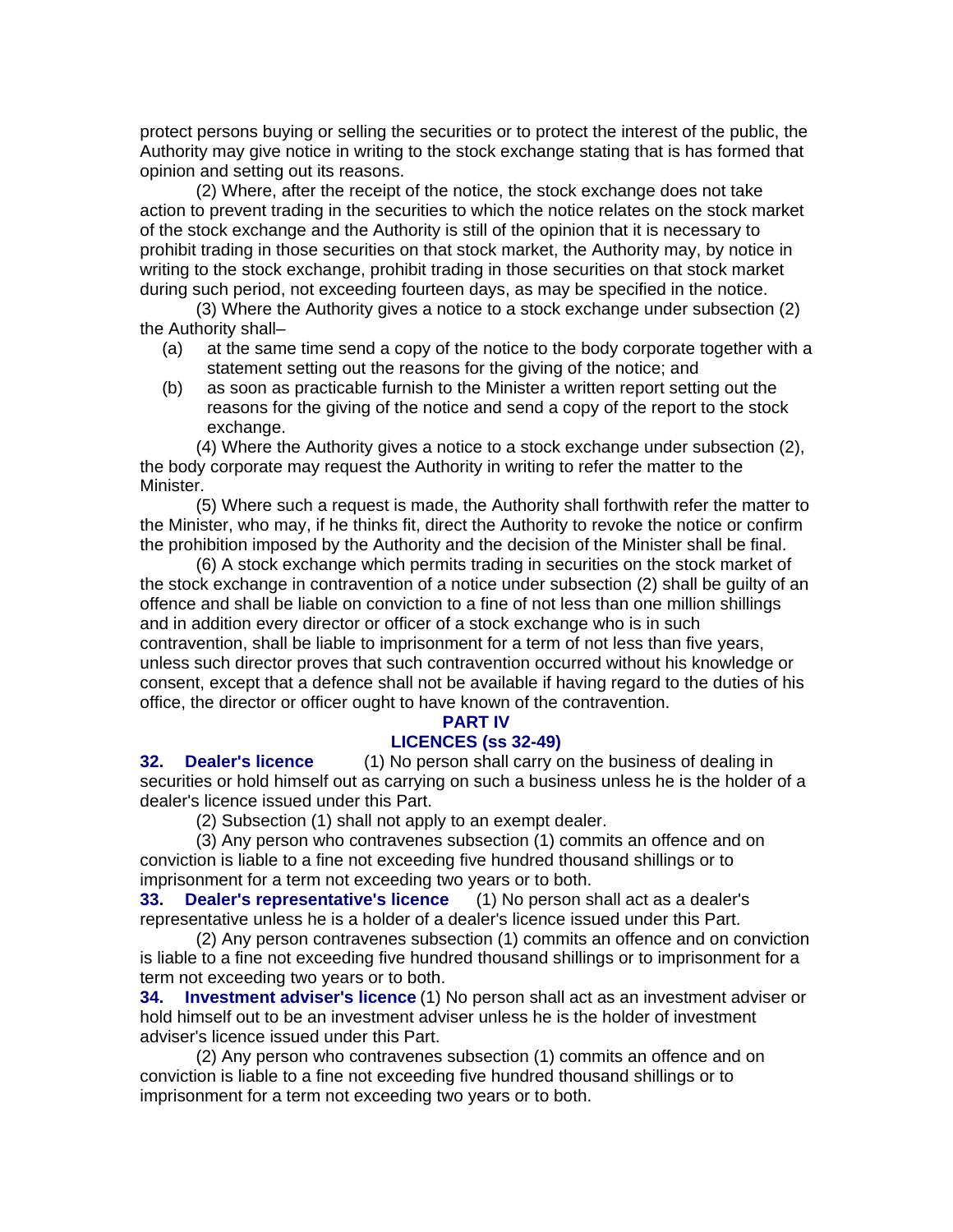protect persons buying or selling the securities or to protect the interest of the public, the Authority may give notice in writing to the stock exchange stating that is has formed that opinion and setting out its reasons.

(2) Where, after the receipt of the notice, the stock exchange does not take action to prevent trading in the securities to which the notice relates on the stock market of the stock exchange and the Authority is still of the opinion that it is necessary to prohibit trading in those securities on that stock market, the Authority may, by notice in writing to the stock exchange, prohibit trading in those securities on that stock market during such period, not exceeding fourteen days, as may be specified in the notice.

(3) Where the Authority gives a notice to a stock exchange under subsection (2) the Authority shall–

- (a) at the same time send a copy of the notice to the body corporate together with a statement setting out the reasons for the giving of the notice; and
- (b) as soon as practicable furnish to the Minister a written report setting out the reasons for the giving of the notice and send a copy of the report to the stock exchange.

(4) Where the Authority gives a notice to a stock exchange under subsection (2), the body corporate may request the Authority in writing to refer the matter to the Minister.

(5) Where such a request is made, the Authority shall forthwith refer the matter to the Minister, who may, if he thinks fit, direct the Authority to revoke the notice or confirm the prohibition imposed by the Authority and the decision of the Minister shall be final.

(6) A stock exchange which permits trading in securities on the stock market of the stock exchange in contravention of a notice under subsection (2) shall be guilty of an offence and shall be liable on conviction to a fine of not less than one million shillings and in addition every director or officer of a stock exchange who is in such contravention, shall be liable to imprisonment for a term of not less than five years, unless such director proves that such contravention occurred without his knowledge or consent, except that a defence shall not be available if having regard to the duties of his office, the director or officer ought to have known of the contravention.

#### **PART IV**

### **LICENCES (ss 32-49)**

**32. Dealer's licence** (1) No person shall carry on the business of dealing in securities or hold himself out as carrying on such a business unless he is the holder of a dealer's licence issued under this Part.

(2) Subsection (1) shall not apply to an exempt dealer.

(3) Any person who contravenes subsection (1) commits an offence and on conviction is liable to a fine not exceeding five hundred thousand shillings or to imprisonment for a term not exceeding two years or to both.

**33. Dealer's representative's licence** (1) No person shall act as a dealer's representative unless he is a holder of a dealer's licence issued under this Part.

(2) Any person contravenes subsection (1) commits an offence and on conviction is liable to a fine not exceeding five hundred thousand shillings or to imprisonment for a term not exceeding two years or to both.

**34. Investment adviser's licence** (1) No person shall act as an investment adviser or hold himself out to be an investment adviser unless he is the holder of investment adviser's licence issued under this Part.

(2) Any person who contravenes subsection (1) commits an offence and on conviction is liable to a fine not exceeding five hundred thousand shillings or to imprisonment for a term not exceeding two years or to both.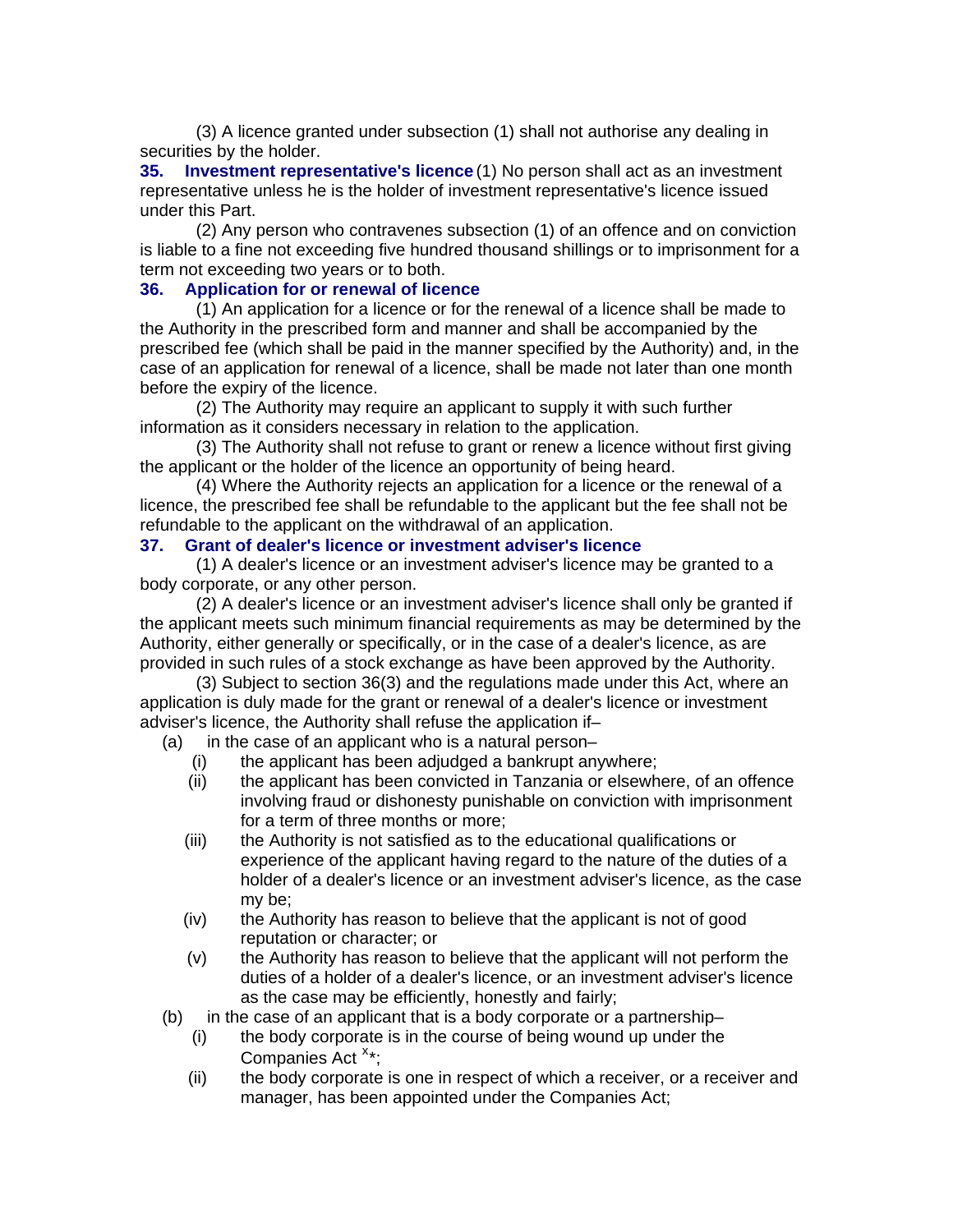(3) A licence granted under subsection (1) shall not authorise any dealing in securities by the holder.

**35. Investment representative's licence** (1) No person shall act as an investment representative unless he is the holder of investment representative's licence issued under this Part.

(2) Any person who contravenes subsection (1) of an offence and on conviction is liable to a fine not exceeding five hundred thousand shillings or to imprisonment for a term not exceeding two years or to both.

# **36. Application for or renewal of licence**

(1) An application for a licence or for the renewal of a licence shall be made to the Authority in the prescribed form and manner and shall be accompanied by the prescribed fee (which shall be paid in the manner specified by the Authority) and, in the case of an application for renewal of a licence, shall be made not later than one month before the expiry of the licence.

(2) The Authority may require an applicant to supply it with such further information as it considers necessary in relation to the application.

(3) The Authority shall not refuse to grant or renew a licence without first giving the applicant or the holder of the licence an opportunity of being heard.

(4) Where the Authority rejects an application for a licence or the renewal of a licence, the prescribed fee shall be refundable to the applicant but the fee shall not be refundable to the applicant on the withdrawal of an application.

### **37. Grant of dealer's licence or investment adviser's licence**

(1) A dealer's licence or an investment adviser's licence may be granted to a body corporate, or any other person.

(2) A dealer's licence or an investment adviser's licence shall only be granted if the applicant meets such minimum financial requirements as may be determined by the Authority, either generally or specifically, or in the case of a dealer's licence, as are provided in such rules of a stock exchange as have been approved by the Authority.

(3) Subject to section 36(3) and the regulations made under this Act, where an application is duly made for the grant or renewal of a dealer's licence or investment adviser's licence, the Authority shall refuse the application if–

(a) in the case of an applicant who is a natural person–

- (i) the applicant has been adjudged a bankrupt anywhere;
- (ii) the applicant has been convicted in Tanzania or elsewhere, of an offence involving fraud or dishonesty punishable on conviction with imprisonment for a term of three months or more;
- (iii) the Authority is not satisfied as to the educational qualifications or experience of the applicant having regard to the nature of the duties of a holder of a dealer's licence or an investment adviser's licence, as the case my be;
- (iv) the Authority has reason to believe that the applicant is not of good reputation or character; or
- (v) the Authority has reason to believe that the applicant will not perform the duties of a holder of a dealer's licence, or an investment adviser's licence as the case may be efficiently, honestly and fairly;
- (b) in the case of an applicant that is a body corporate or a partnership–
	- (i) the body corporate is in the course of being wound up under the Companies Act  $x^*$  $x^*$ ;
	- (ii) the body corporate is one in respect of which a receiver, or a receiver and manager, has been appointed under the Companies Act;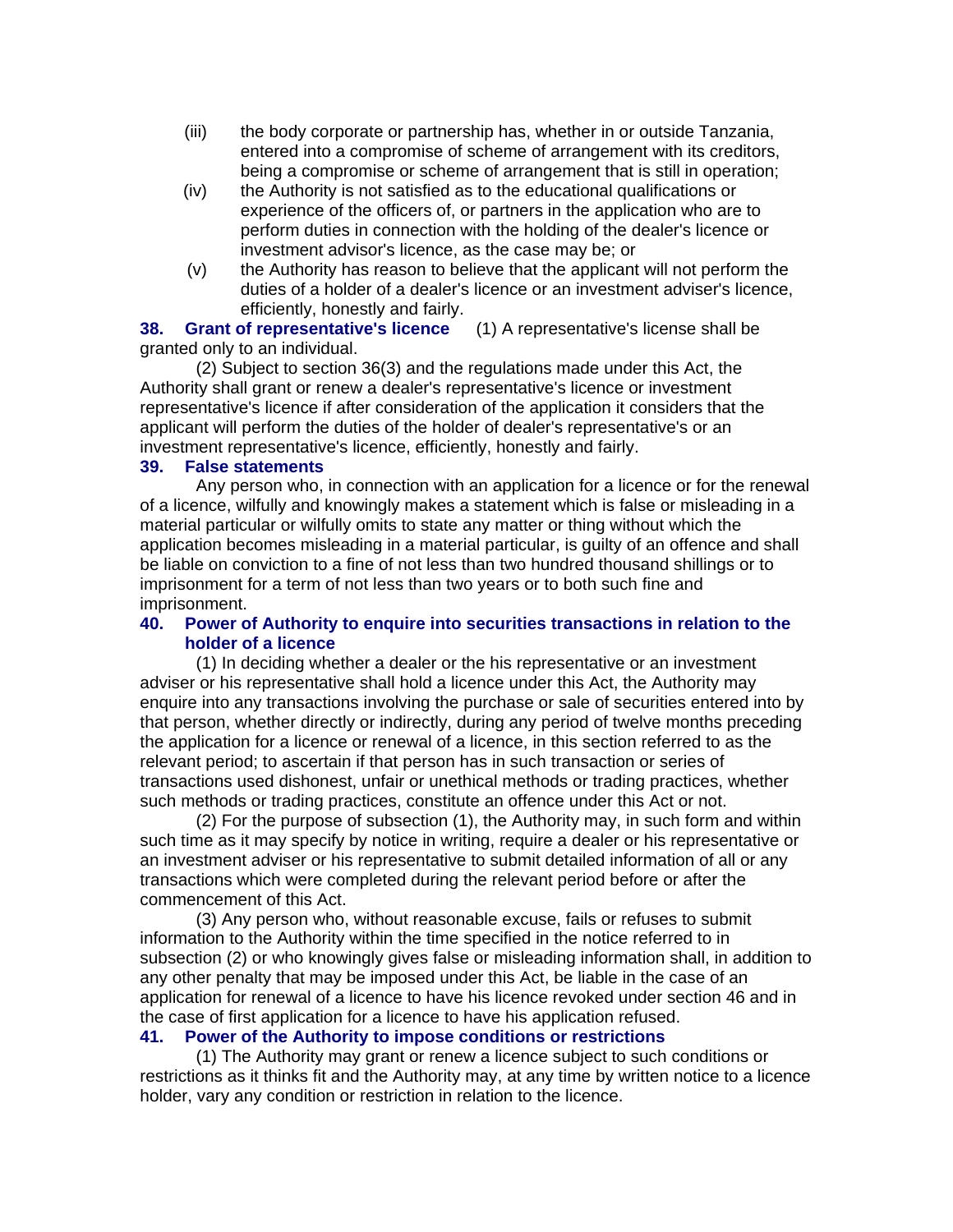- (iii) the body corporate or partnership has, whether in or outside Tanzania, entered into a compromise of scheme of arrangement with its creditors, being a compromise or scheme of arrangement that is still in operation;
- (iv) the Authority is not satisfied as to the educational qualifications or experience of the officers of, or partners in the application who are to perform duties in connection with the holding of the dealer's licence or investment advisor's licence, as the case may be; or
- (v) the Authority has reason to believe that the applicant will not perform the duties of a holder of a dealer's licence or an investment adviser's licence, efficiently, honestly and fairly.

**38. Grant of representative's licence** (1) A representative's license shall be granted only to an individual.

(2) Subject to section 36(3) and the regulations made under this Act, the Authority shall grant or renew a dealer's representative's licence or investment representative's licence if after consideration of the application it considers that the applicant will perform the duties of the holder of dealer's representative's or an investment representative's licence, efficiently, honestly and fairly.

#### **39. False statements**

Any person who, in connection with an application for a licence or for the renewal of a licence, wilfully and knowingly makes a statement which is false or misleading in a material particular or wilfully omits to state any matter or thing without which the application becomes misleading in a material particular, is guilty of an offence and shall be liable on conviction to a fine of not less than two hundred thousand shillings or to imprisonment for a term of not less than two years or to both such fine and imprisonment.

#### **40. Power of Authority to enquire into securities transactions in relation to the holder of a licence**

(1) In deciding whether a dealer or the his representative or an investment adviser or his representative shall hold a licence under this Act, the Authority may enquire into any transactions involving the purchase or sale of securities entered into by that person, whether directly or indirectly, during any period of twelve months preceding the application for a licence or renewal of a licence, in this section referred to as the relevant period; to ascertain if that person has in such transaction or series of transactions used dishonest, unfair or unethical methods or trading practices, whether such methods or trading practices, constitute an offence under this Act or not.

(2) For the purpose of subsection (1), the Authority may, in such form and within such time as it may specify by notice in writing, require a dealer or his representative or an investment adviser or his representative to submit detailed information of all or any transactions which were completed during the relevant period before or after the commencement of this Act.

(3) Any person who, without reasonable excuse, fails or refuses to submit information to the Authority within the time specified in the notice referred to in subsection (2) or who knowingly gives false or misleading information shall, in addition to any other penalty that may be imposed under this Act, be liable in the case of an application for renewal of a licence to have his licence revoked under section 46 and in the case of first application for a licence to have his application refused.

#### **41. Power of the Authority to impose conditions or restrictions**

(1) The Authority may grant or renew a licence subject to such conditions or restrictions as it thinks fit and the Authority may, at any time by written notice to a licence holder, vary any condition or restriction in relation to the licence.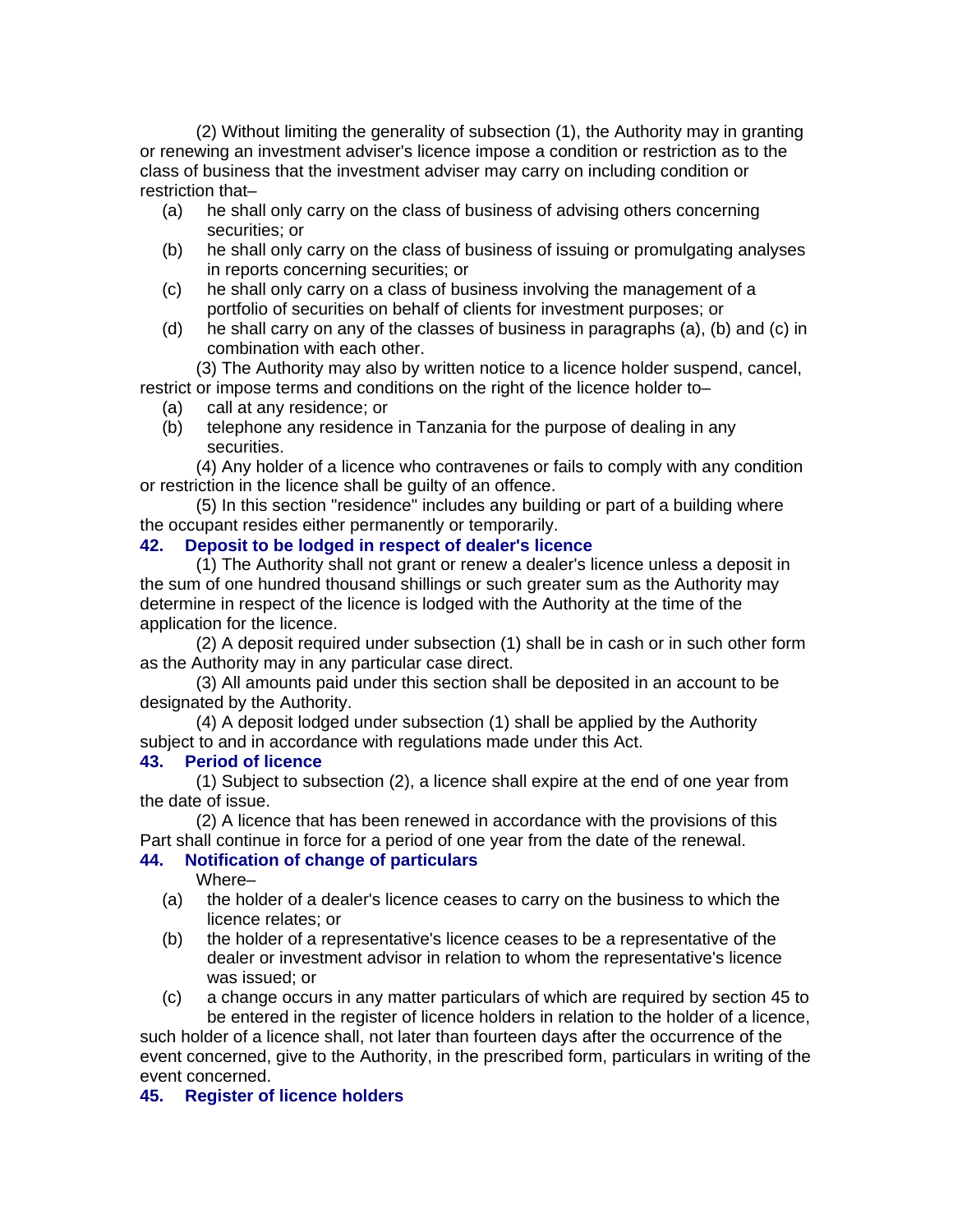(2) Without limiting the generality of subsection (1), the Authority may in granting or renewing an investment adviser's licence impose a condition or restriction as to the class of business that the investment adviser may carry on including condition or restriction that–

- (a) he shall only carry on the class of business of advising others concerning securities; or
- (b) he shall only carry on the class of business of issuing or promulgating analyses in reports concerning securities; or
- (c) he shall only carry on a class of business involving the management of a portfolio of securities on behalf of clients for investment purposes; or
- (d) he shall carry on any of the classes of business in paragraphs (a), (b) and (c) in combination with each other.

(3) The Authority may also by written notice to a licence holder suspend, cancel, restrict or impose terms and conditions on the right of the licence holder to–

- (a) call at any residence; or
- (b) telephone any residence in Tanzania for the purpose of dealing in any securities.

(4) Any holder of a licence who contravenes or fails to comply with any condition or restriction in the licence shall be guilty of an offence.

(5) In this section "residence" includes any building or part of a building where the occupant resides either permanently or temporarily.

### **42. Deposit to be lodged in respect of dealer's licence**

(1) The Authority shall not grant or renew a dealer's licence unless a deposit in the sum of one hundred thousand shillings or such greater sum as the Authority may determine in respect of the licence is lodged with the Authority at the time of the application for the licence.

(2) A deposit required under subsection (1) shall be in cash or in such other form as the Authority may in any particular case direct.

(3) All amounts paid under this section shall be deposited in an account to be designated by the Authority.

(4) A deposit lodged under subsection (1) shall be applied by the Authority subject to and in accordance with regulations made under this Act.

### **43. Period of licence**

(1) Subject to subsection (2), a licence shall expire at the end of one year from the date of issue.

(2) A licence that has been renewed in accordance with the provisions of this Part shall continue in force for a period of one year from the date of the renewal.

### **44. Notification of change of particulars**

Where–

- (a) the holder of a dealer's licence ceases to carry on the business to which the licence relates; or
- (b) the holder of a representative's licence ceases to be a representative of the dealer or investment advisor in relation to whom the representative's licence was issued; or
- (c) a change occurs in any matter particulars of which are required by section 45 to be entered in the register of licence holders in relation to the holder of a licence,

such holder of a licence shall, not later than fourteen days after the occurrence of the event concerned, give to the Authority, in the prescribed form, particulars in writing of the event concerned.

### **45. Register of licence holders**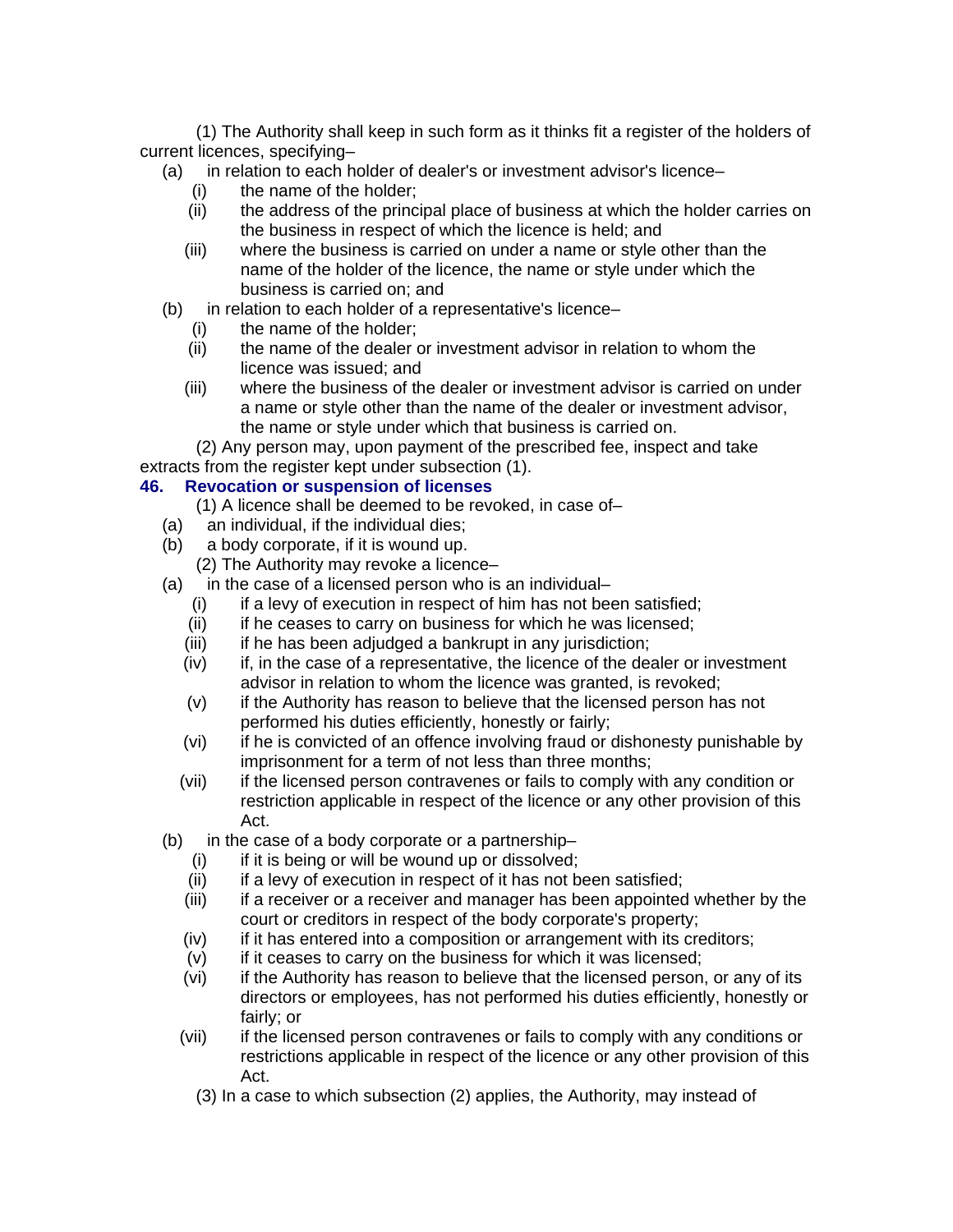(1) The Authority shall keep in such form as it thinks fit a register of the holders of current licences, specifying–

- (a) in relation to each holder of dealer's or investment advisor's licence–
	- (i) the name of the holder;
	- (ii) the address of the principal place of business at which the holder carries on the business in respect of which the licence is held; and
	- (iii) where the business is carried on under a name or style other than the name of the holder of the licence, the name or style under which the business is carried on; and
- (b) in relation to each holder of a representative's licence–
	- (i) the name of the holder;
	- (ii) the name of the dealer or investment advisor in relation to whom the licence was issued; and
	- (iii) where the business of the dealer or investment advisor is carried on under a name or style other than the name of the dealer or investment advisor, the name or style under which that business is carried on.

(2) Any person may, upon payment of the prescribed fee, inspect and take extracts from the register kept under subsection (1).

### **46. Revocation or suspension of licenses**

- (1) A licence shall be deemed to be revoked, in case of–
- (a) an individual, if the individual dies;
- (b) a body corporate, if it is wound up.
	- (2) The Authority may revoke a licence–
- (a) in the case of a licensed person who is an individual–
	- $(i)$  if a levy of execution in respect of him has not been satisfied;
	- (ii) if he ceases to carry on business for which he was licensed;
	- (iii) if he has been adjudged a bankrupt in any jurisdiction;
	- (iv) if, in the case of a representative, the licence of the dealer or investment advisor in relation to whom the licence was granted, is revoked;
	- (v) if the Authority has reason to believe that the licensed person has not performed his duties efficiently, honestly or fairly;
	- (vi) if he is convicted of an offence involving fraud or dishonesty punishable by imprisonment for a term of not less than three months;
	- (vii) if the licensed person contravenes or fails to comply with any condition or restriction applicable in respect of the licence or any other provision of this Act.
- (b) in the case of a body corporate or a partnership–
	- $(i)$  if it is being or will be wound up or dissolved;
	- (ii) if a levy of execution in respect of it has not been satisfied;
	- (iii) if a receiver or a receiver and manager has been appointed whether by the court or creditors in respect of the body corporate's property;
	- (iv) if it has entered into a composition or arrangement with its creditors;
	- (v) if it ceases to carry on the business for which it was licensed;
	- (vi) if the Authority has reason to believe that the licensed person, or any of its directors or employees, has not performed his duties efficiently, honestly or fairly; or
	- (vii) if the licensed person contravenes or fails to comply with any conditions or restrictions applicable in respect of the licence or any other provision of this Act.
		- (3) In a case to which subsection (2) applies, the Authority, may instead of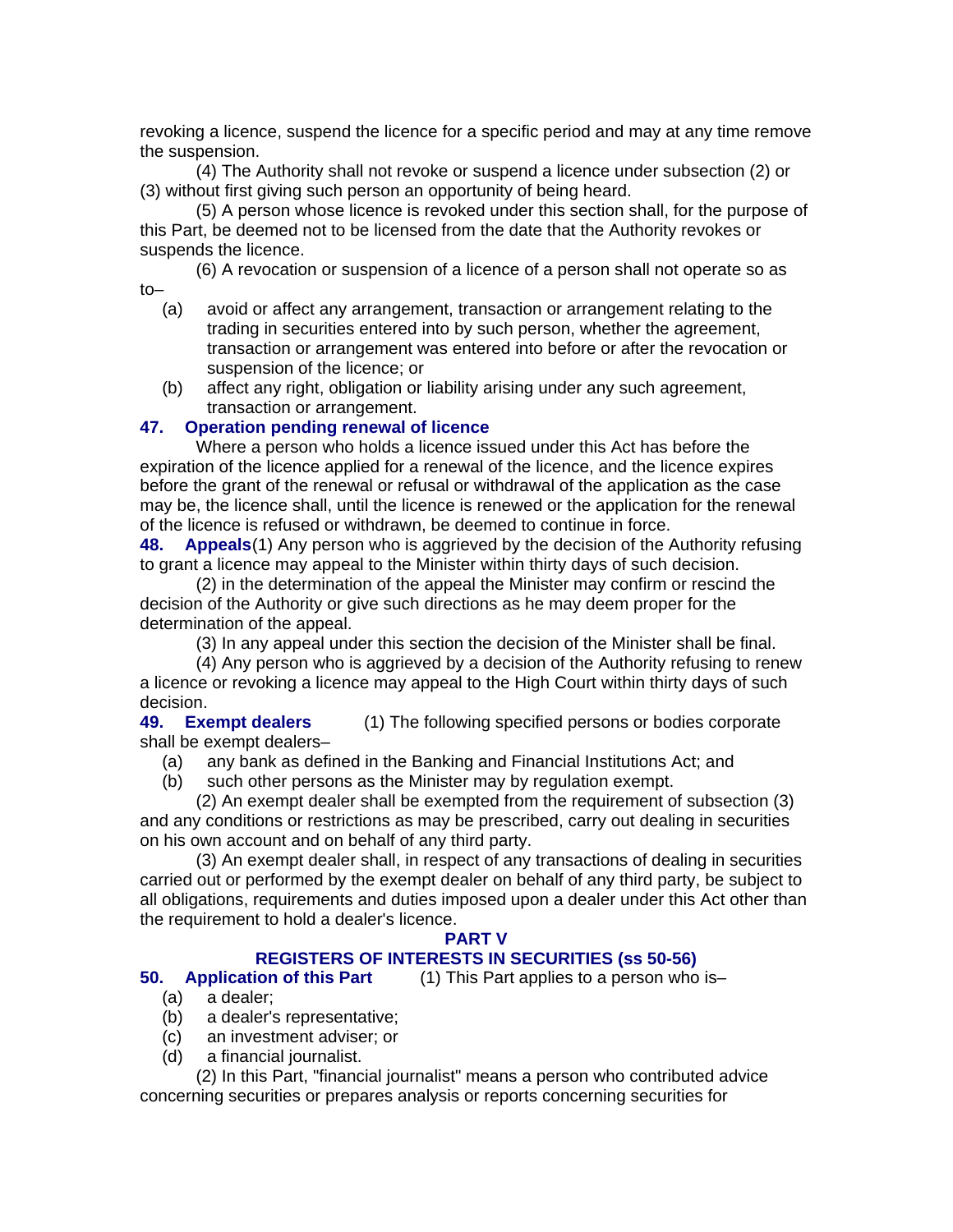revoking a licence, suspend the licence for a specific period and may at any time remove the suspension.

(4) The Authority shall not revoke or suspend a licence under subsection (2) or (3) without first giving such person an opportunity of being heard.

(5) A person whose licence is revoked under this section shall, for the purpose of this Part, be deemed not to be licensed from the date that the Authority revokes or suspends the licence.

(6) A revocation or suspension of a licence of a person shall not operate so as to–

- (a) avoid or affect any arrangement, transaction or arrangement relating to the trading in securities entered into by such person, whether the agreement, transaction or arrangement was entered into before or after the revocation or suspension of the licence; or
- (b) affect any right, obligation or liability arising under any such agreement, transaction or arrangement.

### **47. Operation pending renewal of licence**

Where a person who holds a licence issued under this Act has before the expiration of the licence applied for a renewal of the licence, and the licence expires before the grant of the renewal or refusal or withdrawal of the application as the case may be, the licence shall, until the licence is renewed or the application for the renewal of the licence is refused or withdrawn, be deemed to continue in force.

**48. Appeals**(1) Any person who is aggrieved by the decision of the Authority refusing to grant a licence may appeal to the Minister within thirty days of such decision.

(2) in the determination of the appeal the Minister may confirm or rescind the decision of the Authority or give such directions as he may deem proper for the determination of the appeal.

(3) In any appeal under this section the decision of the Minister shall be final.

(4) Any person who is aggrieved by a decision of the Authority refusing to renew a licence or revoking a licence may appeal to the High Court within thirty days of such decision.

**49. Exempt dealers** (1) The following specified persons or bodies corporate shall be exempt dealers–

- (a) any bank as defined in the Banking and Financial Institutions Act; and
- (b) such other persons as the Minister may by regulation exempt.

(2) An exempt dealer shall be exempted from the requirement of subsection (3) and any conditions or restrictions as may be prescribed, carry out dealing in securities on his own account and on behalf of any third party.

(3) An exempt dealer shall, in respect of any transactions of dealing in securities carried out or performed by the exempt dealer on behalf of any third party, be subject to all obligations, requirements and duties imposed upon a dealer under this Act other than the requirement to hold a dealer's licence.

#### **PART V**

### **REGISTERS OF INTERESTS IN SECURITIES (ss 50-56)**

**50. Application of this Part** (1) This Part applies to a person who is–

- (a) a dealer;
- (b) a dealer's representative;
- (c) an investment adviser; or
- (d) a financial journalist.

(2) In this Part, "financial journalist" means a person who contributed advice concerning securities or prepares analysis or reports concerning securities for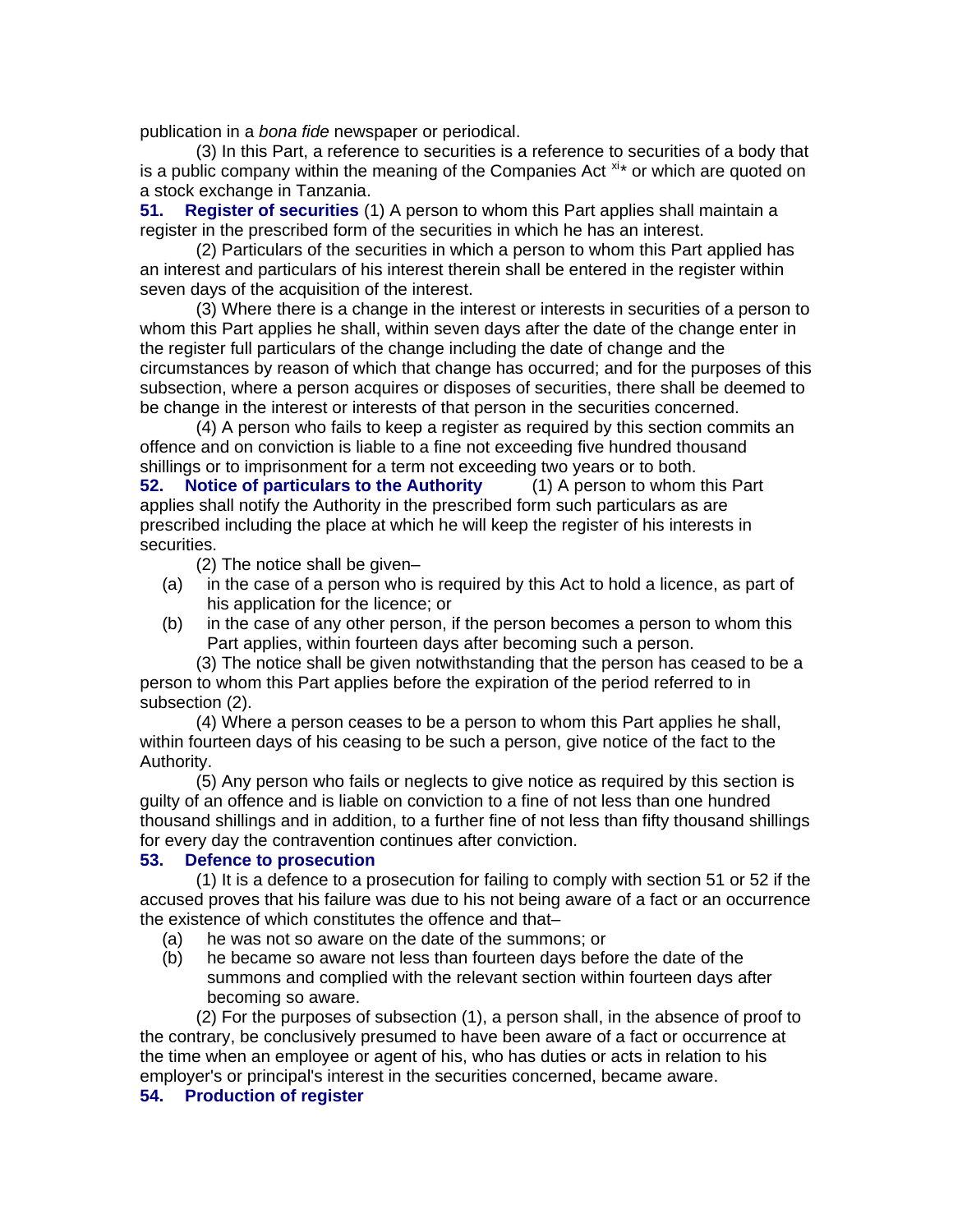publication in a *bona fide* newspaper or periodical.

(3) In this Part, a reference to securities is a reference to securities of a body that is a public company within the meaning of the Companies Act  $x^*$  or which are quoted on a stock exchange in Tanzania.

**51. Register of securities** (1) A person to whom this Part applies shall maintain a register in the prescribed form of the securities in which he has an interest.

(2) Particulars of the securities in which a person to whom this Part applied has an interest and particulars of his interest therein shall be entered in the register within seven days of the acquisition of the interest.

(3) Where there is a change in the interest or interests in securities of a person to whom this Part applies he shall, within seven days after the date of the change enter in the register full particulars of the change including the date of change and the circumstances by reason of which that change has occurred; and for the purposes of this subsection, where a person acquires or disposes of securities, there shall be deemed to be change in the interest or interests of that person in the securities concerned.

(4) A person who fails to keep a register as required by this section commits an offence and on conviction is liable to a fine not exceeding five hundred thousand shillings or to imprisonment for a term not exceeding two years or to both.

**52. Notice of particulars to the Authority** (1) A person to whom this Part applies shall notify the Authority in the prescribed form such particulars as are prescribed including the place at which he will keep the register of his interests in securities.

(2) The notice shall be given–

- (a) in the case of a person who is required by this Act to hold a licence, as part of his application for the licence; or
- (b) in the case of any other person, if the person becomes a person to whom this Part applies, within fourteen days after becoming such a person.

(3) The notice shall be given notwithstanding that the person has ceased to be a person to whom this Part applies before the expiration of the period referred to in subsection (2).

(4) Where a person ceases to be a person to whom this Part applies he shall, within fourteen days of his ceasing to be such a person, give notice of the fact to the Authority.

(5) Any person who fails or neglects to give notice as required by this section is guilty of an offence and is liable on conviction to a fine of not less than one hundred thousand shillings and in addition, to a further fine of not less than fifty thousand shillings for every day the contravention continues after conviction.

#### **53. Defence to prosecution**

(1) It is a defence to a prosecution for failing to comply with section 51 or 52 if the accused proves that his failure was due to his not being aware of a fact or an occurrence the existence of which constitutes the offence and that–

- (a) he was not so aware on the date of the summons; or
- (b) he became so aware not less than fourteen days before the date of the summons and complied with the relevant section within fourteen days after becoming so aware.

(2) For the purposes of subsection (1), a person shall, in the absence of proof to the contrary, be conclusively presumed to have been aware of a fact or occurrence at the time when an employee or agent of his, who has duties or acts in relation to his employer's or principal's interest in the securities concerned, became aware.

#### **54. Production of register**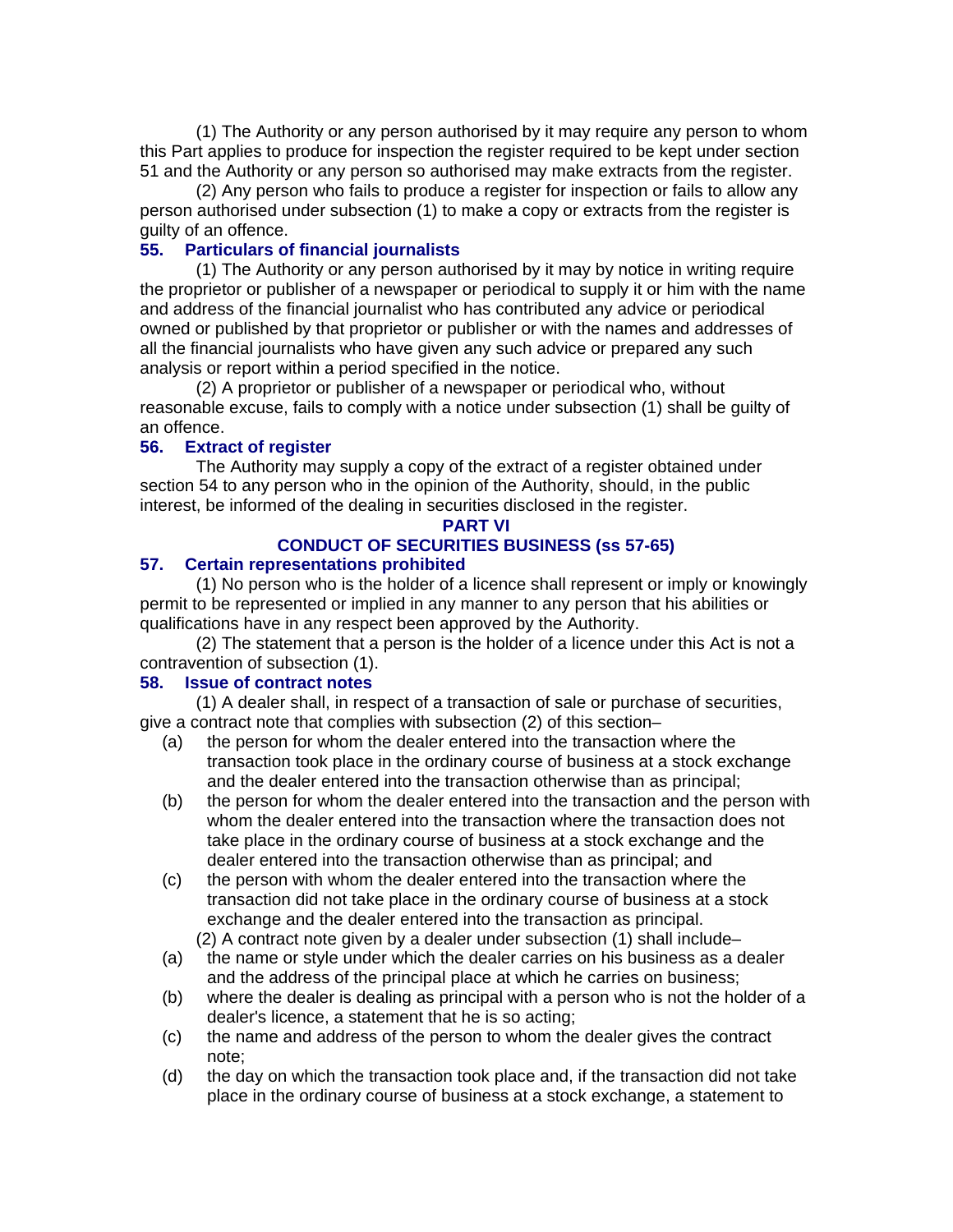(1) The Authority or any person authorised by it may require any person to whom this Part applies to produce for inspection the register required to be kept under section 51 and the Authority or any person so authorised may make extracts from the register.

(2) Any person who fails to produce a register for inspection or fails to allow any person authorised under subsection (1) to make a copy or extracts from the register is guilty of an offence.

#### **55. Particulars of financial journalists**

(1) The Authority or any person authorised by it may by notice in writing require the proprietor or publisher of a newspaper or periodical to supply it or him with the name and address of the financial journalist who has contributed any advice or periodical owned or published by that proprietor or publisher or with the names and addresses of all the financial journalists who have given any such advice or prepared any such analysis or report within a period specified in the notice.

(2) A proprietor or publisher of a newspaper or periodical who, without reasonable excuse, fails to comply with a notice under subsection (1) shall be guilty of an offence.

### **56. Extract of register**

The Authority may supply a copy of the extract of a register obtained under section 54 to any person who in the opinion of the Authority, should, in the public interest, be informed of the dealing in securities disclosed in the register.

#### **PART VI**

### **CONDUCT OF SECURITIES BUSINESS (ss 57-65)**

### **57. Certain representations prohibited**

(1) No person who is the holder of a licence shall represent or imply or knowingly permit to be represented or implied in any manner to any person that his abilities or qualifications have in any respect been approved by the Authority.

(2) The statement that a person is the holder of a licence under this Act is not a contravention of subsection (1).

#### **58. Issue of contract notes**

(1) A dealer shall, in respect of a transaction of sale or purchase of securities, give a contract note that complies with subsection (2) of this section–

- (a) the person for whom the dealer entered into the transaction where the transaction took place in the ordinary course of business at a stock exchange and the dealer entered into the transaction otherwise than as principal;
- (b) the person for whom the dealer entered into the transaction and the person with whom the dealer entered into the transaction where the transaction does not take place in the ordinary course of business at a stock exchange and the dealer entered into the transaction otherwise than as principal; and
- (c) the person with whom the dealer entered into the transaction where the transaction did not take place in the ordinary course of business at a stock exchange and the dealer entered into the transaction as principal.
	- (2) A contract note given by a dealer under subsection (1) shall include–
- (a) the name or style under which the dealer carries on his business as a dealer and the address of the principal place at which he carries on business;
- (b) where the dealer is dealing as principal with a person who is not the holder of a dealer's licence, a statement that he is so acting;
- (c) the name and address of the person to whom the dealer gives the contract note;
- (d) the day on which the transaction took place and, if the transaction did not take place in the ordinary course of business at a stock exchange, a statement to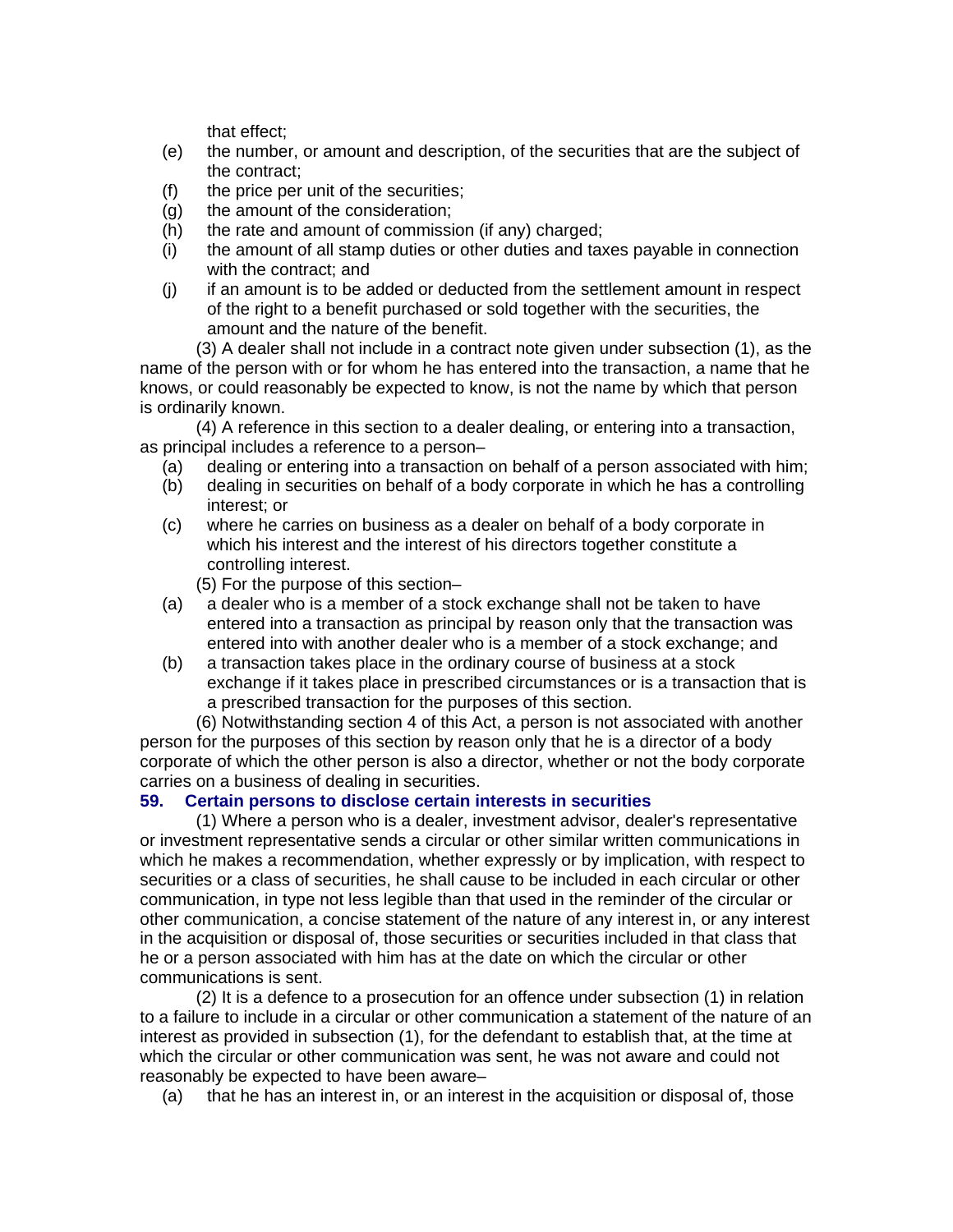that effect;

- (e) the number, or amount and description, of the securities that are the subject of the contract;
- (f) the price per unit of the securities;
- (g) the amount of the consideration;
- (h) the rate and amount of commission (if any) charged;
- (i) the amount of all stamp duties or other duties and taxes payable in connection with the contract; and
- (j) if an amount is to be added or deducted from the settlement amount in respect of the right to a benefit purchased or sold together with the securities, the amount and the nature of the benefit.

(3) A dealer shall not include in a contract note given under subsection (1), as the name of the person with or for whom he has entered into the transaction, a name that he knows, or could reasonably be expected to know, is not the name by which that person is ordinarily known.

(4) A reference in this section to a dealer dealing, or entering into a transaction, as principal includes a reference to a person–

- (a) dealing or entering into a transaction on behalf of a person associated with him;
- (b) dealing in securities on behalf of a body corporate in which he has a controlling interest; or
- (c) where he carries on business as a dealer on behalf of a body corporate in which his interest and the interest of his directors together constitute a controlling interest.
	- (5) For the purpose of this section–
- (a) a dealer who is a member of a stock exchange shall not be taken to have entered into a transaction as principal by reason only that the transaction was entered into with another dealer who is a member of a stock exchange; and
- (b) a transaction takes place in the ordinary course of business at a stock exchange if it takes place in prescribed circumstances or is a transaction that is a prescribed transaction for the purposes of this section.

(6) Notwithstanding section 4 of this Act, a person is not associated with another person for the purposes of this section by reason only that he is a director of a body corporate of which the other person is also a director, whether or not the body corporate carries on a business of dealing in securities.

### **59. Certain persons to disclose certain interests in securities**

(1) Where a person who is a dealer, investment advisor, dealer's representative or investment representative sends a circular or other similar written communications in which he makes a recommendation, whether expressly or by implication, with respect to securities or a class of securities, he shall cause to be included in each circular or other communication, in type not less legible than that used in the reminder of the circular or other communication, a concise statement of the nature of any interest in, or any interest in the acquisition or disposal of, those securities or securities included in that class that he or a person associated with him has at the date on which the circular or other communications is sent.

(2) It is a defence to a prosecution for an offence under subsection (1) in relation to a failure to include in a circular or other communication a statement of the nature of an interest as provided in subsection (1), for the defendant to establish that, at the time at which the circular or other communication was sent, he was not aware and could not reasonably be expected to have been aware–

(a) that he has an interest in, or an interest in the acquisition or disposal of, those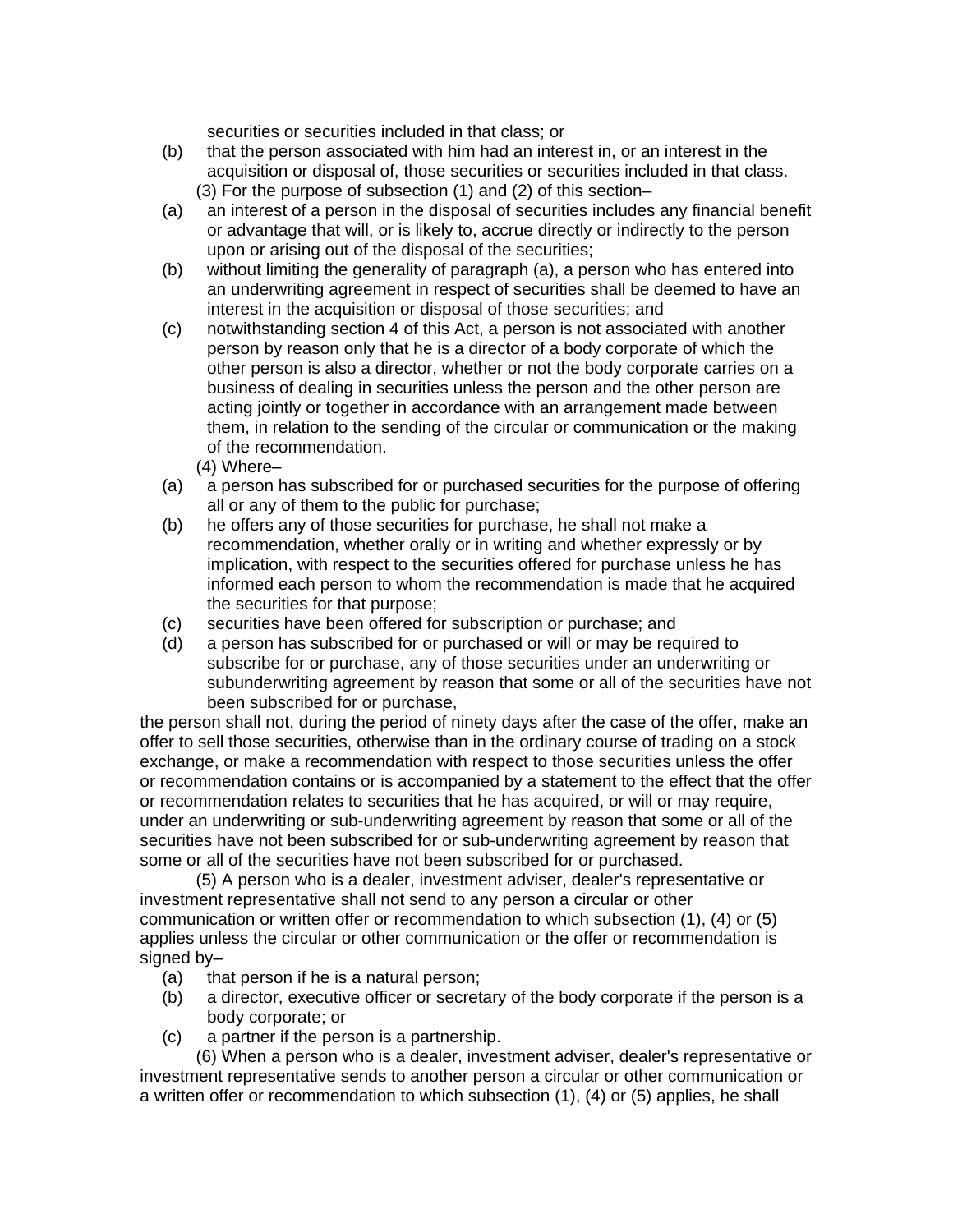securities or securities included in that class; or

- (b) that the person associated with him had an interest in, or an interest in the acquisition or disposal of, those securities or securities included in that class. (3) For the purpose of subsection (1) and (2) of this section–
- (a) an interest of a person in the disposal of securities includes any financial benefit or advantage that will, or is likely to, accrue directly or indirectly to the person upon or arising out of the disposal of the securities;
- (b) without limiting the generality of paragraph (a), a person who has entered into an underwriting agreement in respect of securities shall be deemed to have an interest in the acquisition or disposal of those securities; and
- (c) notwithstanding section 4 of this Act, a person is not associated with another person by reason only that he is a director of a body corporate of which the other person is also a director, whether or not the body corporate carries on a business of dealing in securities unless the person and the other person are acting jointly or together in accordance with an arrangement made between them, in relation to the sending of the circular or communication or the making of the recommendation.
	- (4) Where–
- (a) a person has subscribed for or purchased securities for the purpose of offering all or any of them to the public for purchase;
- (b) he offers any of those securities for purchase, he shall not make a recommendation, whether orally or in writing and whether expressly or by implication, with respect to the securities offered for purchase unless he has informed each person to whom the recommendation is made that he acquired the securities for that purpose;
- (c) securities have been offered for subscription or purchase; and
- (d) a person has subscribed for or purchased or will or may be required to subscribe for or purchase, any of those securities under an underwriting or subunderwriting agreement by reason that some or all of the securities have not been subscribed for or purchase,

the person shall not, during the period of ninety days after the case of the offer, make an offer to sell those securities, otherwise than in the ordinary course of trading on a stock exchange, or make a recommendation with respect to those securities unless the offer or recommendation contains or is accompanied by a statement to the effect that the offer or recommendation relates to securities that he has acquired, or will or may require, under an underwriting or sub-underwriting agreement by reason that some or all of the securities have not been subscribed for or sub-underwriting agreement by reason that some or all of the securities have not been subscribed for or purchased.

(5) A person who is a dealer, investment adviser, dealer's representative or investment representative shall not send to any person a circular or other communication or written offer or recommendation to which subsection (1), (4) or (5) applies unless the circular or other communication or the offer or recommendation is signed by–

- (a) that person if he is a natural person;
- (b) a director, executive officer or secretary of the body corporate if the person is a body corporate; or
- (c) a partner if the person is a partnership.

(6) When a person who is a dealer, investment adviser, dealer's representative or investment representative sends to another person a circular or other communication or a written offer or recommendation to which subsection (1), (4) or (5) applies, he shall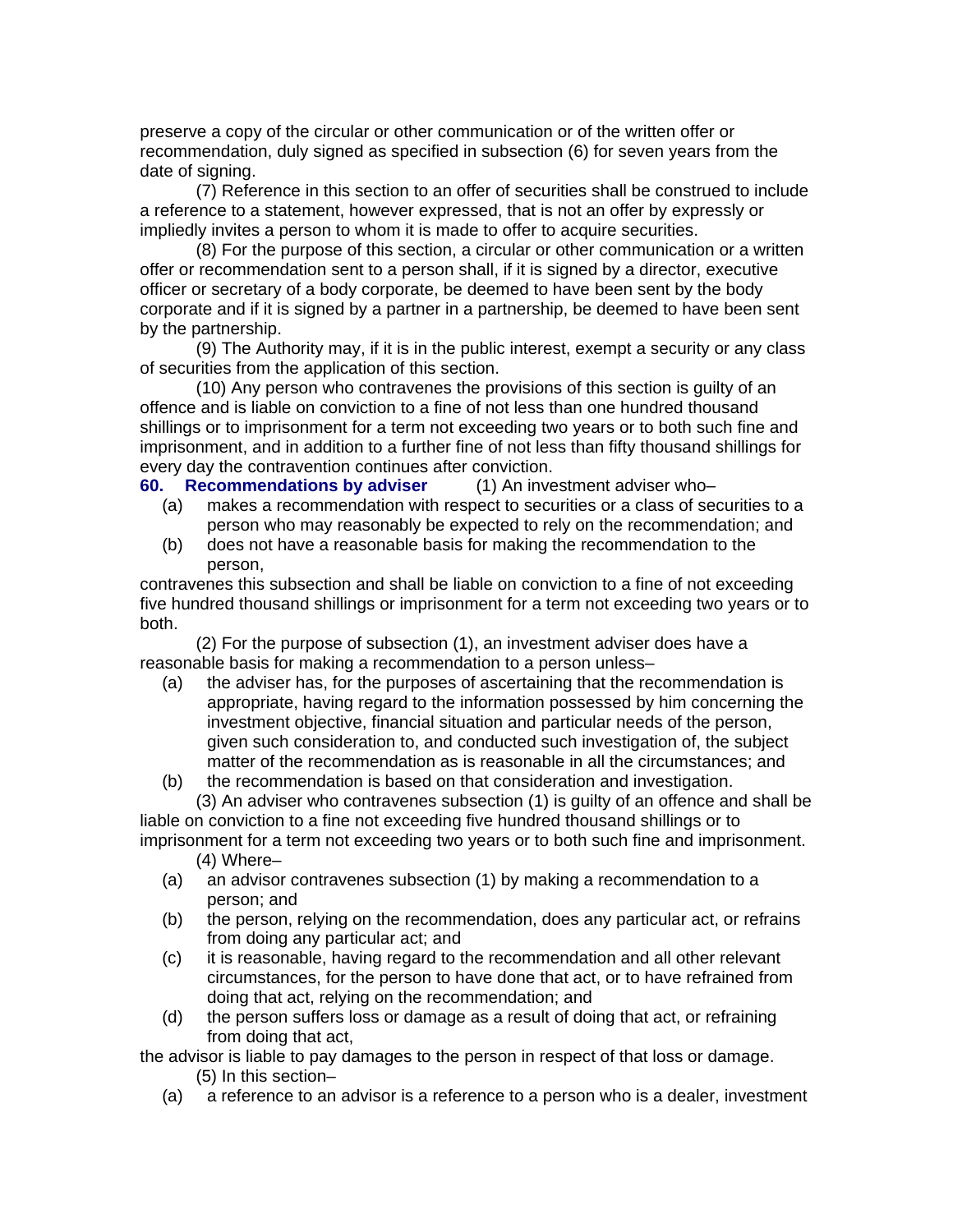preserve a copy of the circular or other communication or of the written offer or recommendation, duly signed as specified in subsection (6) for seven years from the date of signing.

(7) Reference in this section to an offer of securities shall be construed to include a reference to a statement, however expressed, that is not an offer by expressly or impliedly invites a person to whom it is made to offer to acquire securities.

(8) For the purpose of this section, a circular or other communication or a written offer or recommendation sent to a person shall, if it is signed by a director, executive officer or secretary of a body corporate, be deemed to have been sent by the body corporate and if it is signed by a partner in a partnership, be deemed to have been sent by the partnership.

(9) The Authority may, if it is in the public interest, exempt a security or any class of securities from the application of this section.

(10) Any person who contravenes the provisions of this section is guilty of an offence and is liable on conviction to a fine of not less than one hundred thousand shillings or to imprisonment for a term not exceeding two years or to both such fine and imprisonment, and in addition to a further fine of not less than fifty thousand shillings for every day the contravention continues after conviction.

**60. Recommendations by adviser** (1) An investment adviser who–

- (a) makes a recommendation with respect to securities or a class of securities to a person who may reasonably be expected to rely on the recommendation; and
- (b) does not have a reasonable basis for making the recommendation to the person,

contravenes this subsection and shall be liable on conviction to a fine of not exceeding five hundred thousand shillings or imprisonment for a term not exceeding two years or to both.

(2) For the purpose of subsection (1), an investment adviser does have a reasonable basis for making a recommendation to a person unless–

- (a) the adviser has, for the purposes of ascertaining that the recommendation is appropriate, having regard to the information possessed by him concerning the investment objective, financial situation and particular needs of the person, given such consideration to, and conducted such investigation of, the subject matter of the recommendation as is reasonable in all the circumstances; and
- (b) the recommendation is based on that consideration and investigation. (3) An adviser who contravenes subsection (1) is guilty of an offence and shall be

liable on conviction to a fine not exceeding five hundred thousand shillings or to imprisonment for a term not exceeding two years or to both such fine and imprisonment. (4) Where–

- (a) an advisor contravenes subsection (1) by making a recommendation to a person; and
- (b) the person, relying on the recommendation, does any particular act, or refrains from doing any particular act; and
- (c) it is reasonable, having regard to the recommendation and all other relevant circumstances, for the person to have done that act, or to have refrained from doing that act, relying on the recommendation; and
- (d) the person suffers loss or damage as a result of doing that act, or refraining from doing that act,

the advisor is liable to pay damages to the person in respect of that loss or damage. (5) In this section–

(a) a reference to an advisor is a reference to a person who is a dealer, investment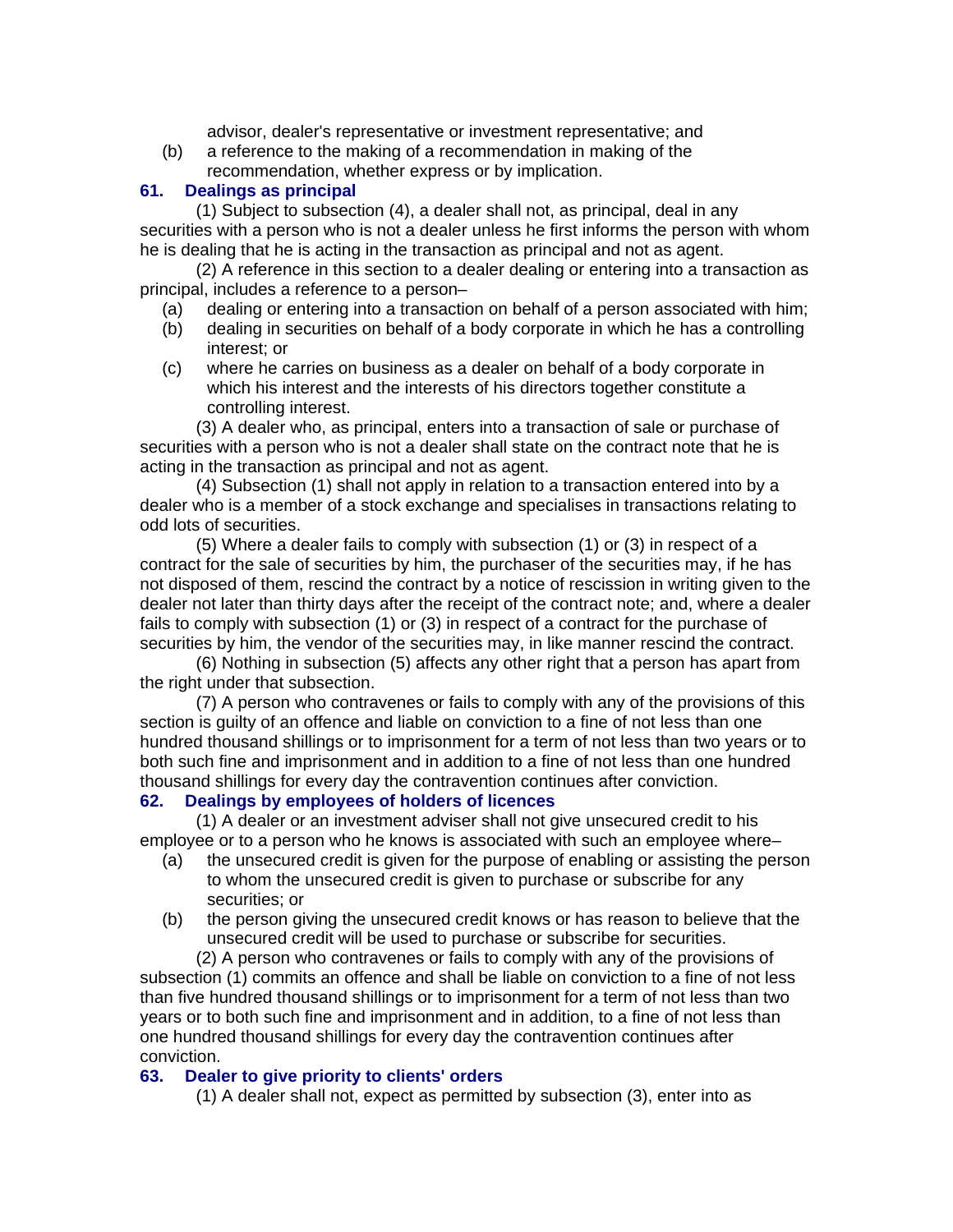advisor, dealer's representative or investment representative; and

(b) a reference to the making of a recommendation in making of the recommendation, whether express or by implication.

### **61. Dealings as principal**

(1) Subject to subsection (4), a dealer shall not, as principal, deal in any securities with a person who is not a dealer unless he first informs the person with whom he is dealing that he is acting in the transaction as principal and not as agent.

(2) A reference in this section to a dealer dealing or entering into a transaction as principal, includes a reference to a person–

- (a) dealing or entering into a transaction on behalf of a person associated with him;
- (b) dealing in securities on behalf of a body corporate in which he has a controlling interest; or
- (c) where he carries on business as a dealer on behalf of a body corporate in which his interest and the interests of his directors together constitute a controlling interest.

(3) A dealer who, as principal, enters into a transaction of sale or purchase of securities with a person who is not a dealer shall state on the contract note that he is acting in the transaction as principal and not as agent.

(4) Subsection (1) shall not apply in relation to a transaction entered into by a dealer who is a member of a stock exchange and specialises in transactions relating to odd lots of securities.

(5) Where a dealer fails to comply with subsection (1) or (3) in respect of a contract for the sale of securities by him, the purchaser of the securities may, if he has not disposed of them, rescind the contract by a notice of rescission in writing given to the dealer not later than thirty days after the receipt of the contract note; and, where a dealer fails to comply with subsection (1) or (3) in respect of a contract for the purchase of securities by him, the vendor of the securities may, in like manner rescind the contract.

(6) Nothing in subsection (5) affects any other right that a person has apart from the right under that subsection.

(7) A person who contravenes or fails to comply with any of the provisions of this section is guilty of an offence and liable on conviction to a fine of not less than one hundred thousand shillings or to imprisonment for a term of not less than two years or to both such fine and imprisonment and in addition to a fine of not less than one hundred thousand shillings for every day the contravention continues after conviction.

### **62. Dealings by employees of holders of licences**

(1) A dealer or an investment adviser shall not give unsecured credit to his employee or to a person who he knows is associated with such an employee where–

- (a) the unsecured credit is given for the purpose of enabling or assisting the person to whom the unsecured credit is given to purchase or subscribe for any securities; or
- (b) the person giving the unsecured credit knows or has reason to believe that the unsecured credit will be used to purchase or subscribe for securities.

(2) A person who contravenes or fails to comply with any of the provisions of subsection (1) commits an offence and shall be liable on conviction to a fine of not less than five hundred thousand shillings or to imprisonment for a term of not less than two years or to both such fine and imprisonment and in addition, to a fine of not less than one hundred thousand shillings for every day the contravention continues after conviction.

### **63. Dealer to give priority to clients' orders**

(1) A dealer shall not, expect as permitted by subsection (3), enter into as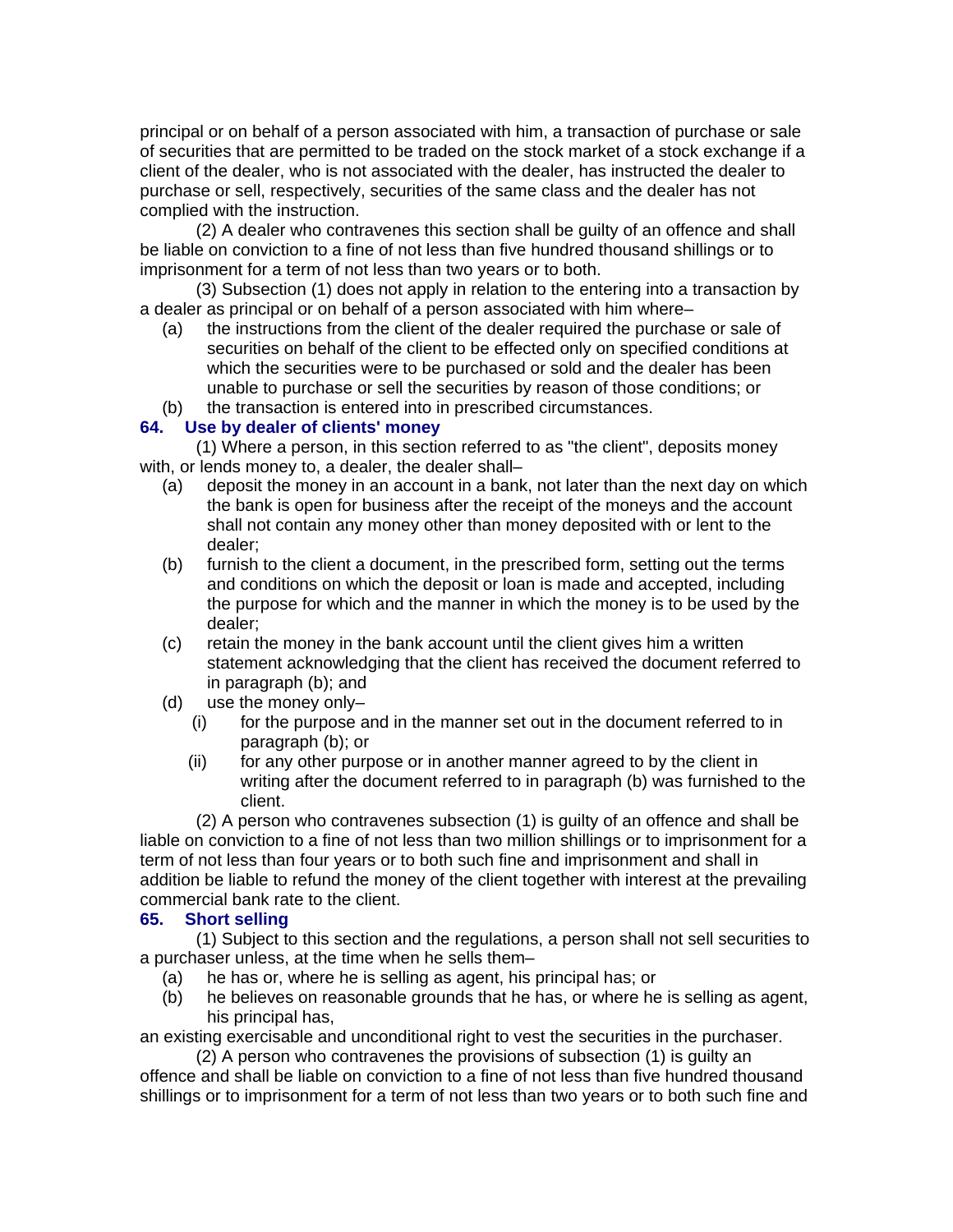principal or on behalf of a person associated with him, a transaction of purchase or sale of securities that are permitted to be traded on the stock market of a stock exchange if a client of the dealer, who is not associated with the dealer, has instructed the dealer to purchase or sell, respectively, securities of the same class and the dealer has not complied with the instruction.

(2) A dealer who contravenes this section shall be guilty of an offence and shall be liable on conviction to a fine of not less than five hundred thousand shillings or to imprisonment for a term of not less than two years or to both.

(3) Subsection (1) does not apply in relation to the entering into a transaction by a dealer as principal or on behalf of a person associated with him where–

- (a) the instructions from the client of the dealer required the purchase or sale of securities on behalf of the client to be effected only on specified conditions at which the securities were to be purchased or sold and the dealer has been unable to purchase or sell the securities by reason of those conditions; or
- (b) the transaction is entered into in prescribed circumstances.

#### **64. Use by dealer of clients' money**

(1) Where a person, in this section referred to as "the client", deposits money with, or lends money to, a dealer, the dealer shall–

- (a) deposit the money in an account in a bank, not later than the next day on which the bank is open for business after the receipt of the moneys and the account shall not contain any money other than money deposited with or lent to the dealer;
- (b) furnish to the client a document, in the prescribed form, setting out the terms and conditions on which the deposit or loan is made and accepted, including the purpose for which and the manner in which the money is to be used by the dealer;
- (c) retain the money in the bank account until the client gives him a written statement acknowledging that the client has received the document referred to in paragraph (b); and
- (d) use the money only–
	- (i) for the purpose and in the manner set out in the document referred to in paragraph (b); or
	- (ii) for any other purpose or in another manner agreed to by the client in writing after the document referred to in paragraph (b) was furnished to the client.

(2) A person who contravenes subsection (1) is guilty of an offence and shall be liable on conviction to a fine of not less than two million shillings or to imprisonment for a term of not less than four years or to both such fine and imprisonment and shall in addition be liable to refund the money of the client together with interest at the prevailing commercial bank rate to the client.

#### **65. Short selling**

(1) Subject to this section and the regulations, a person shall not sell securities to a purchaser unless, at the time when he sells them–

- (a) he has or, where he is selling as agent, his principal has; or
- (b) he believes on reasonable grounds that he has, or where he is selling as agent, his principal has,

an existing exercisable and unconditional right to vest the securities in the purchaser.

(2) A person who contravenes the provisions of subsection (1) is guilty an offence and shall be liable on conviction to a fine of not less than five hundred thousand shillings or to imprisonment for a term of not less than two years or to both such fine and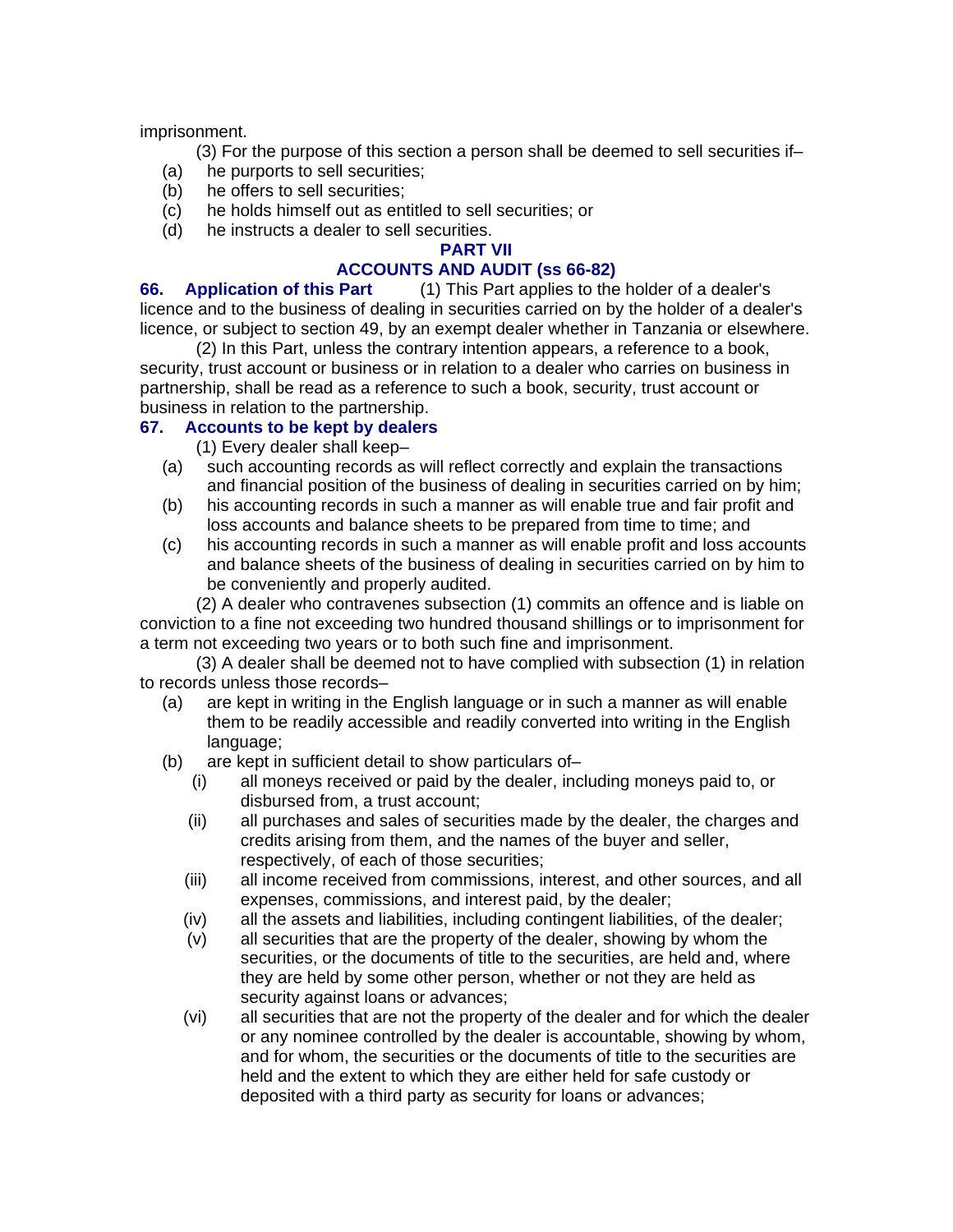imprisonment.

(3) For the purpose of this section a person shall be deemed to sell securities if–

- (a) he purports to sell securities;
- (b) he offers to sell securities;
- (c) he holds himself out as entitled to sell securities; or
- (d) he instructs a dealer to sell securities.

# **PART VII**

# **ACCOUNTS AND AUDIT (ss 66-82)**

**66. Application of this Part** (1) This Part applies to the holder of a dealer's licence and to the business of dealing in securities carried on by the holder of a dealer's licence, or subject to section 49, by an exempt dealer whether in Tanzania or elsewhere.

(2) In this Part, unless the contrary intention appears, a reference to a book, security, trust account or business or in relation to a dealer who carries on business in partnership, shall be read as a reference to such a book, security, trust account or business in relation to the partnership.

# **67. Accounts to be kept by dealers**

(1) Every dealer shall keep–

- (a) such accounting records as will reflect correctly and explain the transactions and financial position of the business of dealing in securities carried on by him;
- (b) his accounting records in such a manner as will enable true and fair profit and loss accounts and balance sheets to be prepared from time to time; and
- (c) his accounting records in such a manner as will enable profit and loss accounts and balance sheets of the business of dealing in securities carried on by him to be conveniently and properly audited.

(2) A dealer who contravenes subsection (1) commits an offence and is liable on conviction to a fine not exceeding two hundred thousand shillings or to imprisonment for a term not exceeding two years or to both such fine and imprisonment.

(3) A dealer shall be deemed not to have complied with subsection (1) in relation to records unless those records–

- (a) are kept in writing in the English language or in such a manner as will enable them to be readily accessible and readily converted into writing in the English language;
- (b) are kept in sufficient detail to show particulars of–
	- (i) all moneys received or paid by the dealer, including moneys paid to, or disbursed from, a trust account;
	- (ii) all purchases and sales of securities made by the dealer, the charges and credits arising from them, and the names of the buyer and seller, respectively, of each of those securities;
	- (iii) all income received from commissions, interest, and other sources, and all expenses, commissions, and interest paid, by the dealer;
	- (iv) all the assets and liabilities, including contingent liabilities, of the dealer;
	- (v) all securities that are the property of the dealer, showing by whom the securities, or the documents of title to the securities, are held and, where they are held by some other person, whether or not they are held as security against loans or advances;
	- (vi) all securities that are not the property of the dealer and for which the dealer or any nominee controlled by the dealer is accountable, showing by whom, and for whom, the securities or the documents of title to the securities are held and the extent to which they are either held for safe custody or deposited with a third party as security for loans or advances;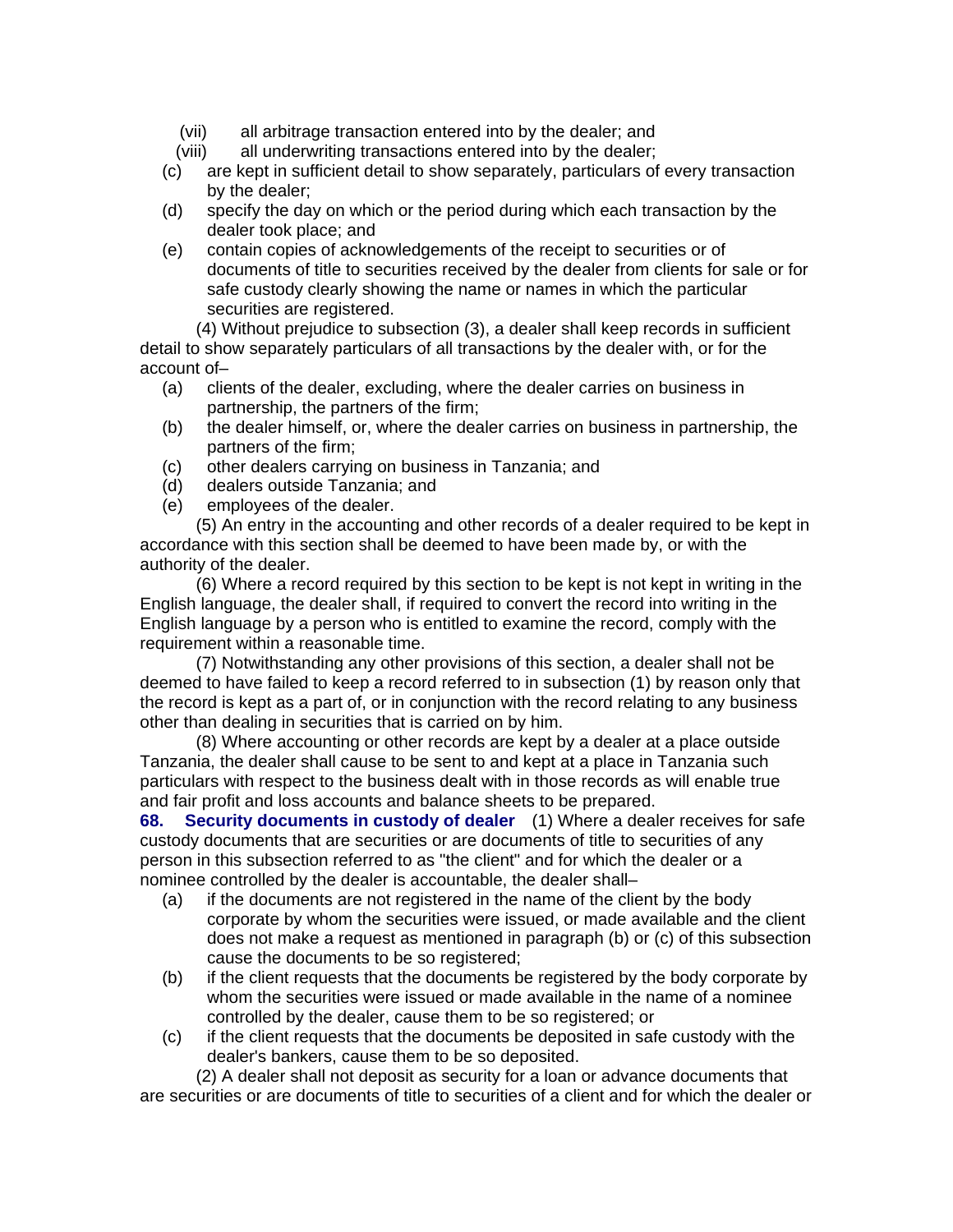- (vii) all arbitrage transaction entered into by the dealer; and
- (viii) all underwriting transactions entered into by the dealer;
- (c) are kept in sufficient detail to show separately, particulars of every transaction by the dealer;
- (d) specify the day on which or the period during which each transaction by the dealer took place; and
- (e) contain copies of acknowledgements of the receipt to securities or of documents of title to securities received by the dealer from clients for sale or for safe custody clearly showing the name or names in which the particular securities are registered.

(4) Without prejudice to subsection (3), a dealer shall keep records in sufficient detail to show separately particulars of all transactions by the dealer with, or for the account of–

- (a) clients of the dealer, excluding, where the dealer carries on business in partnership, the partners of the firm;
- (b) the dealer himself, or, where the dealer carries on business in partnership, the partners of the firm;
- (c) other dealers carrying on business in Tanzania; and
- (d) dealers outside Tanzania; and
- (e) employees of the dealer.

(5) An entry in the accounting and other records of a dealer required to be kept in accordance with this section shall be deemed to have been made by, or with the authority of the dealer.

(6) Where a record required by this section to be kept is not kept in writing in the English language, the dealer shall, if required to convert the record into writing in the English language by a person who is entitled to examine the record, comply with the requirement within a reasonable time.

(7) Notwithstanding any other provisions of this section, a dealer shall not be deemed to have failed to keep a record referred to in subsection (1) by reason only that the record is kept as a part of, or in conjunction with the record relating to any business other than dealing in securities that is carried on by him.

(8) Where accounting or other records are kept by a dealer at a place outside Tanzania, the dealer shall cause to be sent to and kept at a place in Tanzania such particulars with respect to the business dealt with in those records as will enable true and fair profit and loss accounts and balance sheets to be prepared.

**68. Security documents in custody of dealer** (1) Where a dealer receives for safe custody documents that are securities or are documents of title to securities of any person in this subsection referred to as "the client" and for which the dealer or a nominee controlled by the dealer is accountable, the dealer shall–

- (a) if the documents are not registered in the name of the client by the body corporate by whom the securities were issued, or made available and the client does not make a request as mentioned in paragraph (b) or (c) of this subsection cause the documents to be so registered;
- (b) if the client requests that the documents be registered by the body corporate by whom the securities were issued or made available in the name of a nominee controlled by the dealer, cause them to be so registered; or
- (c) if the client requests that the documents be deposited in safe custody with the dealer's bankers, cause them to be so deposited.

(2) A dealer shall not deposit as security for a loan or advance documents that are securities or are documents of title to securities of a client and for which the dealer or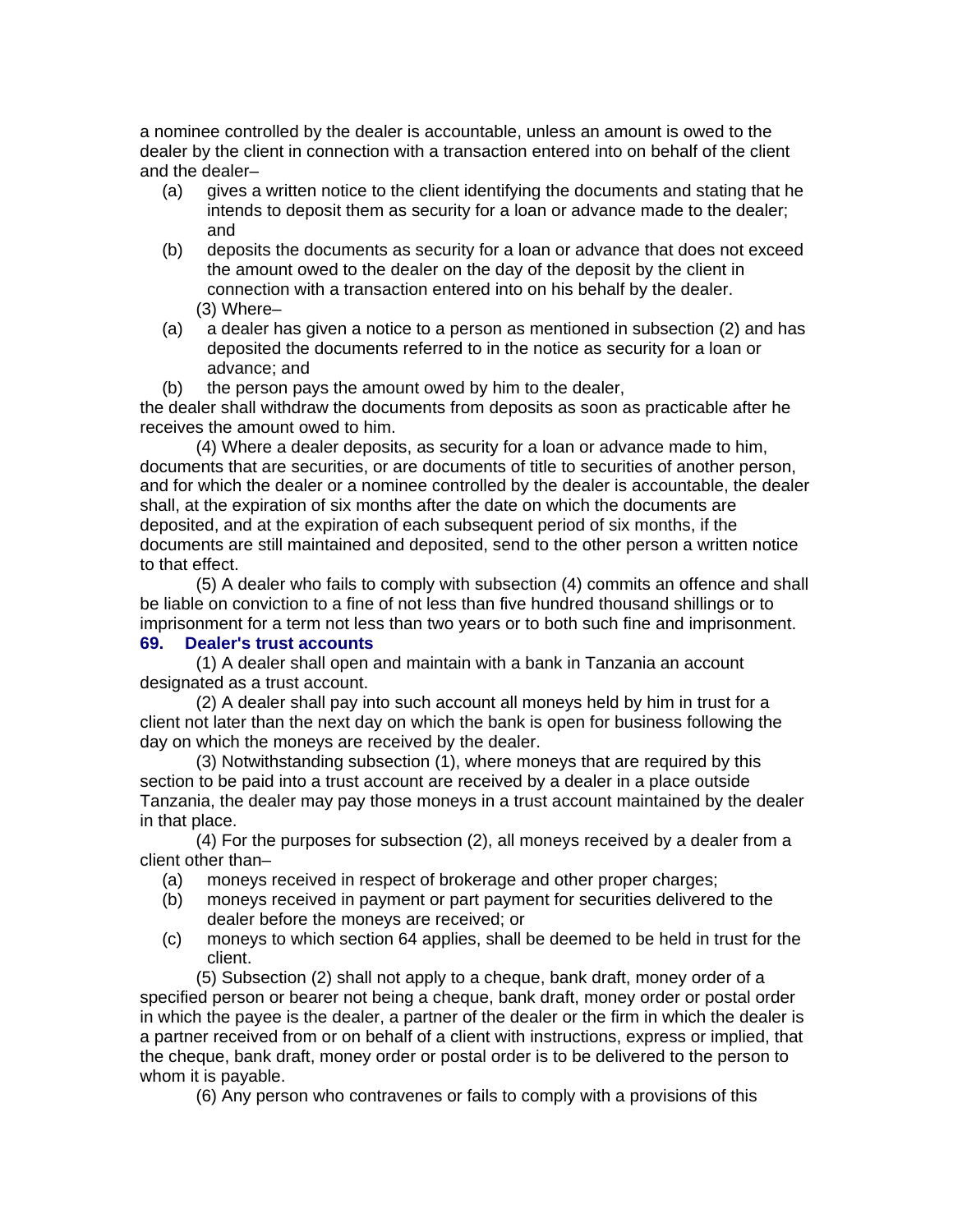a nominee controlled by the dealer is accountable, unless an amount is owed to the dealer by the client in connection with a transaction entered into on behalf of the client and the dealer–

- (a) gives a written notice to the client identifying the documents and stating that he intends to deposit them as security for a loan or advance made to the dealer; and
- (b) deposits the documents as security for a loan or advance that does not exceed the amount owed to the dealer on the day of the deposit by the client in connection with a transaction entered into on his behalf by the dealer. (3) Where–
- (a) a dealer has given a notice to a person as mentioned in subsection (2) and has deposited the documents referred to in the notice as security for a loan or advance; and

(b) the person pays the amount owed by him to the dealer,

the dealer shall withdraw the documents from deposits as soon as practicable after he receives the amount owed to him.

(4) Where a dealer deposits, as security for a loan or advance made to him, documents that are securities, or are documents of title to securities of another person, and for which the dealer or a nominee controlled by the dealer is accountable, the dealer shall, at the expiration of six months after the date on which the documents are deposited, and at the expiration of each subsequent period of six months, if the documents are still maintained and deposited, send to the other person a written notice to that effect.

(5) A dealer who fails to comply with subsection (4) commits an offence and shall be liable on conviction to a fine of not less than five hundred thousand shillings or to imprisonment for a term not less than two years or to both such fine and imprisonment.

# **69. Dealer's trust accounts**

(1) A dealer shall open and maintain with a bank in Tanzania an account designated as a trust account.

(2) A dealer shall pay into such account all moneys held by him in trust for a client not later than the next day on which the bank is open for business following the day on which the moneys are received by the dealer.

(3) Notwithstanding subsection (1), where moneys that are required by this section to be paid into a trust account are received by a dealer in a place outside Tanzania, the dealer may pay those moneys in a trust account maintained by the dealer in that place.

(4) For the purposes for subsection (2), all moneys received by a dealer from a client other than–

- (a) moneys received in respect of brokerage and other proper charges;
- (b) moneys received in payment or part payment for securities delivered to the dealer before the moneys are received; or
- (c) moneys to which section 64 applies, shall be deemed to be held in trust for the client.

(5) Subsection (2) shall not apply to a cheque, bank draft, money order of a specified person or bearer not being a cheque, bank draft, money order or postal order in which the payee is the dealer, a partner of the dealer or the firm in which the dealer is a partner received from or on behalf of a client with instructions, express or implied, that the cheque, bank draft, money order or postal order is to be delivered to the person to whom it is payable.

(6) Any person who contravenes or fails to comply with a provisions of this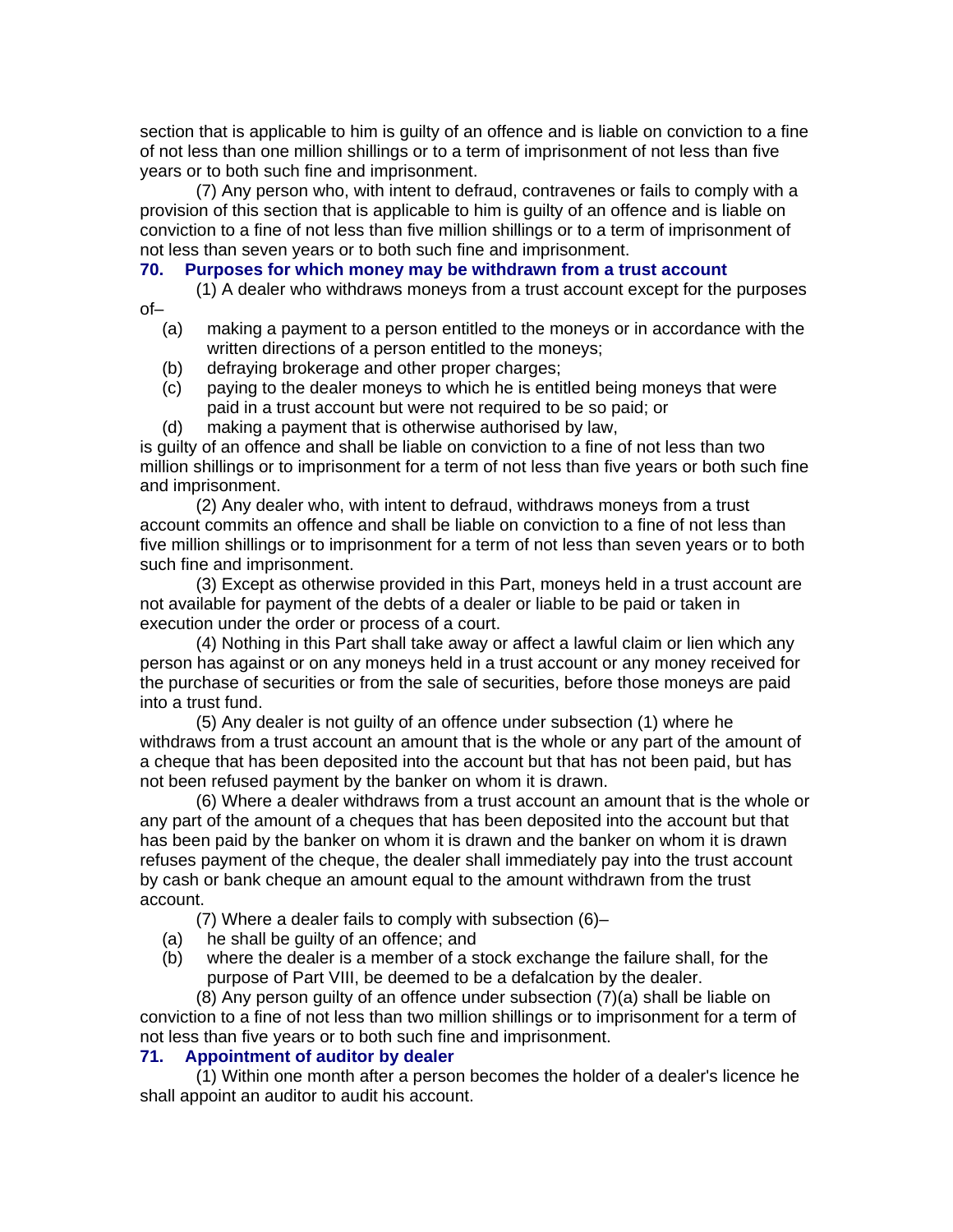section that is applicable to him is guilty of an offence and is liable on conviction to a fine of not less than one million shillings or to a term of imprisonment of not less than five years or to both such fine and imprisonment.

(7) Any person who, with intent to defraud, contravenes or fails to comply with a provision of this section that is applicable to him is guilty of an offence and is liable on conviction to a fine of not less than five million shillings or to a term of imprisonment of not less than seven years or to both such fine and imprisonment.

#### **70. Purposes for which money may be withdrawn from a trust account**

(1) A dealer who withdraws moneys from a trust account except for the purposes

- (a) making a payment to a person entitled to the moneys or in accordance with the written directions of a person entitled to the moneys;
- (b) defraying brokerage and other proper charges;

of–

- (c) paying to the dealer moneys to which he is entitled being moneys that were paid in a trust account but were not required to be so paid; or
- (d) making a payment that is otherwise authorised by law,

is guilty of an offence and shall be liable on conviction to a fine of not less than two million shillings or to imprisonment for a term of not less than five years or both such fine and imprisonment.

(2) Any dealer who, with intent to defraud, withdraws moneys from a trust account commits an offence and shall be liable on conviction to a fine of not less than five million shillings or to imprisonment for a term of not less than seven years or to both such fine and imprisonment.

(3) Except as otherwise provided in this Part, moneys held in a trust account are not available for payment of the debts of a dealer or liable to be paid or taken in execution under the order or process of a court.

(4) Nothing in this Part shall take away or affect a lawful claim or lien which any person has against or on any moneys held in a trust account or any money received for the purchase of securities or from the sale of securities, before those moneys are paid into a trust fund.

(5) Any dealer is not guilty of an offence under subsection (1) where he withdraws from a trust account an amount that is the whole or any part of the amount of a cheque that has been deposited into the account but that has not been paid, but has not been refused payment by the banker on whom it is drawn.

(6) Where a dealer withdraws from a trust account an amount that is the whole or any part of the amount of a cheques that has been deposited into the account but that has been paid by the banker on whom it is drawn and the banker on whom it is drawn refuses payment of the cheque, the dealer shall immediately pay into the trust account by cash or bank cheque an amount equal to the amount withdrawn from the trust account.

(7) Where a dealer fails to comply with subsection (6)–

- (a) he shall be guilty of an offence; and
- (b) where the dealer is a member of a stock exchange the failure shall, for the purpose of Part VIII, be deemed to be a defalcation by the dealer.

(8) Any person guilty of an offence under subsection (7)(a) shall be liable on conviction to a fine of not less than two million shillings or to imprisonment for a term of not less than five years or to both such fine and imprisonment.

#### **71. Appointment of auditor by dealer**

(1) Within one month after a person becomes the holder of a dealer's licence he shall appoint an auditor to audit his account.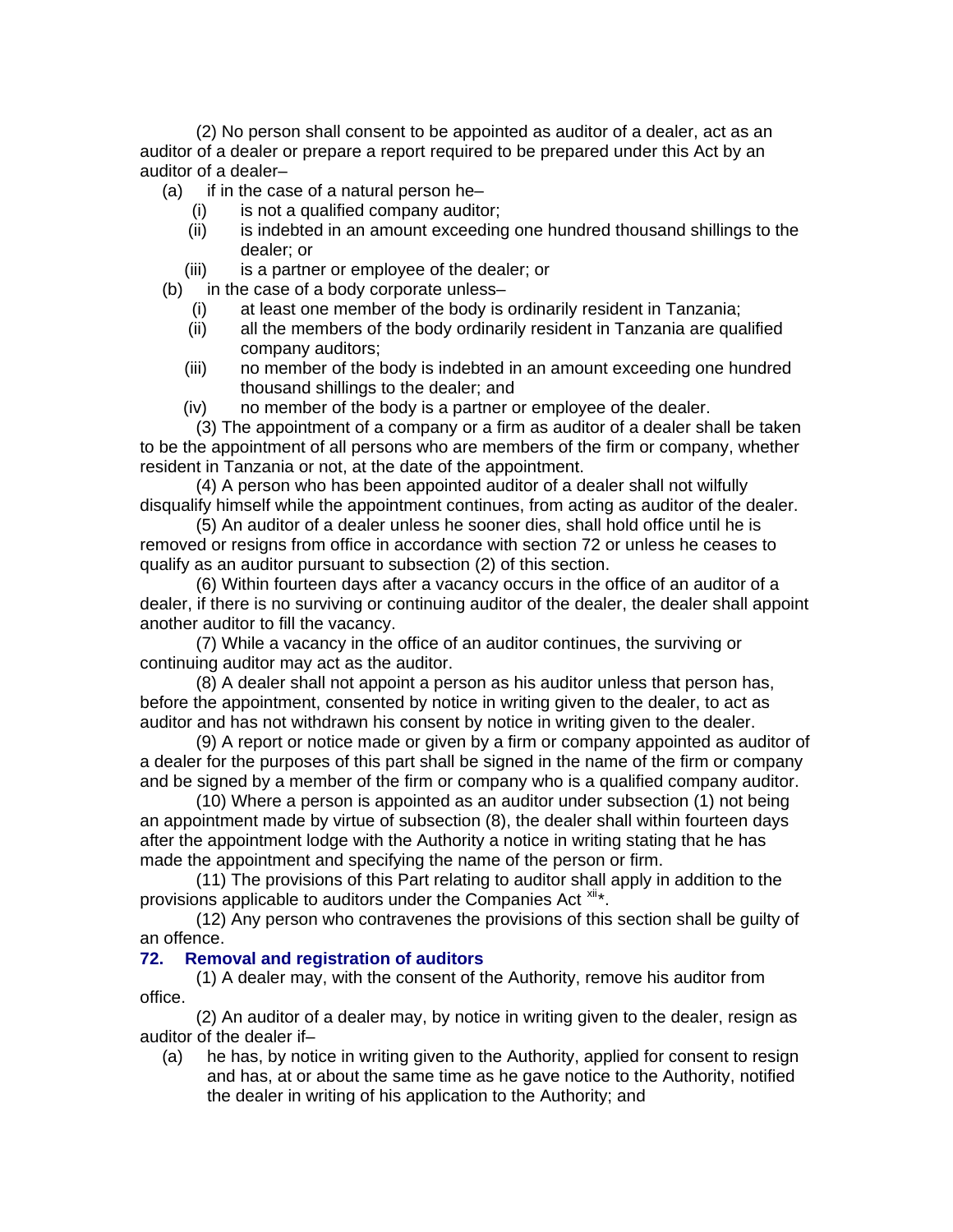(2) No person shall consent to be appointed as auditor of a dealer, act as an auditor of a dealer or prepare a report required to be prepared under this Act by an auditor of a dealer–

- $(a)$  if in the case of a natural person he–
	- (i) is not a qualified company auditor;
	- (ii) is indebted in an amount exceeding one hundred thousand shillings to the dealer; or
	- (iii) is a partner or employee of the dealer; or
- (b) in the case of a body corporate unless–
	- (i) at least one member of the body is ordinarily resident in Tanzania;
	- (ii) all the members of the body ordinarily resident in Tanzania are qualified company auditors;
	- (iii) no member of the body is indebted in an amount exceeding one hundred thousand shillings to the dealer; and
	- (iv) no member of the body is a partner or employee of the dealer.

(3) The appointment of a company or a firm as auditor of a dealer shall be taken to be the appointment of all persons who are members of the firm or company, whether resident in Tanzania or not, at the date of the appointment.

(4) A person who has been appointed auditor of a dealer shall not wilfully disqualify himself while the appointment continues, from acting as auditor of the dealer.

(5) An auditor of a dealer unless he sooner dies, shall hold office until he is removed or resigns from office in accordance with section 72 or unless he ceases to qualify as an auditor pursuant to subsection (2) of this section.

(6) Within fourteen days after a vacancy occurs in the office of an auditor of a dealer, if there is no surviving or continuing auditor of the dealer, the dealer shall appoint another auditor to fill the vacancy.

(7) While a vacancy in the office of an auditor continues, the surviving or continuing auditor may act as the auditor.

(8) A dealer shall not appoint a person as his auditor unless that person has, before the appointment, consented by notice in writing given to the dealer, to act as auditor and has not withdrawn his consent by notice in writing given to the dealer.

(9) A report or notice made or given by a firm or company appointed as auditor of a dealer for the purposes of this part shall be signed in the name of the firm or company and be signed by a member of the firm or company who is a qualified company auditor.

(10) Where a person is appointed as an auditor under subsection (1) not being an appointment made by virtue of subsection (8), the dealer shall within fourteen days after the appointment lodge with the Authority a notice in writing stating that he has made the appointment and specifying the name of the person or firm.

(11) The provisions of this Part relating to auditor shall apply in addition to the provisions applicable to auditors under the Companies Act [xii](#page-64-1)\*.

(12) Any person who contravenes the provisions of this section shall be guilty of an offence.

#### **72. Removal and registration of auditors**

(1) A dealer may, with the consent of the Authority, remove his auditor from office.

(2) An auditor of a dealer may, by notice in writing given to the dealer, resign as auditor of the dealer if–

(a) he has, by notice in writing given to the Authority, applied for consent to resign and has, at or about the same time as he gave notice to the Authority, notified the dealer in writing of his application to the Authority; and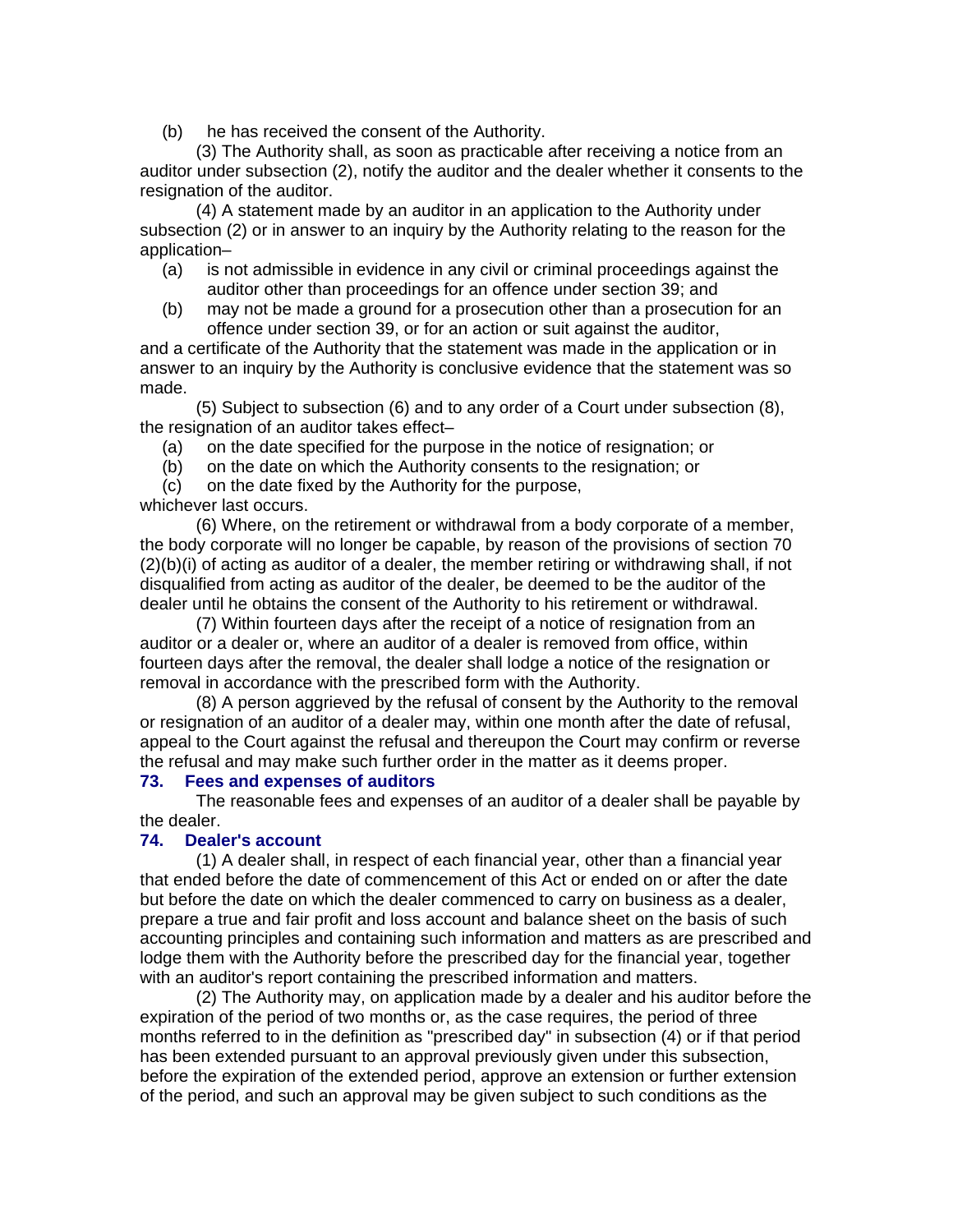(b) he has received the consent of the Authority.

(3) The Authority shall, as soon as practicable after receiving a notice from an auditor under subsection (2), notify the auditor and the dealer whether it consents to the resignation of the auditor.

(4) A statement made by an auditor in an application to the Authority under subsection (2) or in answer to an inquiry by the Authority relating to the reason for the application–

- (a) is not admissible in evidence in any civil or criminal proceedings against the auditor other than proceedings for an offence under section 39; and
- (b) may not be made a ground for a prosecution other than a prosecution for an offence under section 39, or for an action or suit against the auditor,

and a certificate of the Authority that the statement was made in the application or in answer to an inquiry by the Authority is conclusive evidence that the statement was so made.

(5) Subject to subsection (6) and to any order of a Court under subsection (8), the resignation of an auditor takes effect–

- (a) on the date specified for the purpose in the notice of resignation; or
- (b) on the date on which the Authority consents to the resignation; or
- (c) on the date fixed by the Authority for the purpose,

whichever last occurs.

(6) Where, on the retirement or withdrawal from a body corporate of a member, the body corporate will no longer be capable, by reason of the provisions of section 70 (2)(b)(i) of acting as auditor of a dealer, the member retiring or withdrawing shall, if not disqualified from acting as auditor of the dealer, be deemed to be the auditor of the dealer until he obtains the consent of the Authority to his retirement or withdrawal.

(7) Within fourteen days after the receipt of a notice of resignation from an auditor or a dealer or, where an auditor of a dealer is removed from office, within fourteen days after the removal, the dealer shall lodge a notice of the resignation or removal in accordance with the prescribed form with the Authority.

(8) A person aggrieved by the refusal of consent by the Authority to the removal or resignation of an auditor of a dealer may, within one month after the date of refusal, appeal to the Court against the refusal and thereupon the Court may confirm or reverse the refusal and may make such further order in the matter as it deems proper.

#### **73. Fees and expenses of auditors**

The reasonable fees and expenses of an auditor of a dealer shall be payable by the dealer.

### **74. Dealer's account**

(1) A dealer shall, in respect of each financial year, other than a financial year that ended before the date of commencement of this Act or ended on or after the date but before the date on which the dealer commenced to carry on business as a dealer, prepare a true and fair profit and loss account and balance sheet on the basis of such accounting principles and containing such information and matters as are prescribed and lodge them with the Authority before the prescribed day for the financial year, together with an auditor's report containing the prescribed information and matters.

(2) The Authority may, on application made by a dealer and his auditor before the expiration of the period of two months or, as the case requires, the period of three months referred to in the definition as "prescribed day" in subsection (4) or if that period has been extended pursuant to an approval previously given under this subsection, before the expiration of the extended period, approve an extension or further extension of the period, and such an approval may be given subject to such conditions as the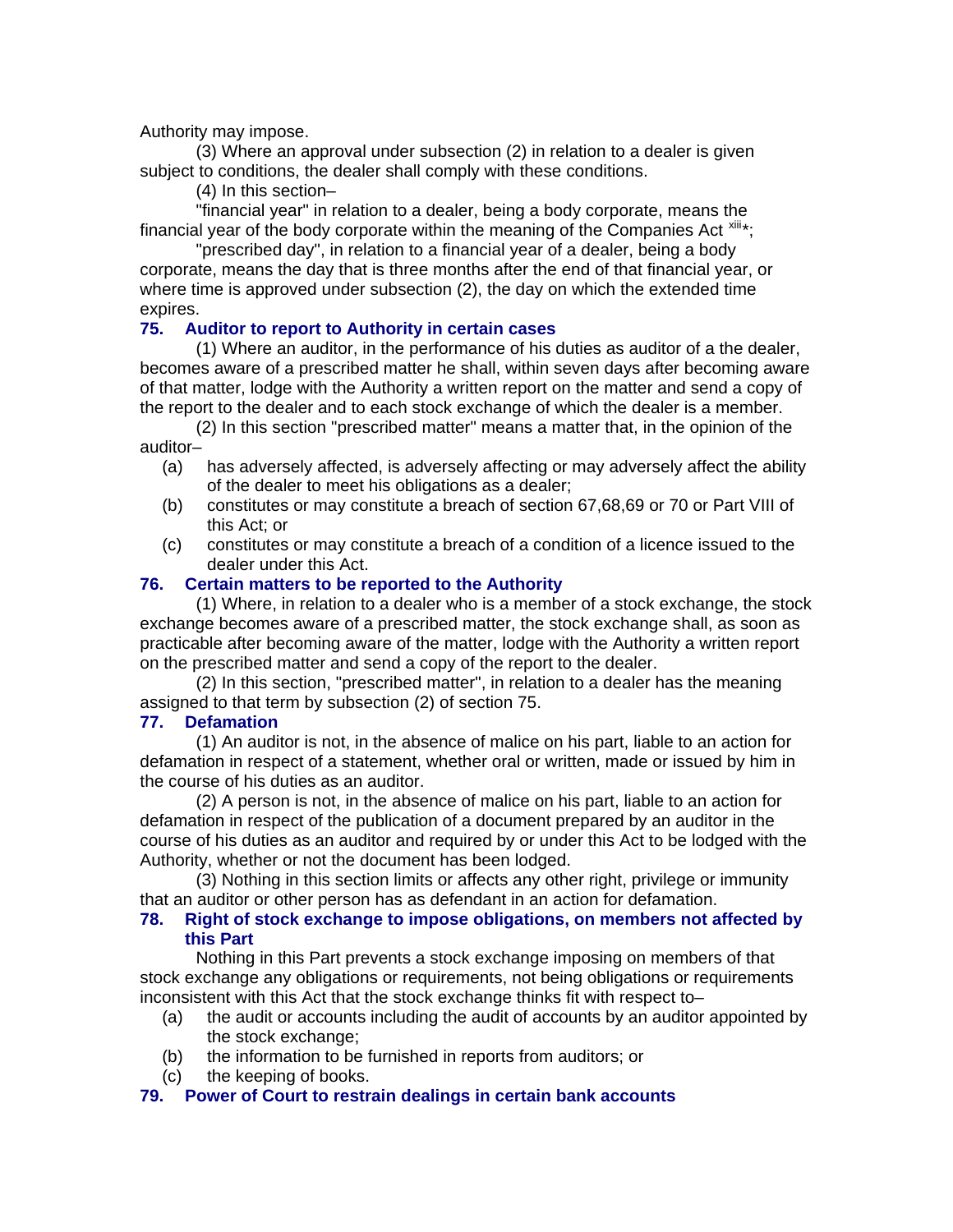#### Authority may impose.

(3) Where an approval under subsection (2) in relation to a dealer is given subject to conditions, the dealer shall comply with these conditions.

(4) In this section–

"financial year" in relation to a dealer, being a body corporate, means the financial year of the body corporate within the meaning of the Companies Act  $x$ <sup>iii\*</sup>;

"prescribed day", in relation to a financial year of a dealer, being a body corporate, means the day that is three months after the end of that financial year, or where time is approved under subsection (2), the day on which the extended time expires.

### **75. Auditor to report to Authority in certain cases**

(1) Where an auditor, in the performance of his duties as auditor of a the dealer, becomes aware of a prescribed matter he shall, within seven days after becoming aware of that matter, lodge with the Authority a written report on the matter and send a copy of the report to the dealer and to each stock exchange of which the dealer is a member.

(2) In this section "prescribed matter" means a matter that, in the opinion of the auditor–

- (a) has adversely affected, is adversely affecting or may adversely affect the ability of the dealer to meet his obligations as a dealer;
- (b) constitutes or may constitute a breach of section 67,68,69 or 70 or Part VIII of this Act; or
- (c) constitutes or may constitute a breach of a condition of a licence issued to the dealer under this Act.

### **76. Certain matters to be reported to the Authority**

(1) Where, in relation to a dealer who is a member of a stock exchange, the stock exchange becomes aware of a prescribed matter, the stock exchange shall, as soon as practicable after becoming aware of the matter, lodge with the Authority a written report on the prescribed matter and send a copy of the report to the dealer.

(2) In this section, "prescribed matter", in relation to a dealer has the meaning assigned to that term by subsection (2) of section 75.

### **77. Defamation**

(1) An auditor is not, in the absence of malice on his part, liable to an action for defamation in respect of a statement, whether oral or written, made or issued by him in the course of his duties as an auditor.

(2) A person is not, in the absence of malice on his part, liable to an action for defamation in respect of the publication of a document prepared by an auditor in the course of his duties as an auditor and required by or under this Act to be lodged with the Authority, whether or not the document has been lodged.

(3) Nothing in this section limits or affects any other right, privilege or immunity that an auditor or other person has as defendant in an action for defamation.

### **78. Right of stock exchange to impose obligations, on members not affected by this Part**

Nothing in this Part prevents a stock exchange imposing on members of that stock exchange any obligations or requirements, not being obligations or requirements inconsistent with this Act that the stock exchange thinks fit with respect to–

- (a) the audit or accounts including the audit of accounts by an auditor appointed by the stock exchange;
- (b) the information to be furnished in reports from auditors; or
- (c) the keeping of books.

### **79. Power of Court to restrain dealings in certain bank accounts**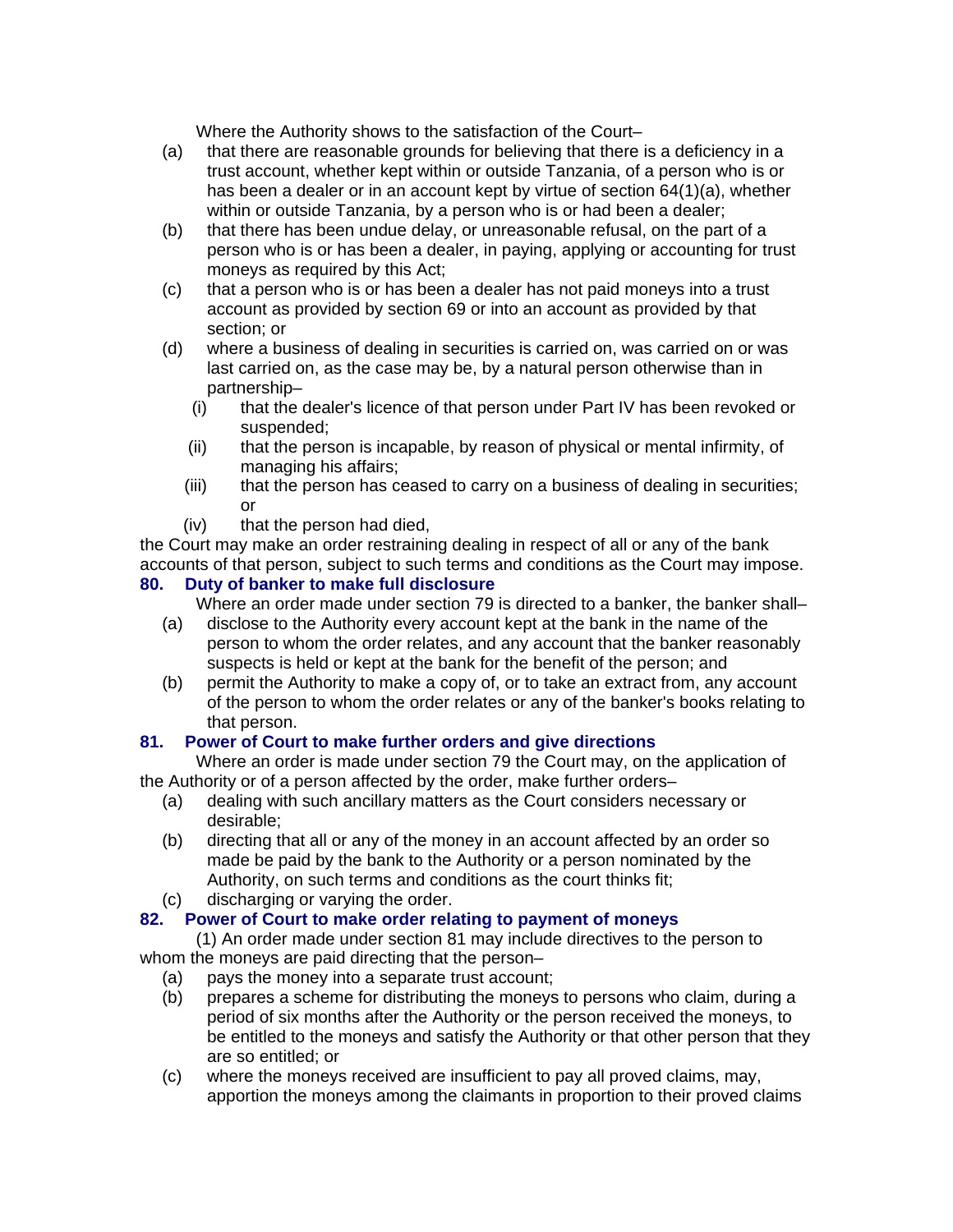Where the Authority shows to the satisfaction of the Court–

- (a) that there are reasonable grounds for believing that there is a deficiency in a trust account, whether kept within or outside Tanzania, of a person who is or has been a dealer or in an account kept by virtue of section 64(1)(a), whether within or outside Tanzania, by a person who is or had been a dealer;
- (b) that there has been undue delay, or unreasonable refusal, on the part of a person who is or has been a dealer, in paying, applying or accounting for trust moneys as required by this Act;
- (c) that a person who is or has been a dealer has not paid moneys into a trust account as provided by section 69 or into an account as provided by that section; or
- (d) where a business of dealing in securities is carried on, was carried on or was last carried on, as the case may be, by a natural person otherwise than in partnership–
	- (i) that the dealer's licence of that person under Part IV has been revoked or suspended;
	- (ii) that the person is incapable, by reason of physical or mental infirmity, of managing his affairs;
	- (iii) that the person has ceased to carry on a business of dealing in securities; or
	- (iv) that the person had died,

the Court may make an order restraining dealing in respect of all or any of the bank accounts of that person, subject to such terms and conditions as the Court may impose.

# **80. Duty of banker to make full disclosure**

Where an order made under section 79 is directed to a banker, the banker shall–

- (a) disclose to the Authority every account kept at the bank in the name of the person to whom the order relates, and any account that the banker reasonably suspects is held or kept at the bank for the benefit of the person; and
- (b) permit the Authority to make a copy of, or to take an extract from, any account of the person to whom the order relates or any of the banker's books relating to that person.

# **81. Power of Court to make further orders and give directions**

Where an order is made under section 79 the Court may, on the application of the Authority or of a person affected by the order, make further orders–

- (a) dealing with such ancillary matters as the Court considers necessary or desirable;
- (b) directing that all or any of the money in an account affected by an order so made be paid by the bank to the Authority or a person nominated by the Authority, on such terms and conditions as the court thinks fit;
- (c) discharging or varying the order.

# **82. Power of Court to make order relating to payment of moneys**

(1) An order made under section 81 may include directives to the person to whom the moneys are paid directing that the person–

- (a) pays the money into a separate trust account;
- (b) prepares a scheme for distributing the moneys to persons who claim, during a period of six months after the Authority or the person received the moneys, to be entitled to the moneys and satisfy the Authority or that other person that they are so entitled; or
- (c) where the moneys received are insufficient to pay all proved claims, may, apportion the moneys among the claimants in proportion to their proved claims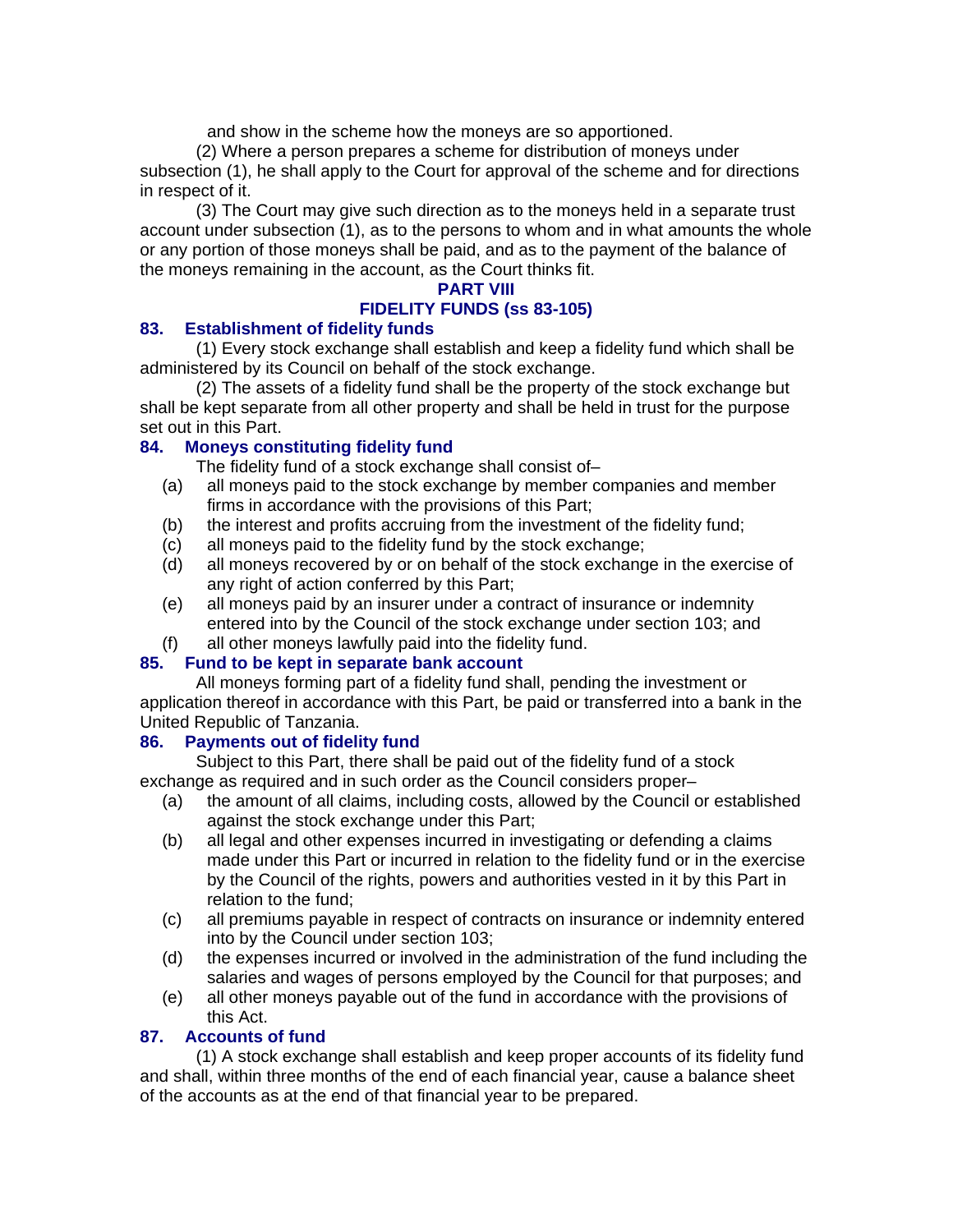and show in the scheme how the moneys are so apportioned.

(2) Where a person prepares a scheme for distribution of moneys under subsection (1), he shall apply to the Court for approval of the scheme and for directions in respect of it.

(3) The Court may give such direction as to the moneys held in a separate trust account under subsection (1), as to the persons to whom and in what amounts the whole or any portion of those moneys shall be paid, and as to the payment of the balance of the moneys remaining in the account, as the Court thinks fit.

#### **PART VIII**

### **FIDELITY FUNDS (ss 83-105)**

### **83. Establishment of fidelity funds**

(1) Every stock exchange shall establish and keep a fidelity fund which shall be administered by its Council on behalf of the stock exchange.

(2) The assets of a fidelity fund shall be the property of the stock exchange but shall be kept separate from all other property and shall be held in trust for the purpose set out in this Part.

# **84. Moneys constituting fidelity fund**

The fidelity fund of a stock exchange shall consist of–

- (a) all moneys paid to the stock exchange by member companies and member firms in accordance with the provisions of this Part;
- (b) the interest and profits accruing from the investment of the fidelity fund;
- (c) all moneys paid to the fidelity fund by the stock exchange;
- (d) all moneys recovered by or on behalf of the stock exchange in the exercise of any right of action conferred by this Part;
- (e) all moneys paid by an insurer under a contract of insurance or indemnity entered into by the Council of the stock exchange under section 103; and
- (f) all other moneys lawfully paid into the fidelity fund.

# **85. Fund to be kept in separate bank account**

All moneys forming part of a fidelity fund shall, pending the investment or application thereof in accordance with this Part, be paid or transferred into a bank in the United Republic of Tanzania.

### **86. Payments out of fidelity fund**

Subject to this Part, there shall be paid out of the fidelity fund of a stock exchange as required and in such order as the Council considers proper–

- (a) the amount of all claims, including costs, allowed by the Council or established against the stock exchange under this Part;
- (b) all legal and other expenses incurred in investigating or defending a claims made under this Part or incurred in relation to the fidelity fund or in the exercise by the Council of the rights, powers and authorities vested in it by this Part in relation to the fund;
- (c) all premiums payable in respect of contracts on insurance or indemnity entered into by the Council under section 103;
- (d) the expenses incurred or involved in the administration of the fund including the salaries and wages of persons employed by the Council for that purposes; and
- (e) all other moneys payable out of the fund in accordance with the provisions of this Act.

### **87. Accounts of fund**

(1) A stock exchange shall establish and keep proper accounts of its fidelity fund and shall, within three months of the end of each financial year, cause a balance sheet of the accounts as at the end of that financial year to be prepared.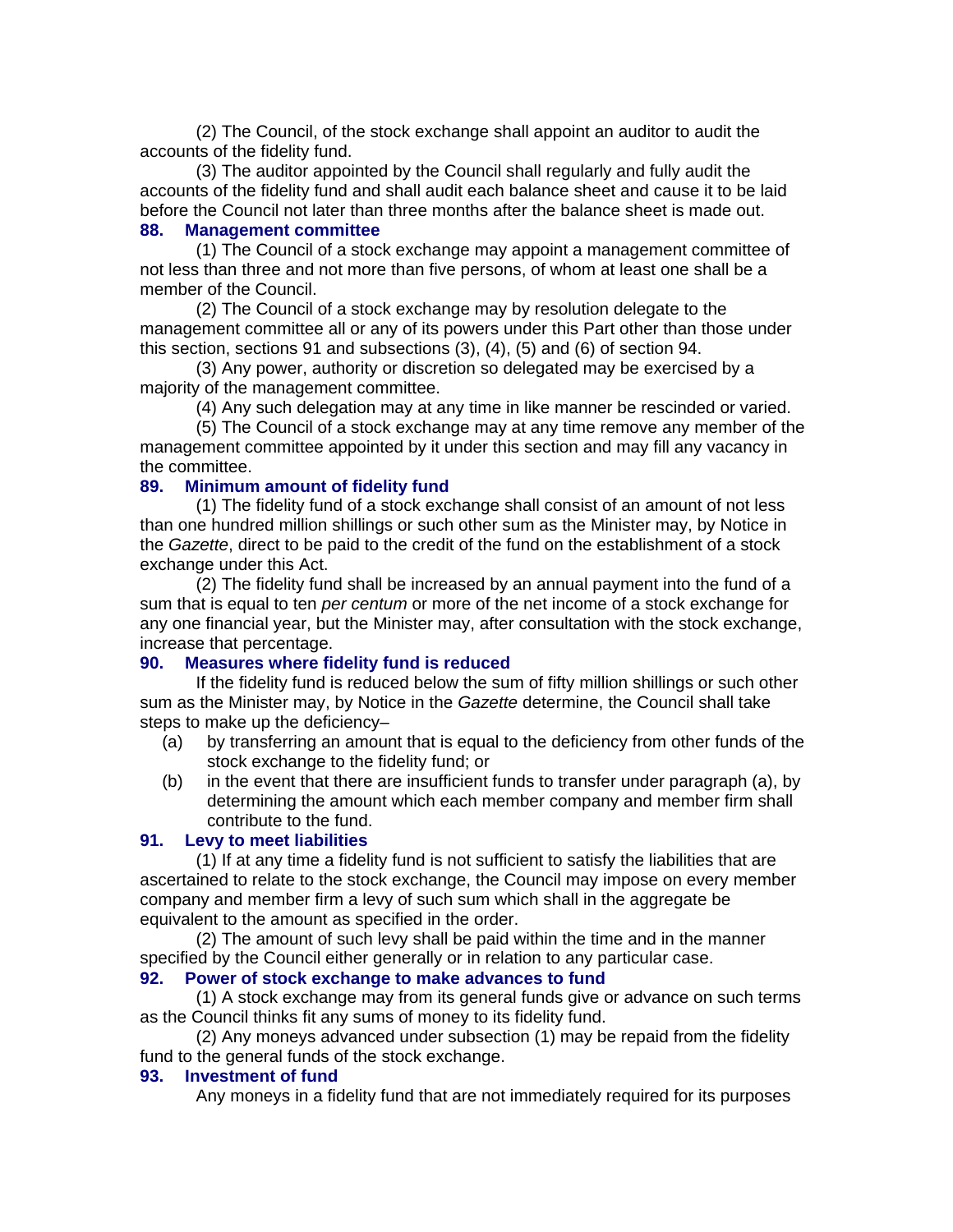(2) The Council, of the stock exchange shall appoint an auditor to audit the accounts of the fidelity fund.

(3) The auditor appointed by the Council shall regularly and fully audit the accounts of the fidelity fund and shall audit each balance sheet and cause it to be laid before the Council not later than three months after the balance sheet is made out.

# **88. Management committee**

(1) The Council of a stock exchange may appoint a management committee of not less than three and not more than five persons, of whom at least one shall be a member of the Council.

(2) The Council of a stock exchange may by resolution delegate to the management committee all or any of its powers under this Part other than those under this section, sections 91 and subsections (3), (4), (5) and (6) of section 94.

(3) Any power, authority or discretion so delegated may be exercised by a majority of the management committee.

(4) Any such delegation may at any time in like manner be rescinded or varied.

(5) The Council of a stock exchange may at any time remove any member of the management committee appointed by it under this section and may fill any vacancy in the committee.

### **89. Minimum amount of fidelity fund**

(1) The fidelity fund of a stock exchange shall consist of an amount of not less than one hundred million shillings or such other sum as the Minister may, by Notice in the *Gazette*, direct to be paid to the credit of the fund on the establishment of a stock exchange under this Act.

(2) The fidelity fund shall be increased by an annual payment into the fund of a sum that is equal to ten *per centum* or more of the net income of a stock exchange for any one financial year, but the Minister may, after consultation with the stock exchange, increase that percentage.

### **90. Measures where fidelity fund is reduced**

If the fidelity fund is reduced below the sum of fifty million shillings or such other sum as the Minister may, by Notice in the *Gazette* determine, the Council shall take steps to make up the deficiency–

- (a) by transferring an amount that is equal to the deficiency from other funds of the stock exchange to the fidelity fund; or
- (b) in the event that there are insufficient funds to transfer under paragraph (a), by determining the amount which each member company and member firm shall contribute to the fund.

### **91. Levy to meet liabilities**

(1) If at any time a fidelity fund is not sufficient to satisfy the liabilities that are ascertained to relate to the stock exchange, the Council may impose on every member company and member firm a levy of such sum which shall in the aggregate be equivalent to the amount as specified in the order.

(2) The amount of such levy shall be paid within the time and in the manner specified by the Council either generally or in relation to any particular case.

### **92. Power of stock exchange to make advances to fund**

(1) A stock exchange may from its general funds give or advance on such terms as the Council thinks fit any sums of money to its fidelity fund.

(2) Any moneys advanced under subsection (1) may be repaid from the fidelity fund to the general funds of the stock exchange.

#### **93. Investment of fund**

Any moneys in a fidelity fund that are not immediately required for its purposes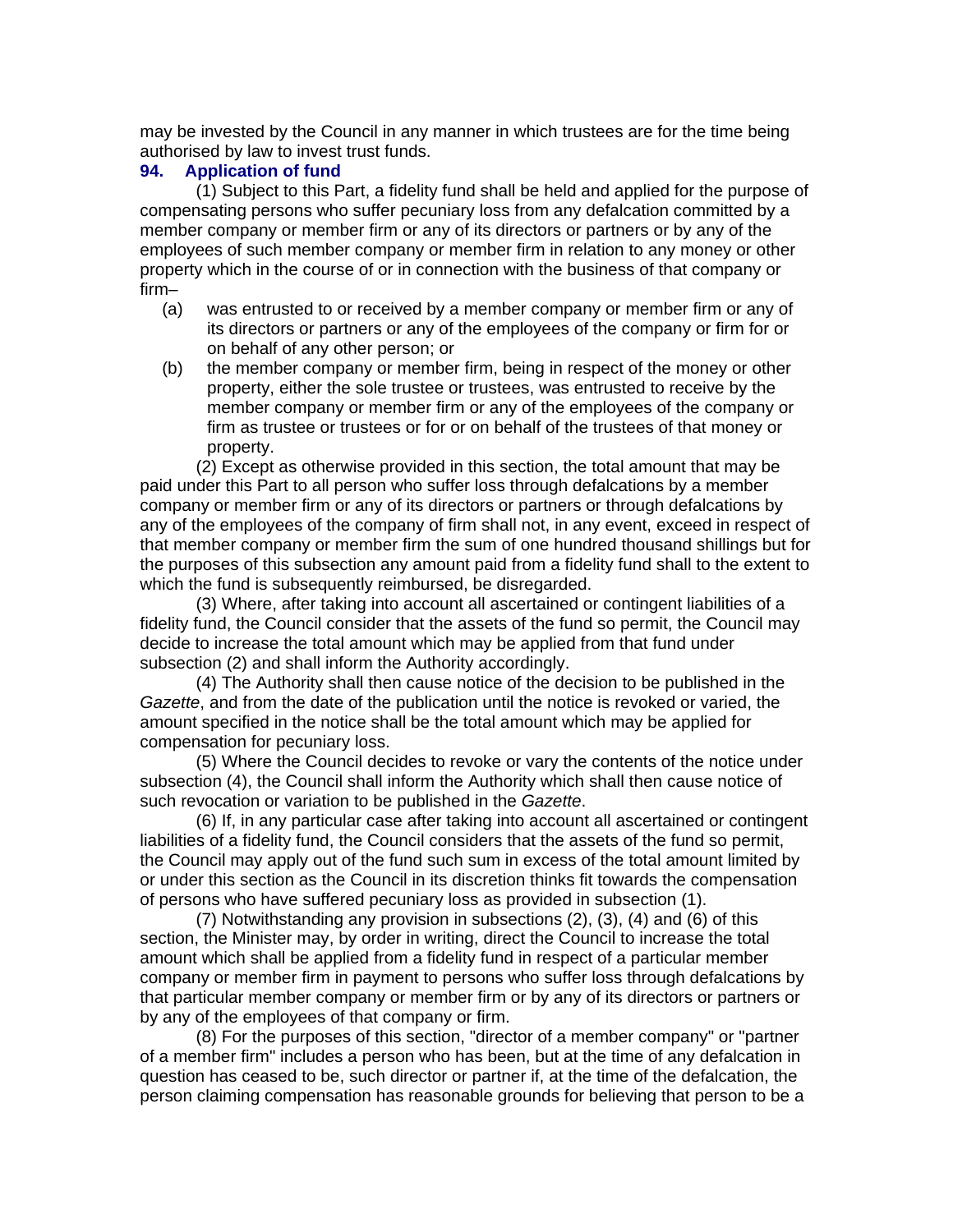may be invested by the Council in any manner in which trustees are for the time being authorised by law to invest trust funds.

### **94. Application of fund**

(1) Subject to this Part, a fidelity fund shall be held and applied for the purpose of compensating persons who suffer pecuniary loss from any defalcation committed by a member company or member firm or any of its directors or partners or by any of the employees of such member company or member firm in relation to any money or other property which in the course of or in connection with the business of that company or firm–

- (a) was entrusted to or received by a member company or member firm or any of its directors or partners or any of the employees of the company or firm for or on behalf of any other person; or
- (b) the member company or member firm, being in respect of the money or other property, either the sole trustee or trustees, was entrusted to receive by the member company or member firm or any of the employees of the company or firm as trustee or trustees or for or on behalf of the trustees of that money or property.

(2) Except as otherwise provided in this section, the total amount that may be paid under this Part to all person who suffer loss through defalcations by a member company or member firm or any of its directors or partners or through defalcations by any of the employees of the company of firm shall not, in any event, exceed in respect of that member company or member firm the sum of one hundred thousand shillings but for the purposes of this subsection any amount paid from a fidelity fund shall to the extent to which the fund is subsequently reimbursed, be disregarded.

(3) Where, after taking into account all ascertained or contingent liabilities of a fidelity fund, the Council consider that the assets of the fund so permit, the Council may decide to increase the total amount which may be applied from that fund under subsection (2) and shall inform the Authority accordingly.

(4) The Authority shall then cause notice of the decision to be published in the *Gazette*, and from the date of the publication until the notice is revoked or varied, the amount specified in the notice shall be the total amount which may be applied for compensation for pecuniary loss.

(5) Where the Council decides to revoke or vary the contents of the notice under subsection (4), the Council shall inform the Authority which shall then cause notice of such revocation or variation to be published in the *Gazette*.

(6) If, in any particular case after taking into account all ascertained or contingent liabilities of a fidelity fund, the Council considers that the assets of the fund so permit, the Council may apply out of the fund such sum in excess of the total amount limited by or under this section as the Council in its discretion thinks fit towards the compensation of persons who have suffered pecuniary loss as provided in subsection (1).

(7) Notwithstanding any provision in subsections (2), (3), (4) and (6) of this section, the Minister may, by order in writing, direct the Council to increase the total amount which shall be applied from a fidelity fund in respect of a particular member company or member firm in payment to persons who suffer loss through defalcations by that particular member company or member firm or by any of its directors or partners or by any of the employees of that company or firm.

(8) For the purposes of this section, "director of a member company" or "partner of a member firm" includes a person who has been, but at the time of any defalcation in question has ceased to be, such director or partner if, at the time of the defalcation, the person claiming compensation has reasonable grounds for believing that person to be a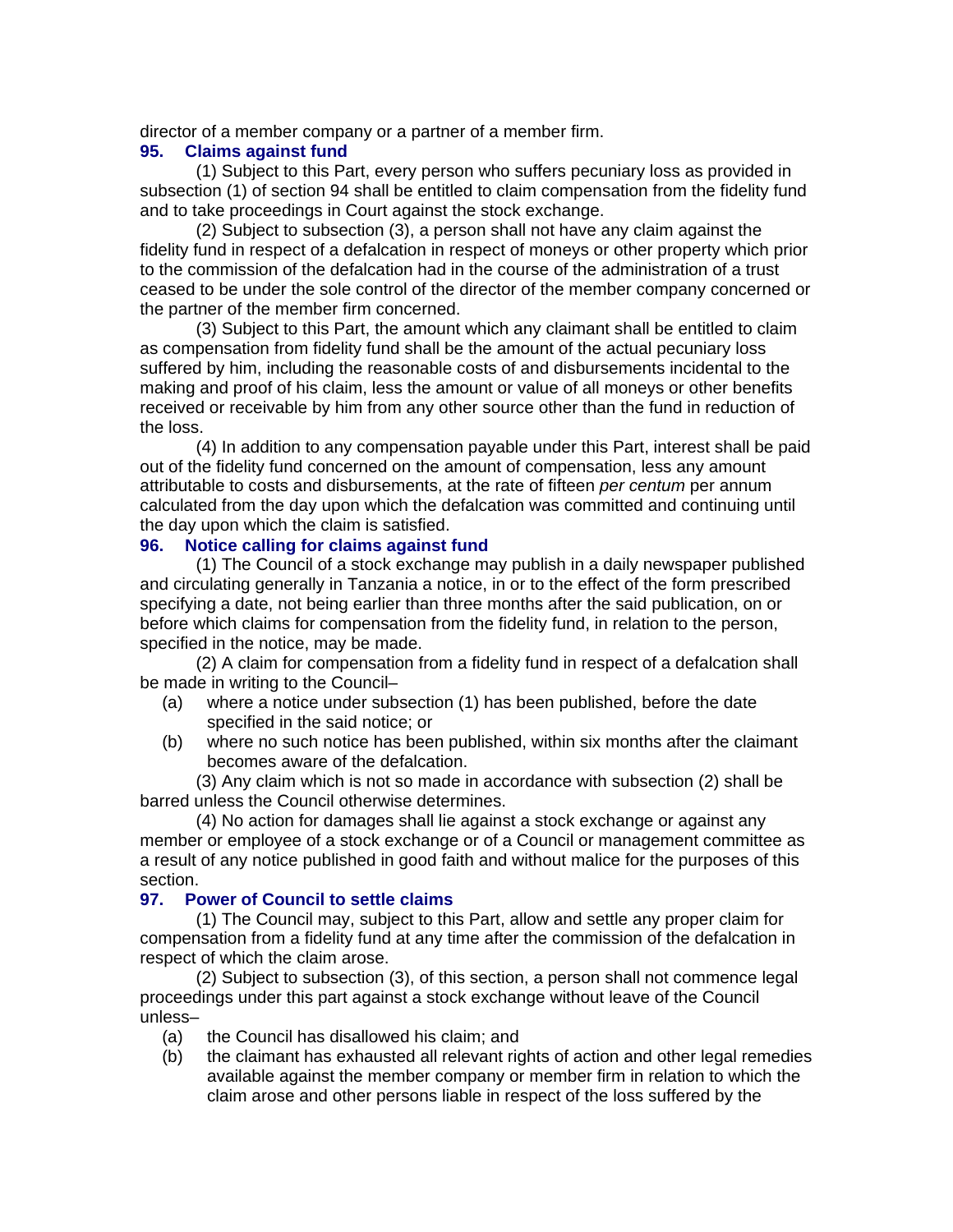director of a member company or a partner of a member firm.

### **95. Claims against fund**

(1) Subject to this Part, every person who suffers pecuniary loss as provided in subsection (1) of section 94 shall be entitled to claim compensation from the fidelity fund and to take proceedings in Court against the stock exchange.

(2) Subject to subsection (3), a person shall not have any claim against the fidelity fund in respect of a defalcation in respect of moneys or other property which prior to the commission of the defalcation had in the course of the administration of a trust ceased to be under the sole control of the director of the member company concerned or the partner of the member firm concerned.

(3) Subject to this Part, the amount which any claimant shall be entitled to claim as compensation from fidelity fund shall be the amount of the actual pecuniary loss suffered by him, including the reasonable costs of and disbursements incidental to the making and proof of his claim, less the amount or value of all moneys or other benefits received or receivable by him from any other source other than the fund in reduction of the loss.

(4) In addition to any compensation payable under this Part, interest shall be paid out of the fidelity fund concerned on the amount of compensation, less any amount attributable to costs and disbursements, at the rate of fifteen *per centum* per annum calculated from the day upon which the defalcation was committed and continuing until the day upon which the claim is satisfied.

### **96. Notice calling for claims against fund**

(1) The Council of a stock exchange may publish in a daily newspaper published and circulating generally in Tanzania a notice, in or to the effect of the form prescribed specifying a date, not being earlier than three months after the said publication, on or before which claims for compensation from the fidelity fund, in relation to the person, specified in the notice, may be made.

(2) A claim for compensation from a fidelity fund in respect of a defalcation shall be made in writing to the Council–

- (a) where a notice under subsection (1) has been published, before the date specified in the said notice; or
- (b) where no such notice has been published, within six months after the claimant becomes aware of the defalcation.

(3) Any claim which is not so made in accordance with subsection (2) shall be barred unless the Council otherwise determines.

(4) No action for damages shall lie against a stock exchange or against any member or employee of a stock exchange or of a Council or management committee as a result of any notice published in good faith and without malice for the purposes of this section.

#### **97. Power of Council to settle claims**

(1) The Council may, subject to this Part, allow and settle any proper claim for compensation from a fidelity fund at any time after the commission of the defalcation in respect of which the claim arose.

(2) Subject to subsection (3), of this section, a person shall not commence legal proceedings under this part against a stock exchange without leave of the Council unless–

- (a) the Council has disallowed his claim; and
- (b) the claimant has exhausted all relevant rights of action and other legal remedies available against the member company or member firm in relation to which the claim arose and other persons liable in respect of the loss suffered by the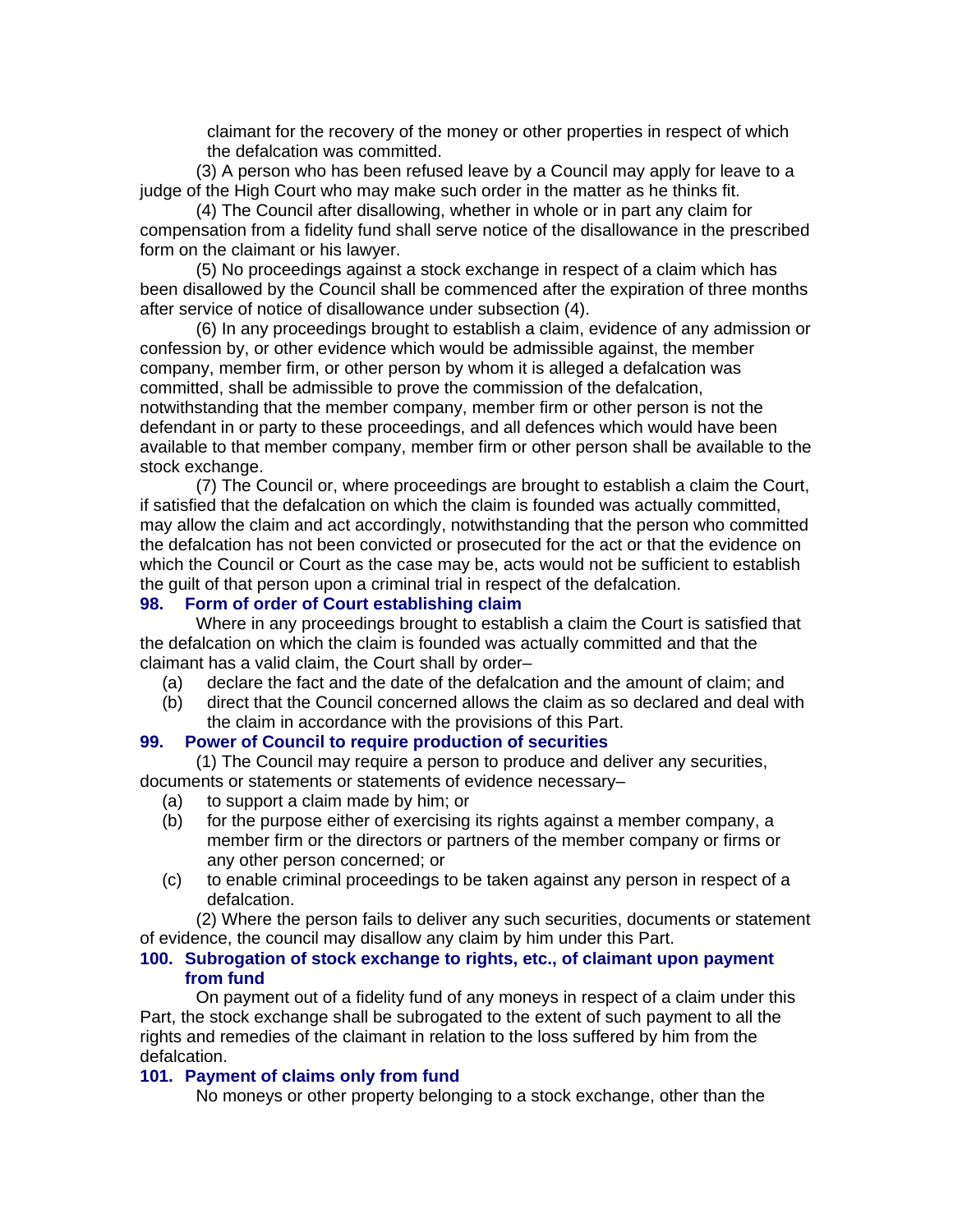claimant for the recovery of the money or other properties in respect of which the defalcation was committed.

(3) A person who has been refused leave by a Council may apply for leave to a judge of the High Court who may make such order in the matter as he thinks fit.

(4) The Council after disallowing, whether in whole or in part any claim for compensation from a fidelity fund shall serve notice of the disallowance in the prescribed form on the claimant or his lawyer.

(5) No proceedings against a stock exchange in respect of a claim which has been disallowed by the Council shall be commenced after the expiration of three months after service of notice of disallowance under subsection (4).

(6) In any proceedings brought to establish a claim, evidence of any admission or confession by, or other evidence which would be admissible against, the member company, member firm, or other person by whom it is alleged a defalcation was committed, shall be admissible to prove the commission of the defalcation, notwithstanding that the member company, member firm or other person is not the defendant in or party to these proceedings, and all defences which would have been available to that member company, member firm or other person shall be available to the stock exchange.

(7) The Council or, where proceedings are brought to establish a claim the Court, if satisfied that the defalcation on which the claim is founded was actually committed, may allow the claim and act accordingly, notwithstanding that the person who committed the defalcation has not been convicted or prosecuted for the act or that the evidence on which the Council or Court as the case may be, acts would not be sufficient to establish the guilt of that person upon a criminal trial in respect of the defalcation.

#### **98. Form of order of Court establishing claim**

Where in any proceedings brought to establish a claim the Court is satisfied that the defalcation on which the claim is founded was actually committed and that the claimant has a valid claim, the Court shall by order–

- (a) declare the fact and the date of the defalcation and the amount of claim; and
- (b) direct that the Council concerned allows the claim as so declared and deal with the claim in accordance with the provisions of this Part.

#### **99. Power of Council to require production of securities**

(1) The Council may require a person to produce and deliver any securities, documents or statements or statements of evidence necessary–

- (a) to support a claim made by him; or
- (b) for the purpose either of exercising its rights against a member company, a member firm or the directors or partners of the member company or firms or any other person concerned; or
- (c) to enable criminal proceedings to be taken against any person in respect of a defalcation.

(2) Where the person fails to deliver any such securities, documents or statement of evidence, the council may disallow any claim by him under this Part.

#### **100. Subrogation of stock exchange to rights, etc., of claimant upon payment from fund**

On payment out of a fidelity fund of any moneys in respect of a claim under this Part, the stock exchange shall be subrogated to the extent of such payment to all the rights and remedies of the claimant in relation to the loss suffered by him from the defalcation.

#### **101. Payment of claims only from fund**

No moneys or other property belonging to a stock exchange, other than the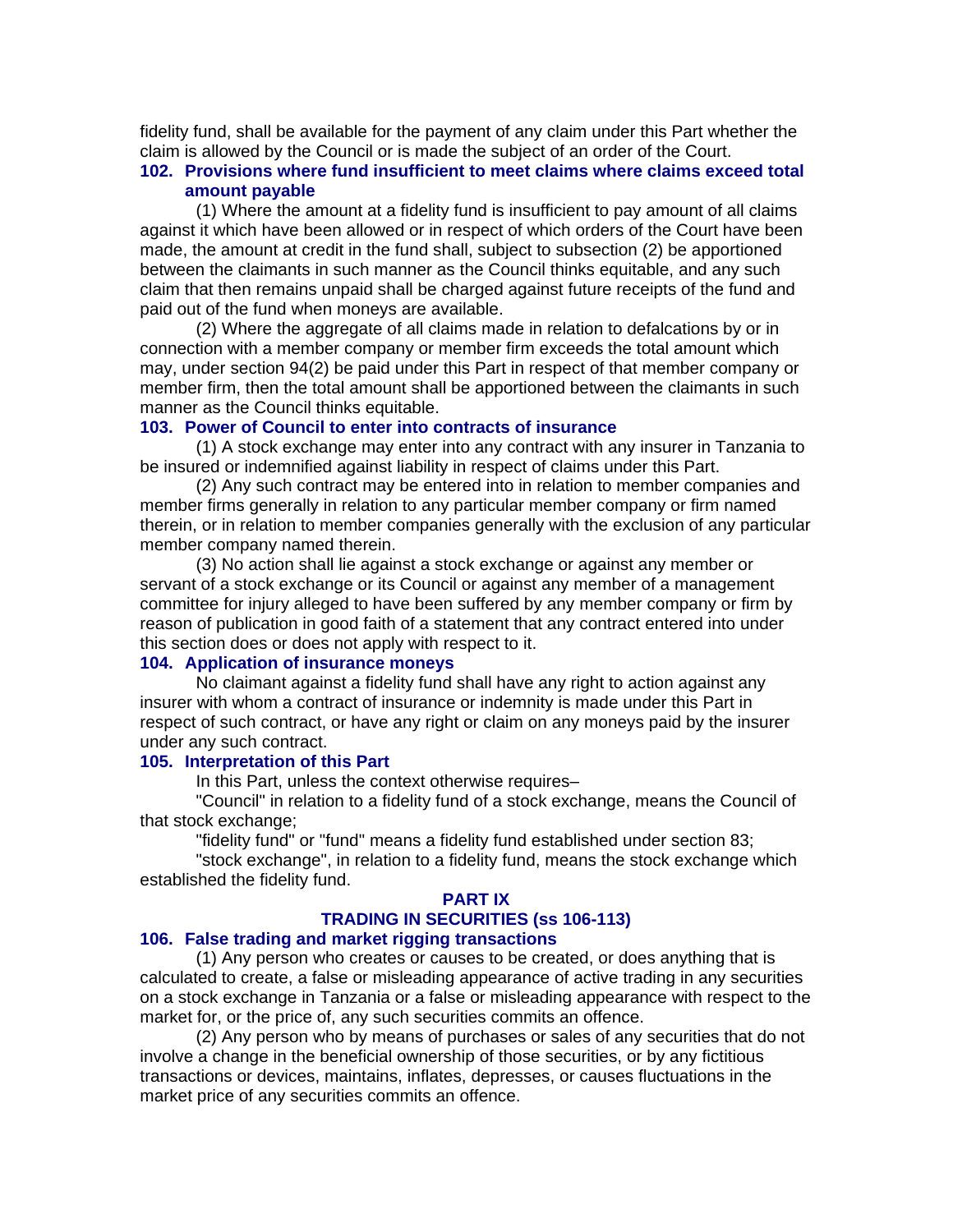fidelity fund, shall be available for the payment of any claim under this Part whether the claim is allowed by the Council or is made the subject of an order of the Court.

### **102. Provisions where fund insufficient to meet claims where claims exceed total amount payable**

(1) Where the amount at a fidelity fund is insufficient to pay amount of all claims against it which have been allowed or in respect of which orders of the Court have been made, the amount at credit in the fund shall, subject to subsection (2) be apportioned between the claimants in such manner as the Council thinks equitable, and any such claim that then remains unpaid shall be charged against future receipts of the fund and paid out of the fund when moneys are available.

(2) Where the aggregate of all claims made in relation to defalcations by or in connection with a member company or member firm exceeds the total amount which may, under section 94(2) be paid under this Part in respect of that member company or member firm, then the total amount shall be apportioned between the claimants in such manner as the Council thinks equitable.

#### **103. Power of Council to enter into contracts of insurance**

(1) A stock exchange may enter into any contract with any insurer in Tanzania to be insured or indemnified against liability in respect of claims under this Part.

(2) Any such contract may be entered into in relation to member companies and member firms generally in relation to any particular member company or firm named therein, or in relation to member companies generally with the exclusion of any particular member company named therein.

(3) No action shall lie against a stock exchange or against any member or servant of a stock exchange or its Council or against any member of a management committee for injury alleged to have been suffered by any member company or firm by reason of publication in good faith of a statement that any contract entered into under this section does or does not apply with respect to it.

### **104. Application of insurance moneys**

No claimant against a fidelity fund shall have any right to action against any insurer with whom a contract of insurance or indemnity is made under this Part in respect of such contract, or have any right or claim on any moneys paid by the insurer under any such contract.

#### **105. Interpretation of this Part**

In this Part, unless the context otherwise requires–

"Council" in relation to a fidelity fund of a stock exchange, means the Council of that stock exchange;

"fidelity fund" or "fund" means a fidelity fund established under section 83;

"stock exchange", in relation to a fidelity fund, means the stock exchange which established the fidelity fund.

#### **PART IX**

# **TRADING IN SECURITIES (ss 106-113)**

### **106. False trading and market rigging transactions**

(1) Any person who creates or causes to be created, or does anything that is calculated to create, a false or misleading appearance of active trading in any securities on a stock exchange in Tanzania or a false or misleading appearance with respect to the market for, or the price of, any such securities commits an offence.

(2) Any person who by means of purchases or sales of any securities that do not involve a change in the beneficial ownership of those securities, or by any fictitious transactions or devices, maintains, inflates, depresses, or causes fluctuations in the market price of any securities commits an offence.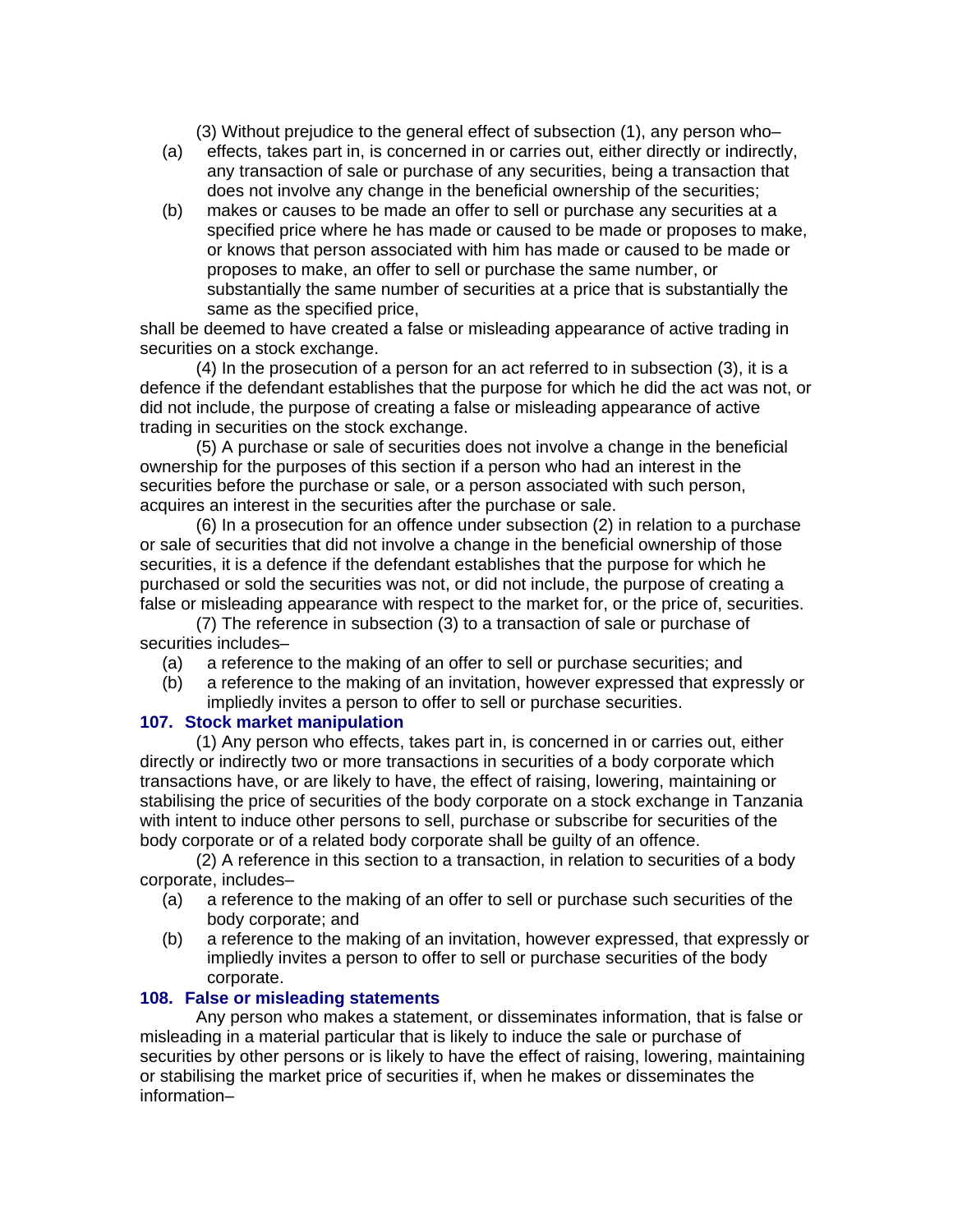(3) Without prejudice to the general effect of subsection (1), any person who–

- (a) effects, takes part in, is concerned in or carries out, either directly or indirectly, any transaction of sale or purchase of any securities, being a transaction that does not involve any change in the beneficial ownership of the securities;
- (b) makes or causes to be made an offer to sell or purchase any securities at a specified price where he has made or caused to be made or proposes to make, or knows that person associated with him has made or caused to be made or proposes to make, an offer to sell or purchase the same number, or substantially the same number of securities at a price that is substantially the same as the specified price,

shall be deemed to have created a false or misleading appearance of active trading in securities on a stock exchange.

(4) In the prosecution of a person for an act referred to in subsection (3), it is a defence if the defendant establishes that the purpose for which he did the act was not, or did not include, the purpose of creating a false or misleading appearance of active trading in securities on the stock exchange.

(5) A purchase or sale of securities does not involve a change in the beneficial ownership for the purposes of this section if a person who had an interest in the securities before the purchase or sale, or a person associated with such person, acquires an interest in the securities after the purchase or sale.

(6) In a prosecution for an offence under subsection (2) in relation to a purchase or sale of securities that did not involve a change in the beneficial ownership of those securities, it is a defence if the defendant establishes that the purpose for which he purchased or sold the securities was not, or did not include, the purpose of creating a false or misleading appearance with respect to the market for, or the price of, securities.

(7) The reference in subsection (3) to a transaction of sale or purchase of securities includes–

- (a) a reference to the making of an offer to sell or purchase securities; and
- (b) a reference to the making of an invitation, however expressed that expressly or impliedly invites a person to offer to sell or purchase securities.

### **107. Stock market manipulation**

(1) Any person who effects, takes part in, is concerned in or carries out, either directly or indirectly two or more transactions in securities of a body corporate which transactions have, or are likely to have, the effect of raising, lowering, maintaining or stabilising the price of securities of the body corporate on a stock exchange in Tanzania with intent to induce other persons to sell, purchase or subscribe for securities of the body corporate or of a related body corporate shall be guilty of an offence.

(2) A reference in this section to a transaction, in relation to securities of a body corporate, includes–

- (a) a reference to the making of an offer to sell or purchase such securities of the body corporate; and
- (b) a reference to the making of an invitation, however expressed, that expressly or impliedly invites a person to offer to sell or purchase securities of the body corporate.

### **108. False or misleading statements**

Any person who makes a statement, or disseminates information, that is false or misleading in a material particular that is likely to induce the sale or purchase of securities by other persons or is likely to have the effect of raising, lowering, maintaining or stabilising the market price of securities if, when he makes or disseminates the information–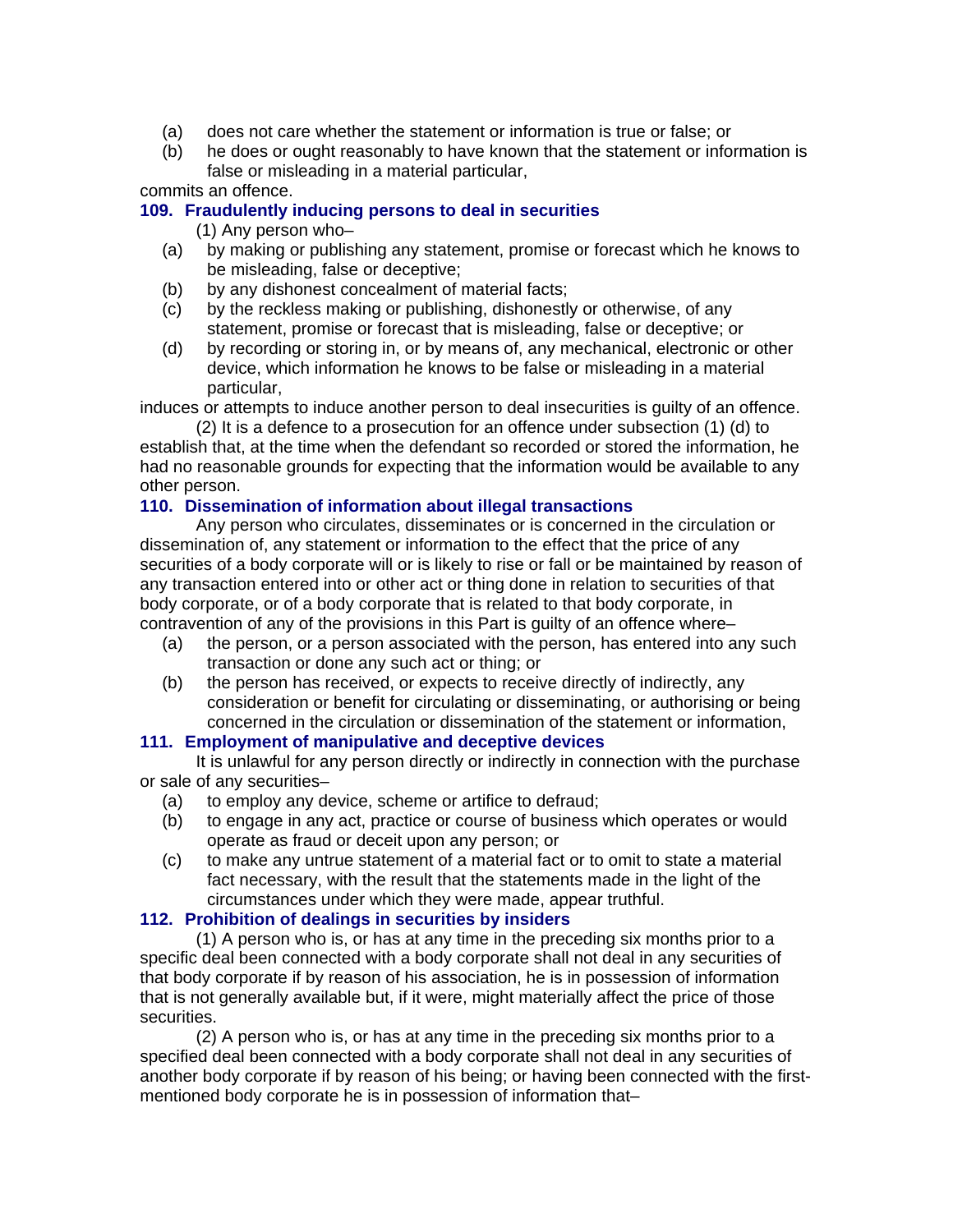- (a) does not care whether the statement or information is true or false; or
- (b) he does or ought reasonably to have known that the statement or information is false or misleading in a material particular,

### commits an offence.

### **109. Fraudulently inducing persons to deal in securities**

(1) Any person who–

- (a) by making or publishing any statement, promise or forecast which he knows to be misleading, false or deceptive;
- (b) by any dishonest concealment of material facts;
- (c) by the reckless making or publishing, dishonestly or otherwise, of any statement, promise or forecast that is misleading, false or deceptive; or
- (d) by recording or storing in, or by means of, any mechanical, electronic or other device, which information he knows to be false or misleading in a material particular,

induces or attempts to induce another person to deal insecurities is guilty of an offence. (2) It is a defence to a prosecution for an offence under subsection (1) (d) to

establish that, at the time when the defendant so recorded or stored the information, he had no reasonable grounds for expecting that the information would be available to any other person.

### **110. Dissemination of information about illegal transactions**

Any person who circulates, disseminates or is concerned in the circulation or dissemination of, any statement or information to the effect that the price of any securities of a body corporate will or is likely to rise or fall or be maintained by reason of any transaction entered into or other act or thing done in relation to securities of that body corporate, or of a body corporate that is related to that body corporate, in contravention of any of the provisions in this Part is guilty of an offence where–

- (a) the person, or a person associated with the person, has entered into any such transaction or done any such act or thing; or
- (b) the person has received, or expects to receive directly of indirectly, any consideration or benefit for circulating or disseminating, or authorising or being concerned in the circulation or dissemination of the statement or information,

### **111. Employment of manipulative and deceptive devices**

It is unlawful for any person directly or indirectly in connection with the purchase or sale of any securities–

- (a) to employ any device, scheme or artifice to defraud;
- (b) to engage in any act, practice or course of business which operates or would operate as fraud or deceit upon any person; or
- (c) to make any untrue statement of a material fact or to omit to state a material fact necessary, with the result that the statements made in the light of the circumstances under which they were made, appear truthful.

### **112. Prohibition of dealings in securities by insiders**

(1) A person who is, or has at any time in the preceding six months prior to a specific deal been connected with a body corporate shall not deal in any securities of that body corporate if by reason of his association, he is in possession of information that is not generally available but, if it were, might materially affect the price of those securities.

(2) A person who is, or has at any time in the preceding six months prior to a specified deal been connected with a body corporate shall not deal in any securities of another body corporate if by reason of his being; or having been connected with the firstmentioned body corporate he is in possession of information that–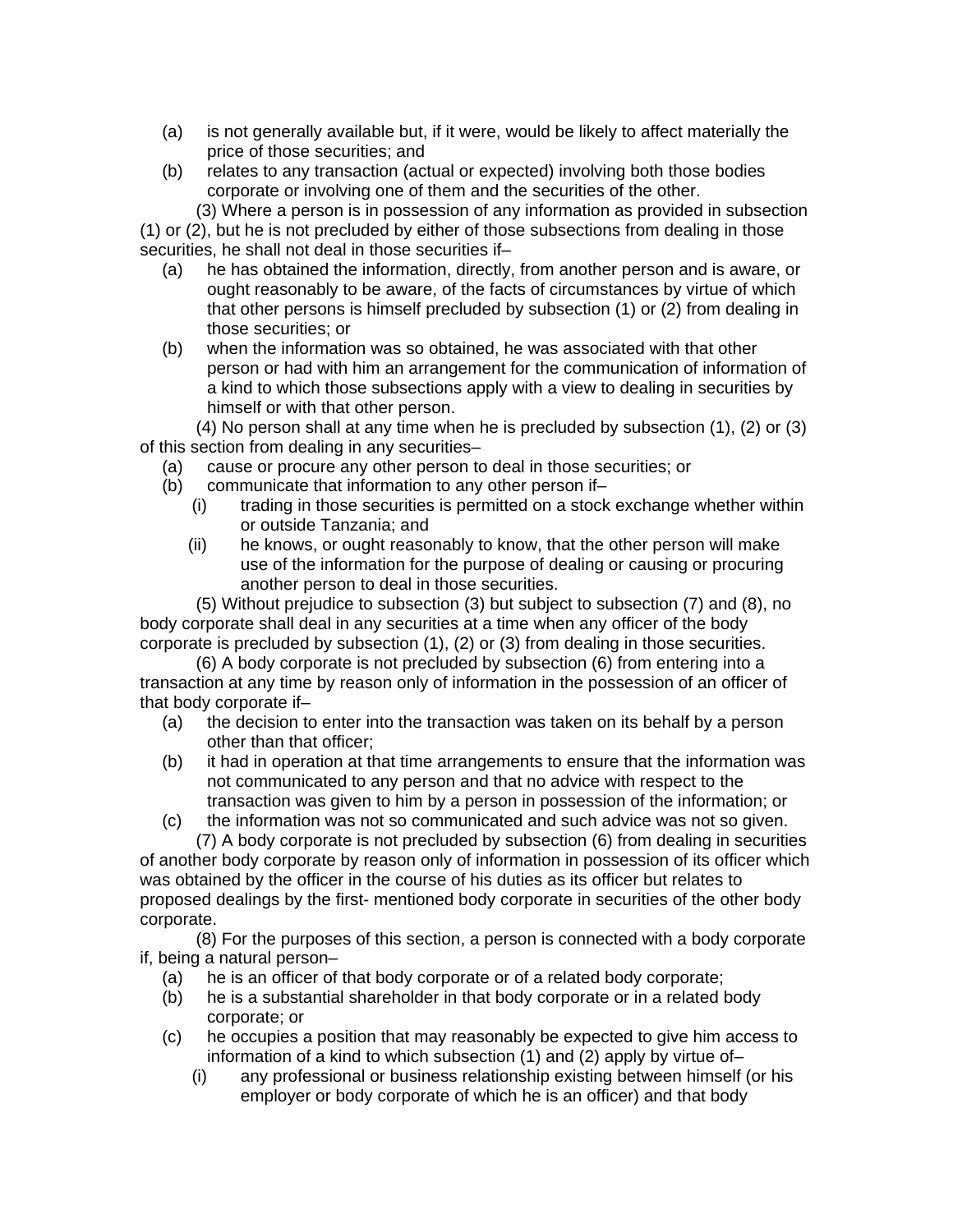- (a) is not generally available but, if it were, would be likely to affect materially the price of those securities; and
- (b) relates to any transaction (actual or expected) involving both those bodies corporate or involving one of them and the securities of the other.

(3) Where a person is in possession of any information as provided in subsection (1) or (2), but he is not precluded by either of those subsections from dealing in those securities, he shall not deal in those securities if–

- (a) he has obtained the information, directly, from another person and is aware, or ought reasonably to be aware, of the facts of circumstances by virtue of which that other persons is himself precluded by subsection (1) or (2) from dealing in those securities; or
- (b) when the information was so obtained, he was associated with that other person or had with him an arrangement for the communication of information of a kind to which those subsections apply with a view to dealing in securities by himself or with that other person.

(4) No person shall at any time when he is precluded by subsection (1), (2) or (3) of this section from dealing in any securities–

- (a) cause or procure any other person to deal in those securities; or
- (b) communicate that information to any other person if–
	- (i) trading in those securities is permitted on a stock exchange whether within or outside Tanzania; and
	- (ii) he knows, or ought reasonably to know, that the other person will make use of the information for the purpose of dealing or causing or procuring another person to deal in those securities.

(5) Without prejudice to subsection (3) but subject to subsection (7) and (8), no body corporate shall deal in any securities at a time when any officer of the body corporate is precluded by subsection (1), (2) or (3) from dealing in those securities.

(6) A body corporate is not precluded by subsection (6) from entering into a transaction at any time by reason only of information in the possession of an officer of that body corporate if–

- (a) the decision to enter into the transaction was taken on its behalf by a person other than that officer;
- (b) it had in operation at that time arrangements to ensure that the information was not communicated to any person and that no advice with respect to the transaction was given to him by a person in possession of the information; or
- (c) the information was not so communicated and such advice was not so given. (7) A body corporate is not precluded by subsection (6) from dealing in securities

of another body corporate by reason only of information in possession of its officer which was obtained by the officer in the course of his duties as its officer but relates to proposed dealings by the first- mentioned body corporate in securities of the other body corporate.

(8) For the purposes of this section, a person is connected with a body corporate if, being a natural person–

- (a) he is an officer of that body corporate or of a related body corporate;
- (b) he is a substantial shareholder in that body corporate or in a related body corporate; or
- (c) he occupies a position that may reasonably be expected to give him access to information of a kind to which subsection (1) and (2) apply by virtue of–
	- (i) any professional or business relationship existing between himself (or his employer or body corporate of which he is an officer) and that body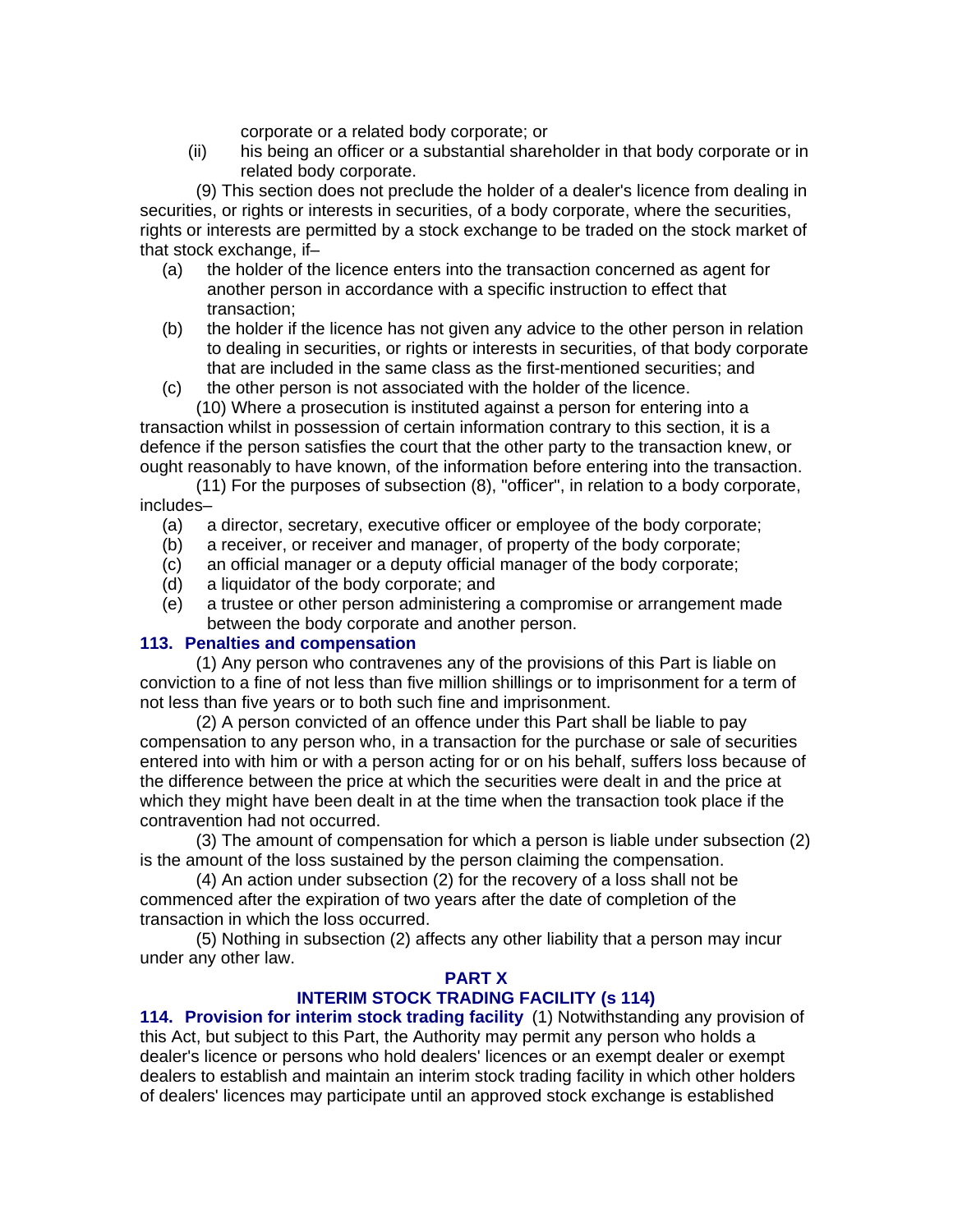corporate or a related body corporate; or

 (ii) his being an officer or a substantial shareholder in that body corporate or in related body corporate.

(9) This section does not preclude the holder of a dealer's licence from dealing in securities, or rights or interests in securities, of a body corporate, where the securities, rights or interests are permitted by a stock exchange to be traded on the stock market of that stock exchange, if–

- (a) the holder of the licence enters into the transaction concerned as agent for another person in accordance with a specific instruction to effect that transaction;
- (b) the holder if the licence has not given any advice to the other person in relation to dealing in securities, or rights or interests in securities, of that body corporate that are included in the same class as the first-mentioned securities; and
- (c) the other person is not associated with the holder of the licence.

(10) Where a prosecution is instituted against a person for entering into a transaction whilst in possession of certain information contrary to this section, it is a defence if the person satisfies the court that the other party to the transaction knew, or ought reasonably to have known, of the information before entering into the transaction.

(11) For the purposes of subsection (8), "officer", in relation to a body corporate, includes–

- (a) a director, secretary, executive officer or employee of the body corporate;
- (b) a receiver, or receiver and manager, of property of the body corporate;
- (c) an official manager or a deputy official manager of the body corporate;
- (d) a liquidator of the body corporate; and
- (e) a trustee or other person administering a compromise or arrangement made between the body corporate and another person.

#### **113. Penalties and compensation**

(1) Any person who contravenes any of the provisions of this Part is liable on conviction to a fine of not less than five million shillings or to imprisonment for a term of not less than five years or to both such fine and imprisonment.

(2) A person convicted of an offence under this Part shall be liable to pay compensation to any person who, in a transaction for the purchase or sale of securities entered into with him or with a person acting for or on his behalf, suffers loss because of the difference between the price at which the securities were dealt in and the price at which they might have been dealt in at the time when the transaction took place if the contravention had not occurred.

(3) The amount of compensation for which a person is liable under subsection (2) is the amount of the loss sustained by the person claiming the compensation.

(4) An action under subsection (2) for the recovery of a loss shall not be commenced after the expiration of two years after the date of completion of the transaction in which the loss occurred.

(5) Nothing in subsection (2) affects any other liability that a person may incur under any other law.

# **PART X**

# **INTERIM STOCK TRADING FACILITY (s 114)**

**114. Provision for interim stock trading facility** (1) Notwithstanding any provision of this Act, but subject to this Part, the Authority may permit any person who holds a dealer's licence or persons who hold dealers' licences or an exempt dealer or exempt dealers to establish and maintain an interim stock trading facility in which other holders of dealers' licences may participate until an approved stock exchange is established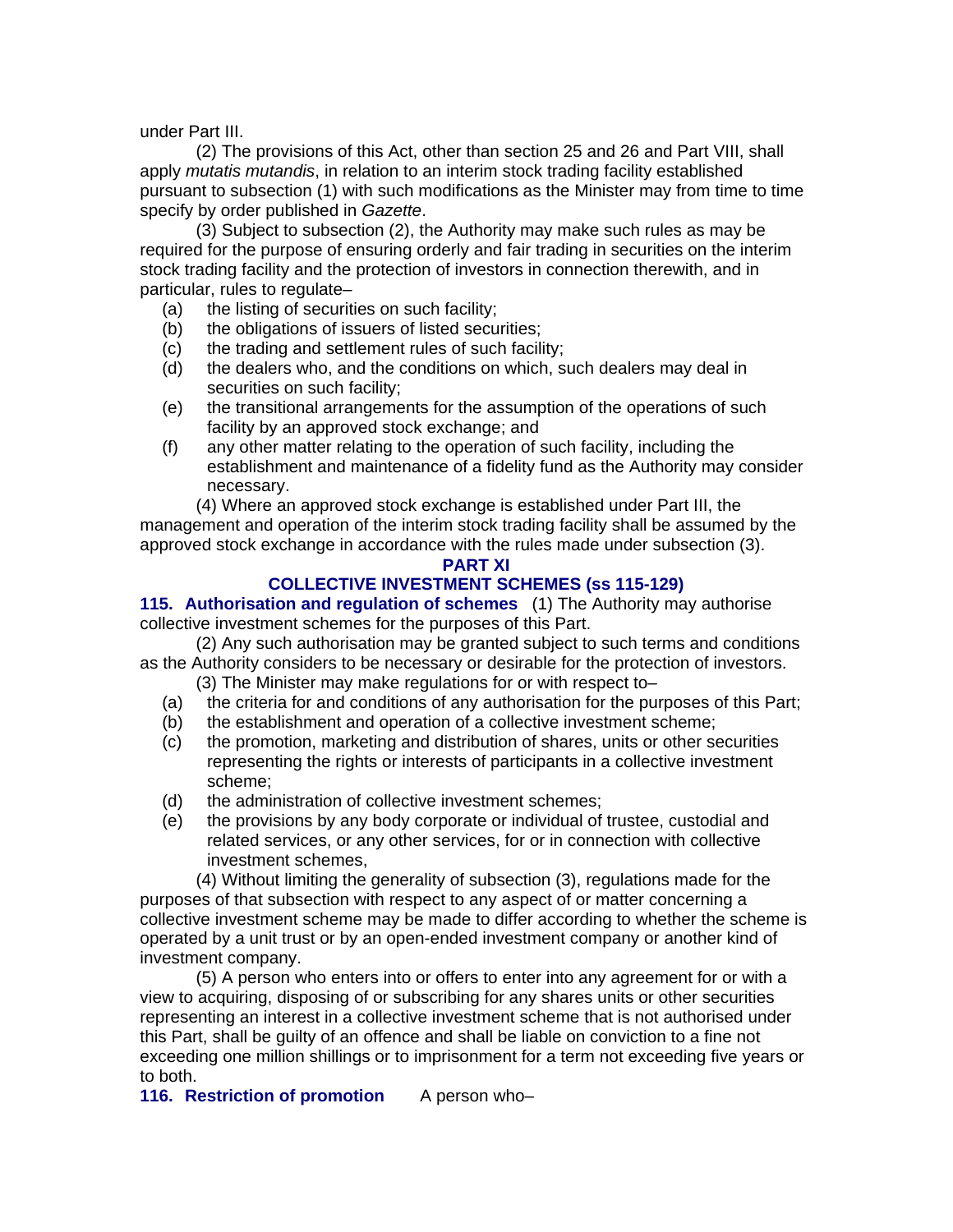under Part III.

(2) The provisions of this Act, other than section 25 and 26 and Part VIII, shall apply *mutatis mutandis*, in relation to an interim stock trading facility established pursuant to subsection (1) with such modifications as the Minister may from time to time specify by order published in *Gazette*.

(3) Subject to subsection (2), the Authority may make such rules as may be required for the purpose of ensuring orderly and fair trading in securities on the interim stock trading facility and the protection of investors in connection therewith, and in particular, rules to regulate–

- (a) the listing of securities on such facility;
- (b) the obligations of issuers of listed securities;
- (c) the trading and settlement rules of such facility;
- (d) the dealers who, and the conditions on which, such dealers may deal in securities on such facility;
- (e) the transitional arrangements for the assumption of the operations of such facility by an approved stock exchange; and
- (f) any other matter relating to the operation of such facility, including the establishment and maintenance of a fidelity fund as the Authority may consider necessary.

(4) Where an approved stock exchange is established under Part III, the management and operation of the interim stock trading facility shall be assumed by the approved stock exchange in accordance with the rules made under subsection (3).

#### **PART XI**

# **COLLECTIVE INVESTMENT SCHEMES (ss 115-129)**

**115. Authorisation and regulation of schemes** (1) The Authority may authorise collective investment schemes for the purposes of this Part.

(2) Any such authorisation may be granted subject to such terms and conditions as the Authority considers to be necessary or desirable for the protection of investors.

- (3) The Minister may make regulations for or with respect to–
- (a) the criteria for and conditions of any authorisation for the purposes of this Part;
- (b) the establishment and operation of a collective investment scheme;
- (c) the promotion, marketing and distribution of shares, units or other securities representing the rights or interests of participants in a collective investment scheme;
- (d) the administration of collective investment schemes;
- (e) the provisions by any body corporate or individual of trustee, custodial and related services, or any other services, for or in connection with collective investment schemes,

(4) Without limiting the generality of subsection (3), regulations made for the purposes of that subsection with respect to any aspect of or matter concerning a collective investment scheme may be made to differ according to whether the scheme is operated by a unit trust or by an open-ended investment company or another kind of investment company.

(5) A person who enters into or offers to enter into any agreement for or with a view to acquiring, disposing of or subscribing for any shares units or other securities representing an interest in a collective investment scheme that is not authorised under this Part, shall be guilty of an offence and shall be liable on conviction to a fine not exceeding one million shillings or to imprisonment for a term not exceeding five years or to both.

**116. Restriction of promotion** A person who–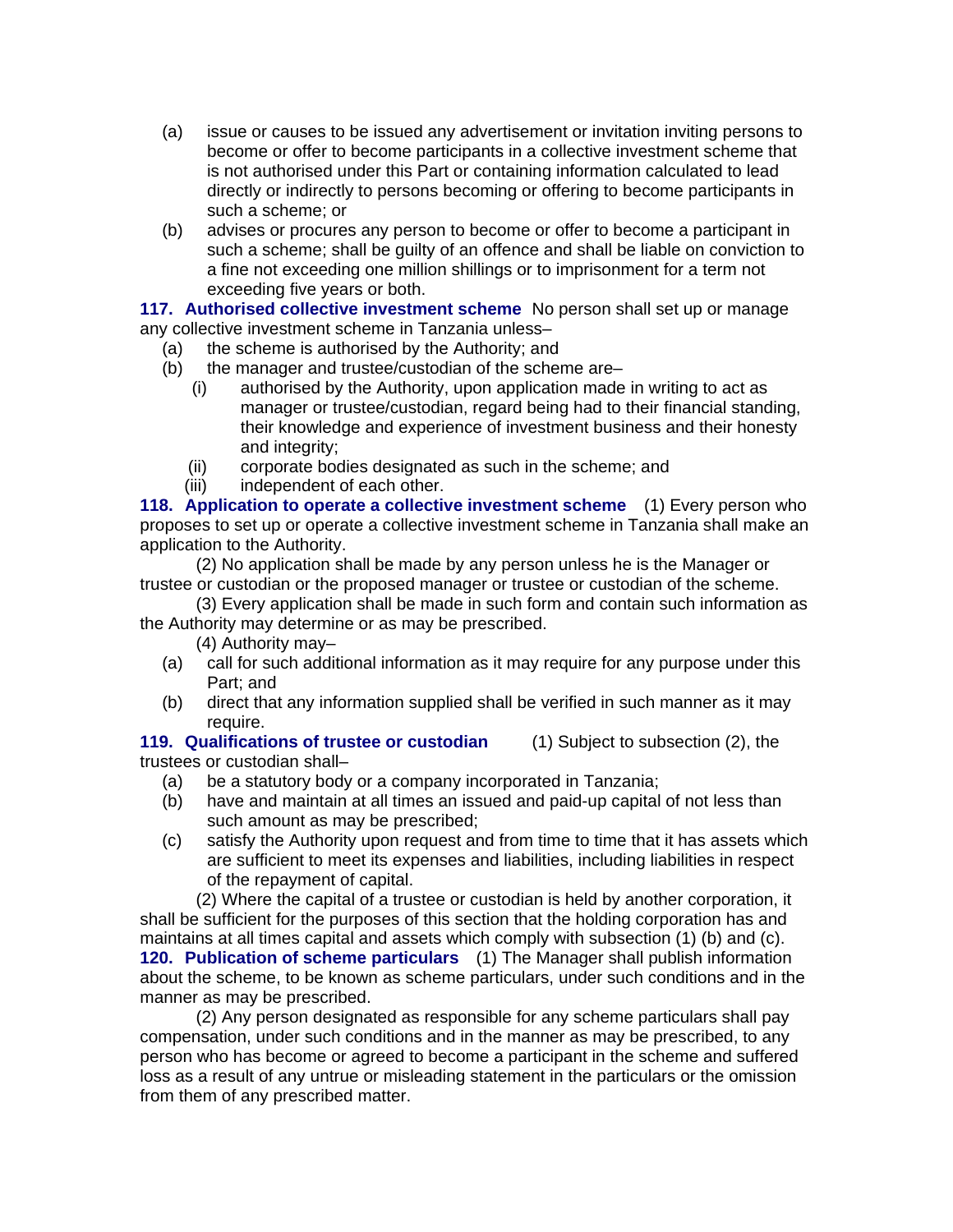- (a) issue or causes to be issued any advertisement or invitation inviting persons to become or offer to become participants in a collective investment scheme that is not authorised under this Part or containing information calculated to lead directly or indirectly to persons becoming or offering to become participants in such a scheme; or
- (b) advises or procures any person to become or offer to become a participant in such a scheme; shall be guilty of an offence and shall be liable on conviction to a fine not exceeding one million shillings or to imprisonment for a term not exceeding five years or both.

**117. Authorised collective investment scheme** No person shall set up or manage any collective investment scheme in Tanzania unless–

- (a) the scheme is authorised by the Authority; and
- (b) the manager and trustee/custodian of the scheme are–
	- (i) authorised by the Authority, upon application made in writing to act as manager or trustee/custodian, regard being had to their financial standing, their knowledge and experience of investment business and their honesty and integrity;
	- (ii) corporate bodies designated as such in the scheme; and
	- (iii) independent of each other.

**118. Application to operate a collective investment scheme** (1) Every person who proposes to set up or operate a collective investment scheme in Tanzania shall make an application to the Authority.

(2) No application shall be made by any person unless he is the Manager or trustee or custodian or the proposed manager or trustee or custodian of the scheme.

(3) Every application shall be made in such form and contain such information as the Authority may determine or as may be prescribed.

(4) Authority may–

- (a) call for such additional information as it may require for any purpose under this Part; and
- (b) direct that any information supplied shall be verified in such manner as it may require.

### **119. Qualifications of trustee or custodian** (1) Subject to subsection (2), the trustees or custodian shall–

- (a) be a statutory body or a company incorporated in Tanzania;
- (b) have and maintain at all times an issued and paid-up capital of not less than such amount as may be prescribed;
- (c) satisfy the Authority upon request and from time to time that it has assets which are sufficient to meet its expenses and liabilities, including liabilities in respect of the repayment of capital.

(2) Where the capital of a trustee or custodian is held by another corporation, it shall be sufficient for the purposes of this section that the holding corporation has and maintains at all times capital and assets which comply with subsection (1) (b) and (c). **120. Publication of scheme particulars** (1) The Manager shall publish information about the scheme, to be known as scheme particulars, under such conditions and in the manner as may be prescribed.

(2) Any person designated as responsible for any scheme particulars shall pay compensation, under such conditions and in the manner as may be prescribed, to any person who has become or agreed to become a participant in the scheme and suffered loss as a result of any untrue or misleading statement in the particulars or the omission from them of any prescribed matter.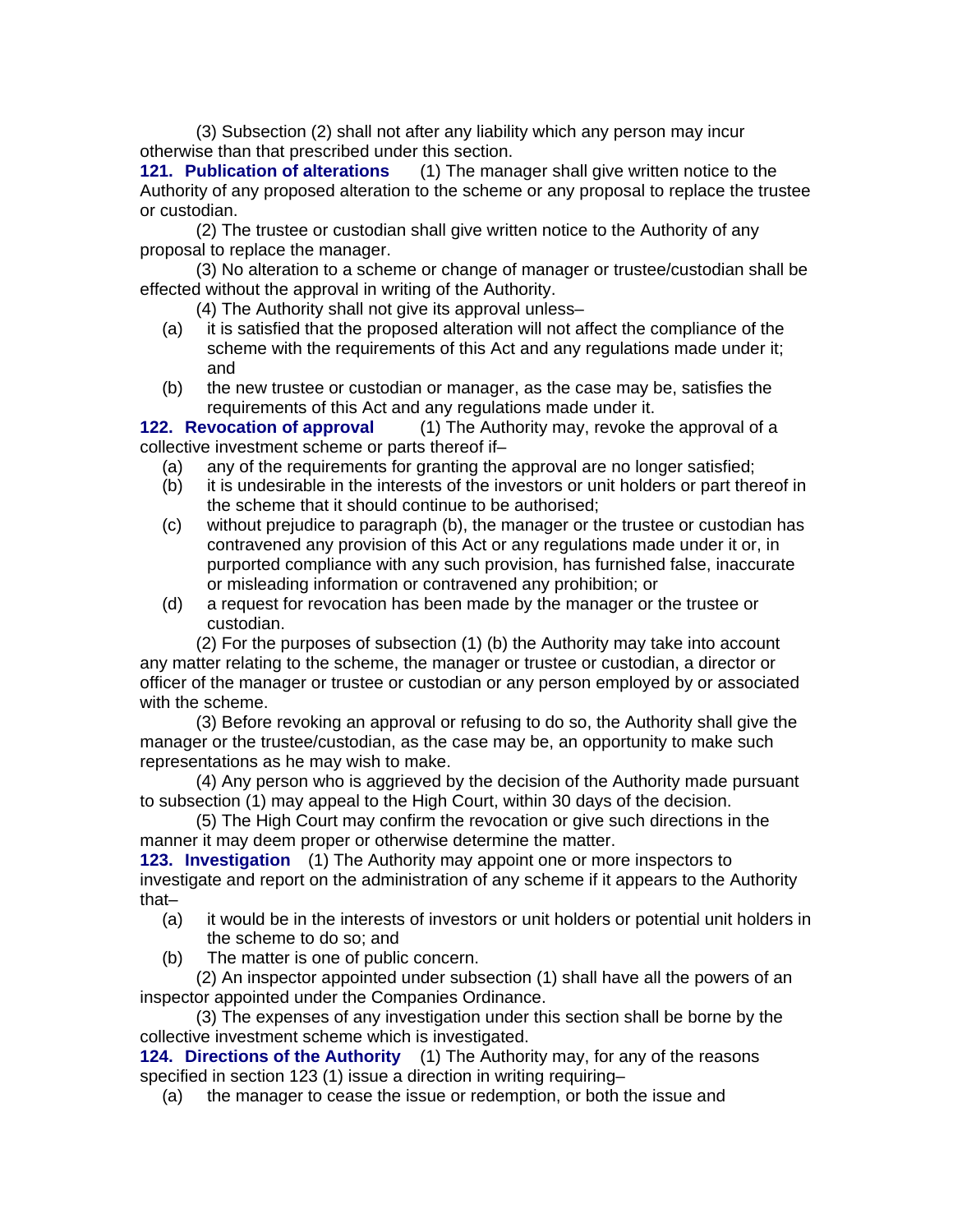(3) Subsection (2) shall not after any liability which any person may incur otherwise than that prescribed under this section.

**121. Publication of alterations** (1) The manager shall give written notice to the Authority of any proposed alteration to the scheme or any proposal to replace the trustee or custodian.

(2) The trustee or custodian shall give written notice to the Authority of any proposal to replace the manager.

(3) No alteration to a scheme or change of manager or trustee/custodian shall be effected without the approval in writing of the Authority.

(4) The Authority shall not give its approval unless–

- (a) it is satisfied that the proposed alteration will not affect the compliance of the scheme with the requirements of this Act and any regulations made under it; and
- (b) the new trustee or custodian or manager, as the case may be, satisfies the requirements of this Act and any regulations made under it.

**122. Revocation of approval** (1) The Authority may, revoke the approval of a collective investment scheme or parts thereof if–

- (a) any of the requirements for granting the approval are no longer satisfied;
- (b) it is undesirable in the interests of the investors or unit holders or part thereof in the scheme that it should continue to be authorised;
- (c) without prejudice to paragraph (b), the manager or the trustee or custodian has contravened any provision of this Act or any regulations made under it or, in purported compliance with any such provision, has furnished false, inaccurate or misleading information or contravened any prohibition; or
- (d) a request for revocation has been made by the manager or the trustee or custodian.

(2) For the purposes of subsection (1) (b) the Authority may take into account any matter relating to the scheme, the manager or trustee or custodian, a director or officer of the manager or trustee or custodian or any person employed by or associated with the scheme.

(3) Before revoking an approval or refusing to do so, the Authority shall give the manager or the trustee/custodian, as the case may be, an opportunity to make such representations as he may wish to make.

(4) Any person who is aggrieved by the decision of the Authority made pursuant to subsection (1) may appeal to the High Court, within 30 days of the decision.

(5) The High Court may confirm the revocation or give such directions in the manner it may deem proper or otherwise determine the matter.

**123. Investigation** (1) The Authority may appoint one or more inspectors to investigate and report on the administration of any scheme if it appears to the Authority that–

- (a) it would be in the interests of investors or unit holders or potential unit holders in the scheme to do so; and
- (b) The matter is one of public concern.

(2) An inspector appointed under subsection (1) shall have all the powers of an inspector appointed under the Companies Ordinance.

(3) The expenses of any investigation under this section shall be borne by the collective investment scheme which is investigated.

**124. Directions of the Authority** (1) The Authority may, for any of the reasons specified in section 123 (1) issue a direction in writing requiring–

(a) the manager to cease the issue or redemption, or both the issue and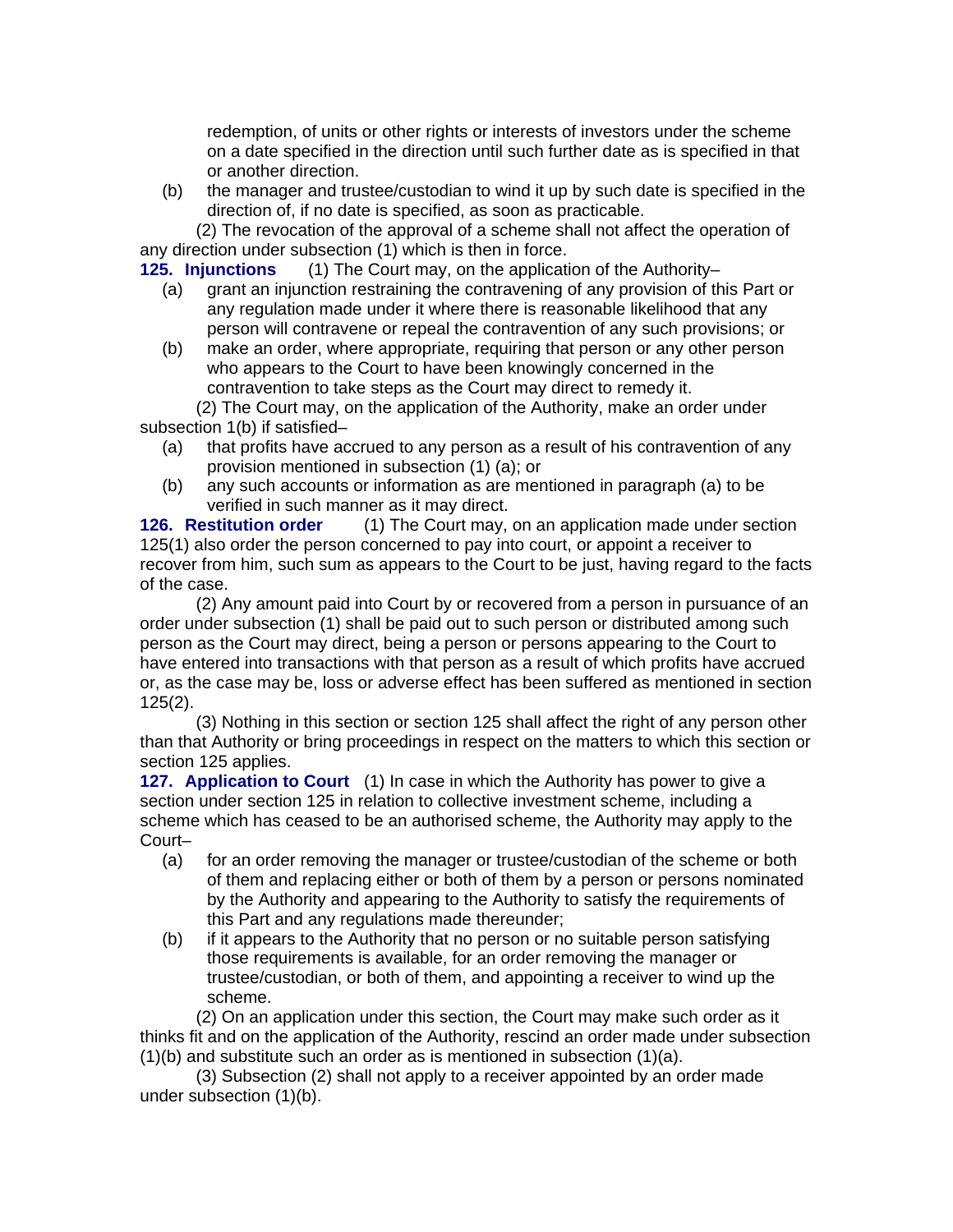redemption, of units or other rights or interests of investors under the scheme on a date specified in the direction until such further date as is specified in that or another direction.

(b) the manager and trustee/custodian to wind it up by such date is specified in the direction of, if no date is specified, as soon as practicable.

(2) The revocation of the approval of a scheme shall not affect the operation of any direction under subsection (1) which is then in force.

**125. Injunctions** (1) The Court may, on the application of the Authority–

- (a) grant an injunction restraining the contravening of any provision of this Part or any regulation made under it where there is reasonable likelihood that any person will contravene or repeal the contravention of any such provisions; or
- (b) make an order, where appropriate, requiring that person or any other person who appears to the Court to have been knowingly concerned in the contravention to take steps as the Court may direct to remedy it.

(2) The Court may, on the application of the Authority, make an order under subsection 1(b) if satisfied–

- (a) that profits have accrued to any person as a result of his contravention of any provision mentioned in subsection (1) (a); or
- (b) any such accounts or information as are mentioned in paragraph (a) to be verified in such manner as it may direct.

**126. Restitution order** (1) The Court may, on an application made under section 125(1) also order the person concerned to pay into court, or appoint a receiver to recover from him, such sum as appears to the Court to be just, having regard to the facts of the case.

(2) Any amount paid into Court by or recovered from a person in pursuance of an order under subsection (1) shall be paid out to such person or distributed among such person as the Court may direct, being a person or persons appearing to the Court to have entered into transactions with that person as a result of which profits have accrued or, as the case may be, loss or adverse effect has been suffered as mentioned in section 125(2).

(3) Nothing in this section or section 125 shall affect the right of any person other than that Authority or bring proceedings in respect on the matters to which this section or section 125 applies.

**127. Application to Court** (1) In case in which the Authority has power to give a section under section 125 in relation to collective investment scheme, including a scheme which has ceased to be an authorised scheme, the Authority may apply to the Court–

- (a) for an order removing the manager or trustee/custodian of the scheme or both of them and replacing either or both of them by a person or persons nominated by the Authority and appearing to the Authority to satisfy the requirements of this Part and any regulations made thereunder;
- (b) if it appears to the Authority that no person or no suitable person satisfying those requirements is available, for an order removing the manager or trustee/custodian, or both of them, and appointing a receiver to wind up the scheme.

(2) On an application under this section, the Court may make such order as it thinks fit and on the application of the Authority, rescind an order made under subsection (1)(b) and substitute such an order as is mentioned in subsection (1)(a).

(3) Subsection (2) shall not apply to a receiver appointed by an order made under subsection (1)(b).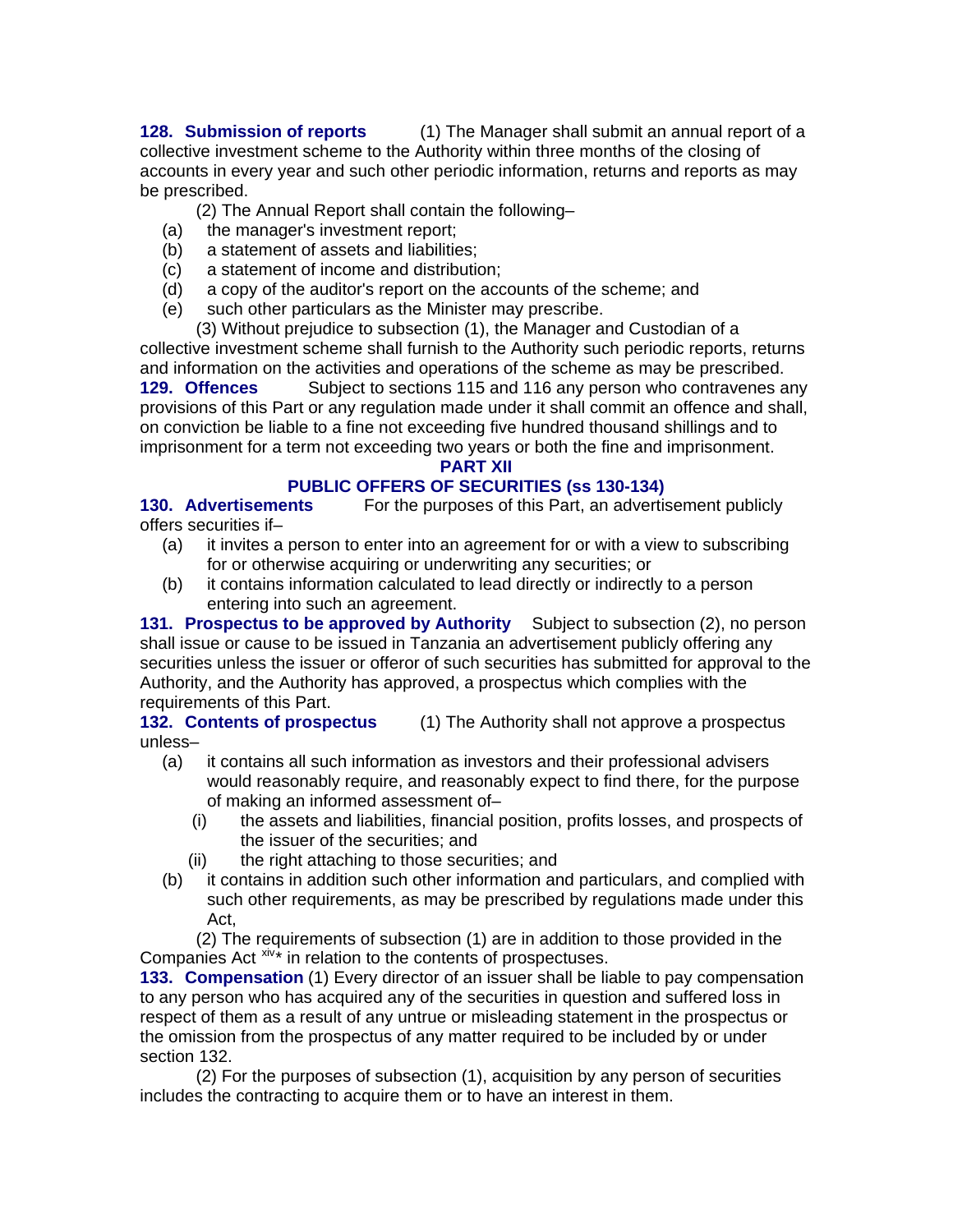**128. Submission of reports** (1) The Manager shall submit an annual report of a collective investment scheme to the Authority within three months of the closing of accounts in every year and such other periodic information, returns and reports as may be prescribed.

(2) The Annual Report shall contain the following–

- (a) the manager's investment report;
- (b) a statement of assets and liabilities;
- (c) a statement of income and distribution;
- (d) a copy of the auditor's report on the accounts of the scheme; and
- (e) such other particulars as the Minister may prescribe.

(3) Without prejudice to subsection (1), the Manager and Custodian of a collective investment scheme shall furnish to the Authority such periodic reports, returns and information on the activities and operations of the scheme as may be prescribed. **129. Offences** Subject to sections 115 and 116 any person who contravenes any

provisions of this Part or any regulation made under it shall commit an offence and shall, on conviction be liable to a fine not exceeding five hundred thousand shillings and to imprisonment for a term not exceeding two years or both the fine and imprisonment.

### **PART XII**

# **PUBLIC OFFERS OF SECURITIES (ss 130-134)**

**130. Advertisements** For the purposes of this Part, an advertisement publicly offers securities if–

- (a) it invites a person to enter into an agreement for or with a view to subscribing for or otherwise acquiring or underwriting any securities; or
- (b) it contains information calculated to lead directly or indirectly to a person entering into such an agreement.

**131. Prospectus to be approved by Authority** Subject to subsection (2), no person shall issue or cause to be issued in Tanzania an advertisement publicly offering any securities unless the issuer or offeror of such securities has submitted for approval to the Authority, and the Authority has approved, a prospectus which complies with the requirements of this Part.

**132. Contents of prospectus** (1) The Authority shall not approve a prospectus unless–

- (a) it contains all such information as investors and their professional advisers would reasonably require, and reasonably expect to find there, for the purpose of making an informed assessment of–
	- (i) the assets and liabilities, financial position, profits losses, and prospects of the issuer of the securities; and
	- (ii) the right attaching to those securities; and
- (b) it contains in addition such other information and particulars, and complied with such other requirements, as may be prescribed by regulations made under this Act,

(2) The requirements of subsection (1) are in addition to those provided in the Companies Act  $x<sub>i</sub> + x<sub>i</sub>$  in relation to the contents of prospectuses.

**133. Compensation** (1) Every director of an issuer shall be liable to pay compensation to any person who has acquired any of the securities in question and suffered loss in respect of them as a result of any untrue or misleading statement in the prospectus or the omission from the prospectus of any matter required to be included by or under section 132.

(2) For the purposes of subsection (1), acquisition by any person of securities includes the contracting to acquire them or to have an interest in them.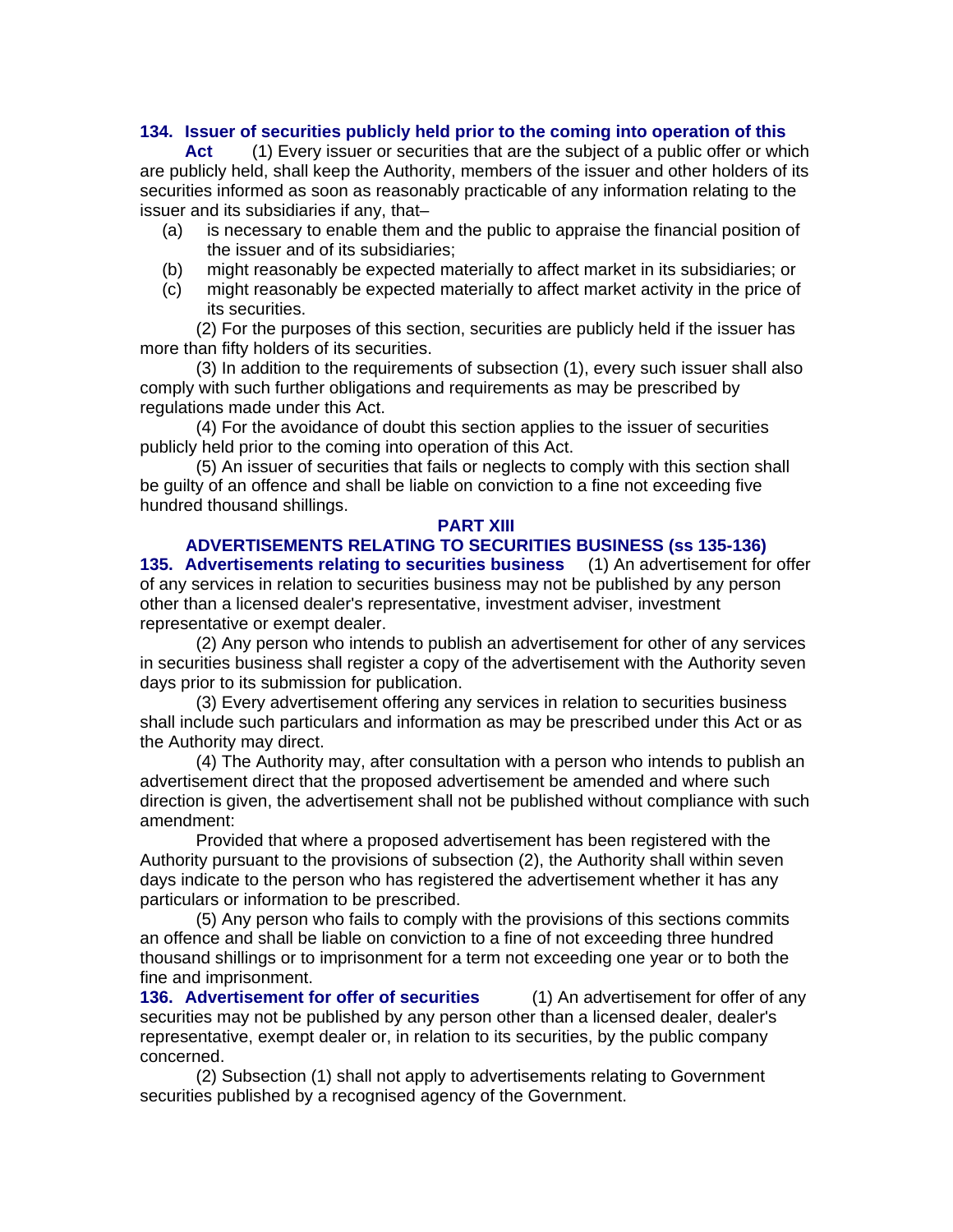#### **134. Issuer of securities publicly held prior to the coming into operation of this**

**Act** (1) Every issuer or securities that are the subject of a public offer or which are publicly held, shall keep the Authority, members of the issuer and other holders of its securities informed as soon as reasonably practicable of any information relating to the issuer and its subsidiaries if any, that–

- (a) is necessary to enable them and the public to appraise the financial position of the issuer and of its subsidiaries;
- (b) might reasonably be expected materially to affect market in its subsidiaries; or
- (c) might reasonably be expected materially to affect market activity in the price of its securities.

(2) For the purposes of this section, securities are publicly held if the issuer has more than fifty holders of its securities.

(3) In addition to the requirements of subsection (1), every such issuer shall also comply with such further obligations and requirements as may be prescribed by regulations made under this Act.

(4) For the avoidance of doubt this section applies to the issuer of securities publicly held prior to the coming into operation of this Act.

(5) An issuer of securities that fails or neglects to comply with this section shall be guilty of an offence and shall be liable on conviction to a fine not exceeding five hundred thousand shillings.

#### **PART XIII**

#### **ADVERTISEMENTS RELATING TO SECURITIES BUSINESS (ss 135-136) 135. Advertisements relating to securities business** (1) An advertisement for offer of any services in relation to securities business may not be published by any person other than a licensed dealer's representative, investment adviser, investment representative or exempt dealer.

(2) Any person who intends to publish an advertisement for other of any services in securities business shall register a copy of the advertisement with the Authority seven days prior to its submission for publication.

(3) Every advertisement offering any services in relation to securities business shall include such particulars and information as may be prescribed under this Act or as the Authority may direct.

(4) The Authority may, after consultation with a person who intends to publish an advertisement direct that the proposed advertisement be amended and where such direction is given, the advertisement shall not be published without compliance with such amendment:

Provided that where a proposed advertisement has been registered with the Authority pursuant to the provisions of subsection (2), the Authority shall within seven days indicate to the person who has registered the advertisement whether it has any particulars or information to be prescribed.

(5) Any person who fails to comply with the provisions of this sections commits an offence and shall be liable on conviction to a fine of not exceeding three hundred thousand shillings or to imprisonment for a term not exceeding one year or to both the fine and imprisonment.

**136. Advertisement for offer of securities** (1) An advertisement for offer of any securities may not be published by any person other than a licensed dealer, dealer's representative, exempt dealer or, in relation to its securities, by the public company concerned.

(2) Subsection (1) shall not apply to advertisements relating to Government securities published by a recognised agency of the Government.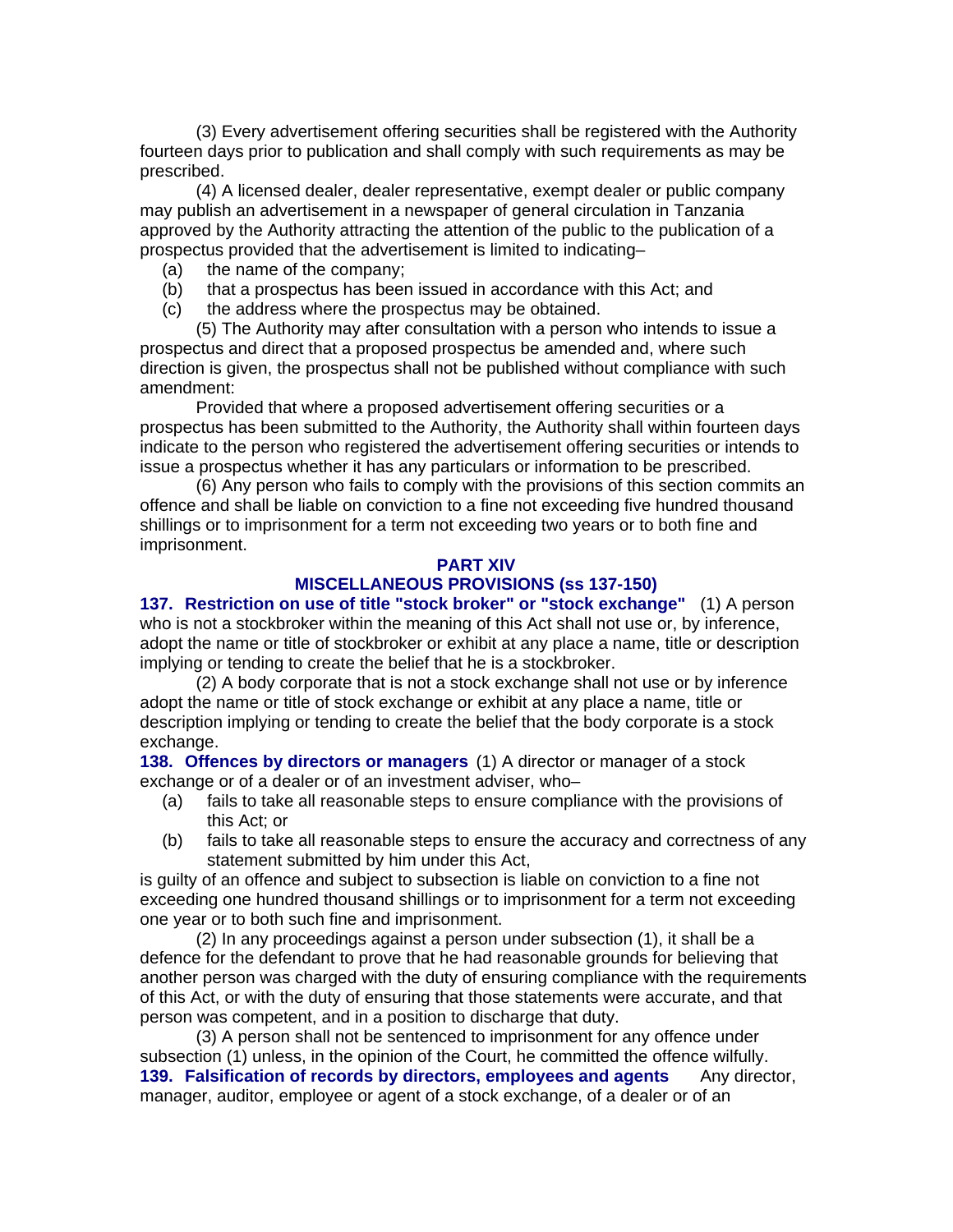(3) Every advertisement offering securities shall be registered with the Authority fourteen days prior to publication and shall comply with such requirements as may be prescribed.

(4) A licensed dealer, dealer representative, exempt dealer or public company may publish an advertisement in a newspaper of general circulation in Tanzania approved by the Authority attracting the attention of the public to the publication of a prospectus provided that the advertisement is limited to indicating–

- (a) the name of the company;
- (b) that a prospectus has been issued in accordance with this Act; and
- (c) the address where the prospectus may be obtained.

(5) The Authority may after consultation with a person who intends to issue a prospectus and direct that a proposed prospectus be amended and, where such direction is given, the prospectus shall not be published without compliance with such amendment:

Provided that where a proposed advertisement offering securities or a prospectus has been submitted to the Authority, the Authority shall within fourteen days indicate to the person who registered the advertisement offering securities or intends to issue a prospectus whether it has any particulars or information to be prescribed.

(6) Any person who fails to comply with the provisions of this section commits an offence and shall be liable on conviction to a fine not exceeding five hundred thousand shillings or to imprisonment for a term not exceeding two years or to both fine and imprisonment.

#### **PART XIV**

#### **MISCELLANEOUS PROVISIONS (ss 137-150)**

**137. Restriction on use of title "stock broker" or "stock exchange"** (1) A person who is not a stockbroker within the meaning of this Act shall not use or, by inference, adopt the name or title of stockbroker or exhibit at any place a name, title or description implying or tending to create the belief that he is a stockbroker.

(2) A body corporate that is not a stock exchange shall not use or by inference adopt the name or title of stock exchange or exhibit at any place a name, title or description implying or tending to create the belief that the body corporate is a stock exchange.

**138. Offences by directors or managers** (1) A director or manager of a stock exchange or of a dealer or of an investment adviser, who–

- (a) fails to take all reasonable steps to ensure compliance with the provisions of this Act; or
- (b) fails to take all reasonable steps to ensure the accuracy and correctness of any statement submitted by him under this Act,

is guilty of an offence and subject to subsection is liable on conviction to a fine not exceeding one hundred thousand shillings or to imprisonment for a term not exceeding one year or to both such fine and imprisonment.

(2) In any proceedings against a person under subsection (1), it shall be a defence for the defendant to prove that he had reasonable grounds for believing that another person was charged with the duty of ensuring compliance with the requirements of this Act, or with the duty of ensuring that those statements were accurate, and that person was competent, and in a position to discharge that duty.

(3) A person shall not be sentenced to imprisonment for any offence under subsection (1) unless, in the opinion of the Court, he committed the offence wilfully. **139. Falsification of records by directors, employees and agents** Any director, manager, auditor, employee or agent of a stock exchange, of a dealer or of an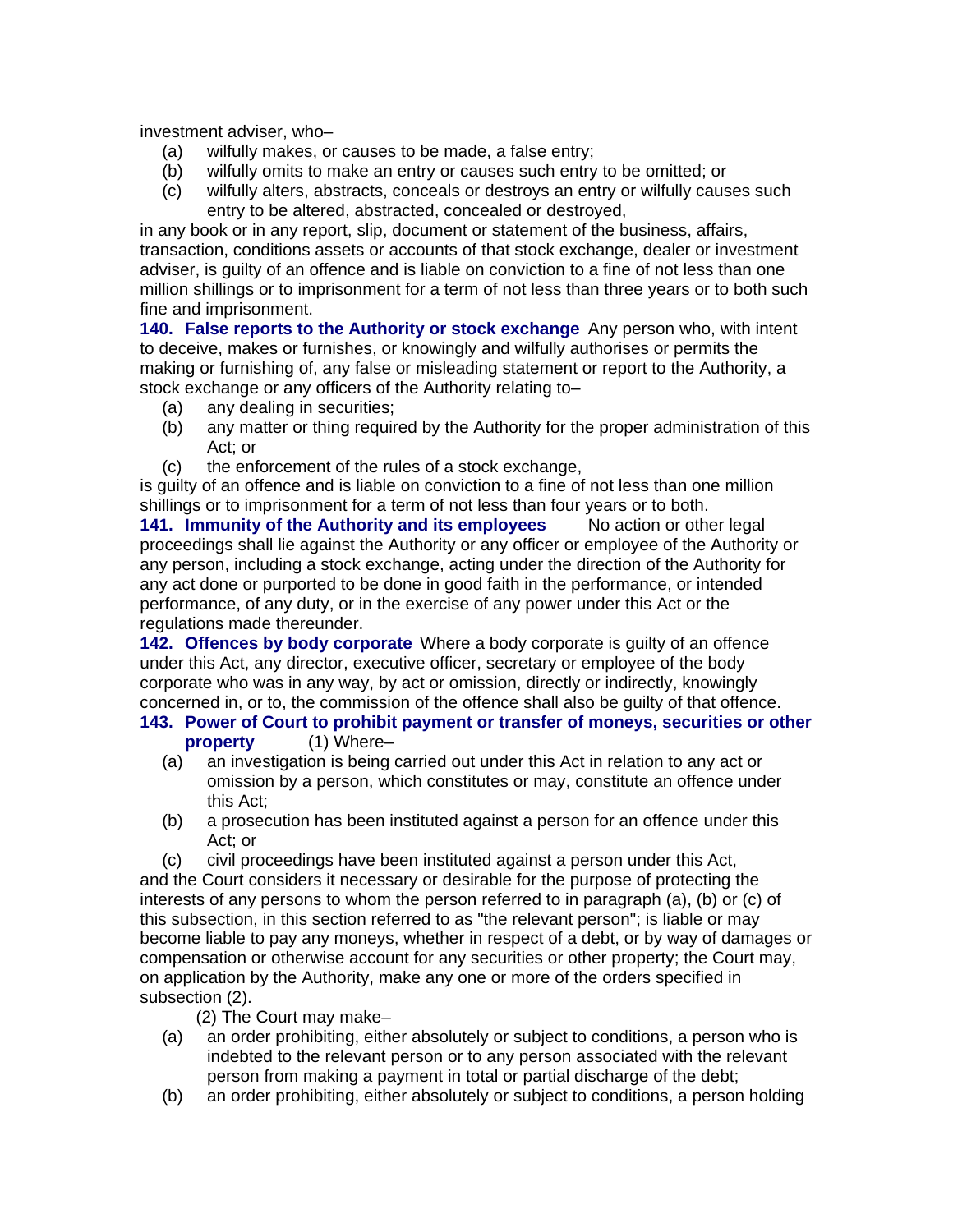investment adviser, who–

- (a) wilfully makes, or causes to be made, a false entry;
- (b) wilfully omits to make an entry or causes such entry to be omitted; or
- (c) wilfully alters, abstracts, conceals or destroys an entry or wilfully causes such entry to be altered, abstracted, concealed or destroyed,

in any book or in any report, slip, document or statement of the business, affairs, transaction, conditions assets or accounts of that stock exchange, dealer or investment adviser, is guilty of an offence and is liable on conviction to a fine of not less than one million shillings or to imprisonment for a term of not less than three years or to both such fine and imprisonment.

**140. False reports to the Authority or stock exchange** Any person who, with intent to deceive, makes or furnishes, or knowingly and wilfully authorises or permits the making or furnishing of, any false or misleading statement or report to the Authority, a stock exchange or any officers of the Authority relating to–

- (a) any dealing in securities;
- (b) any matter or thing required by the Authority for the proper administration of this Act; or
- (c) the enforcement of the rules of a stock exchange,

is guilty of an offence and is liable on conviction to a fine of not less than one million shillings or to imprisonment for a term of not less than four years or to both.

**141. Immunity of the Authority and its employees** No action or other legal proceedings shall lie against the Authority or any officer or employee of the Authority or any person, including a stock exchange, acting under the direction of the Authority for any act done or purported to be done in good faith in the performance, or intended performance, of any duty, or in the exercise of any power under this Act or the regulations made thereunder.

**142. Offences by body corporate** Where a body corporate is guilty of an offence under this Act, any director, executive officer, secretary or employee of the body corporate who was in any way, by act or omission, directly or indirectly, knowingly concerned in, or to, the commission of the offence shall also be guilty of that offence.

#### **143. Power of Court to prohibit payment or transfer of moneys, securities or other property** (1) Where–

- (a) an investigation is being carried out under this Act in relation to any act or omission by a person, which constitutes or may, constitute an offence under this Act;
- (b) a prosecution has been instituted against a person for an offence under this Act; or
- (c) civil proceedings have been instituted against a person under this Act,

and the Court considers it necessary or desirable for the purpose of protecting the interests of any persons to whom the person referred to in paragraph (a), (b) or (c) of this subsection, in this section referred to as "the relevant person"; is liable or may become liable to pay any moneys, whether in respect of a debt, or by way of damages or compensation or otherwise account for any securities or other property; the Court may, on application by the Authority, make any one or more of the orders specified in subsection (2).

- (2) The Court may make–
- (a) an order prohibiting, either absolutely or subject to conditions, a person who is indebted to the relevant person or to any person associated with the relevant person from making a payment in total or partial discharge of the debt;
- (b) an order prohibiting, either absolutely or subject to conditions, a person holding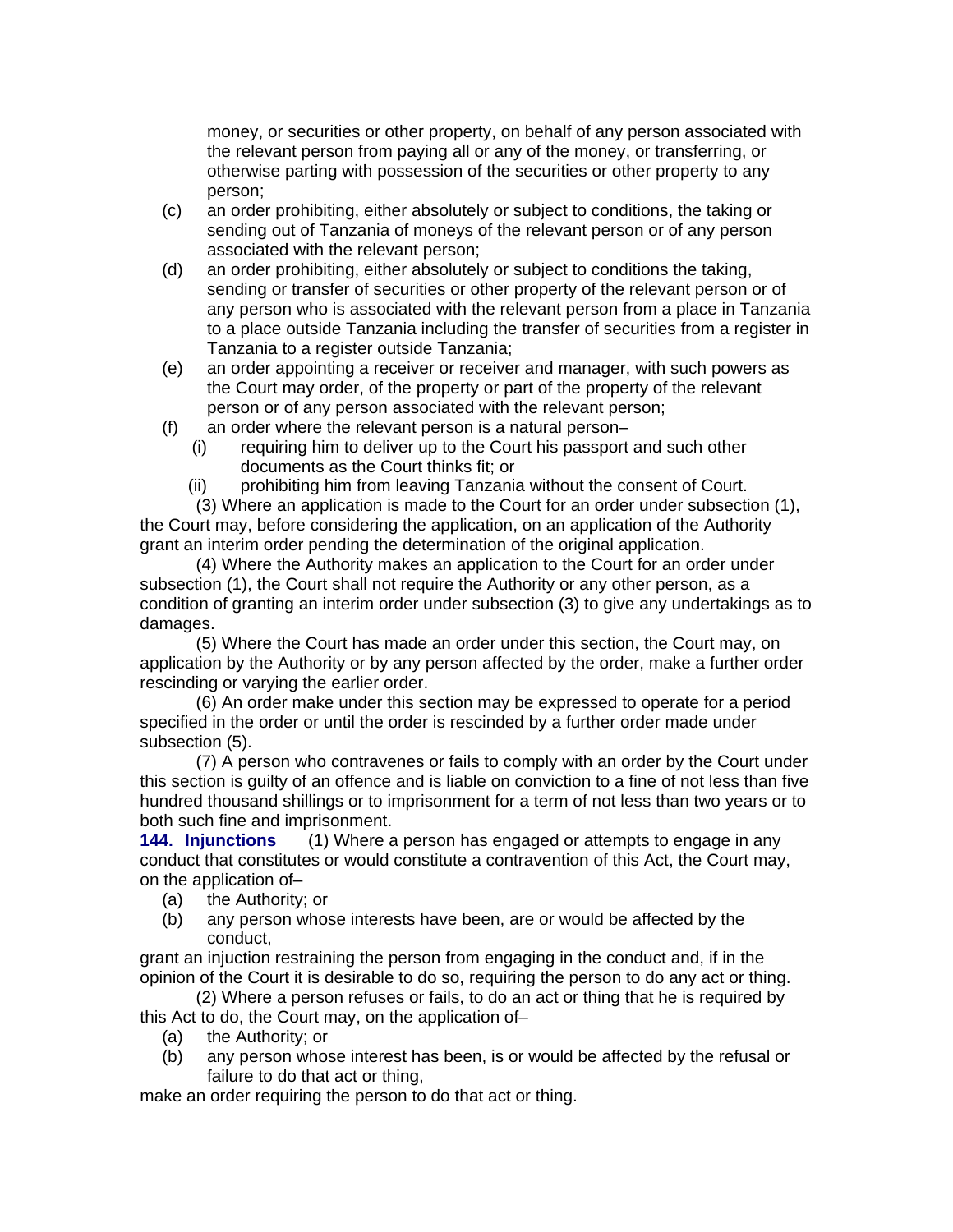money, or securities or other property, on behalf of any person associated with the relevant person from paying all or any of the money, or transferring, or otherwise parting with possession of the securities or other property to any person;

- (c) an order prohibiting, either absolutely or subject to conditions, the taking or sending out of Tanzania of moneys of the relevant person or of any person associated with the relevant person;
- (d) an order prohibiting, either absolutely or subject to conditions the taking, sending or transfer of securities or other property of the relevant person or of any person who is associated with the relevant person from a place in Tanzania to a place outside Tanzania including the transfer of securities from a register in Tanzania to a register outside Tanzania;
- (e) an order appointing a receiver or receiver and manager, with such powers as the Court may order, of the property or part of the property of the relevant person or of any person associated with the relevant person;
- (f) an order where the relevant person is a natural person–
	- (i) requiring him to deliver up to the Court his passport and such other documents as the Court thinks fit; or
	- (ii) prohibiting him from leaving Tanzania without the consent of Court.

(3) Where an application is made to the Court for an order under subsection (1), the Court may, before considering the application, on an application of the Authority grant an interim order pending the determination of the original application.

(4) Where the Authority makes an application to the Court for an order under subsection (1), the Court shall not require the Authority or any other person, as a condition of granting an interim order under subsection (3) to give any undertakings as to damages.

(5) Where the Court has made an order under this section, the Court may, on application by the Authority or by any person affected by the order, make a further order rescinding or varying the earlier order.

(6) An order make under this section may be expressed to operate for a period specified in the order or until the order is rescinded by a further order made under subsection (5).

(7) A person who contravenes or fails to comply with an order by the Court under this section is guilty of an offence and is liable on conviction to a fine of not less than five hundred thousand shillings or to imprisonment for a term of not less than two years or to both such fine and imprisonment.

**144. Injunctions** (1) Where a person has engaged or attempts to engage in any conduct that constitutes or would constitute a contravention of this Act, the Court may, on the application of–

- (a) the Authority; or
- (b) any person whose interests have been, are or would be affected by the conduct,

grant an injuction restraining the person from engaging in the conduct and, if in the opinion of the Court it is desirable to do so, requiring the person to do any act or thing.

(2) Where a person refuses or fails, to do an act or thing that he is required by this Act to do, the Court may, on the application of–

- (a) the Authority; or
- (b) any person whose interest has been, is or would be affected by the refusal or failure to do that act or thing,

make an order requiring the person to do that act or thing.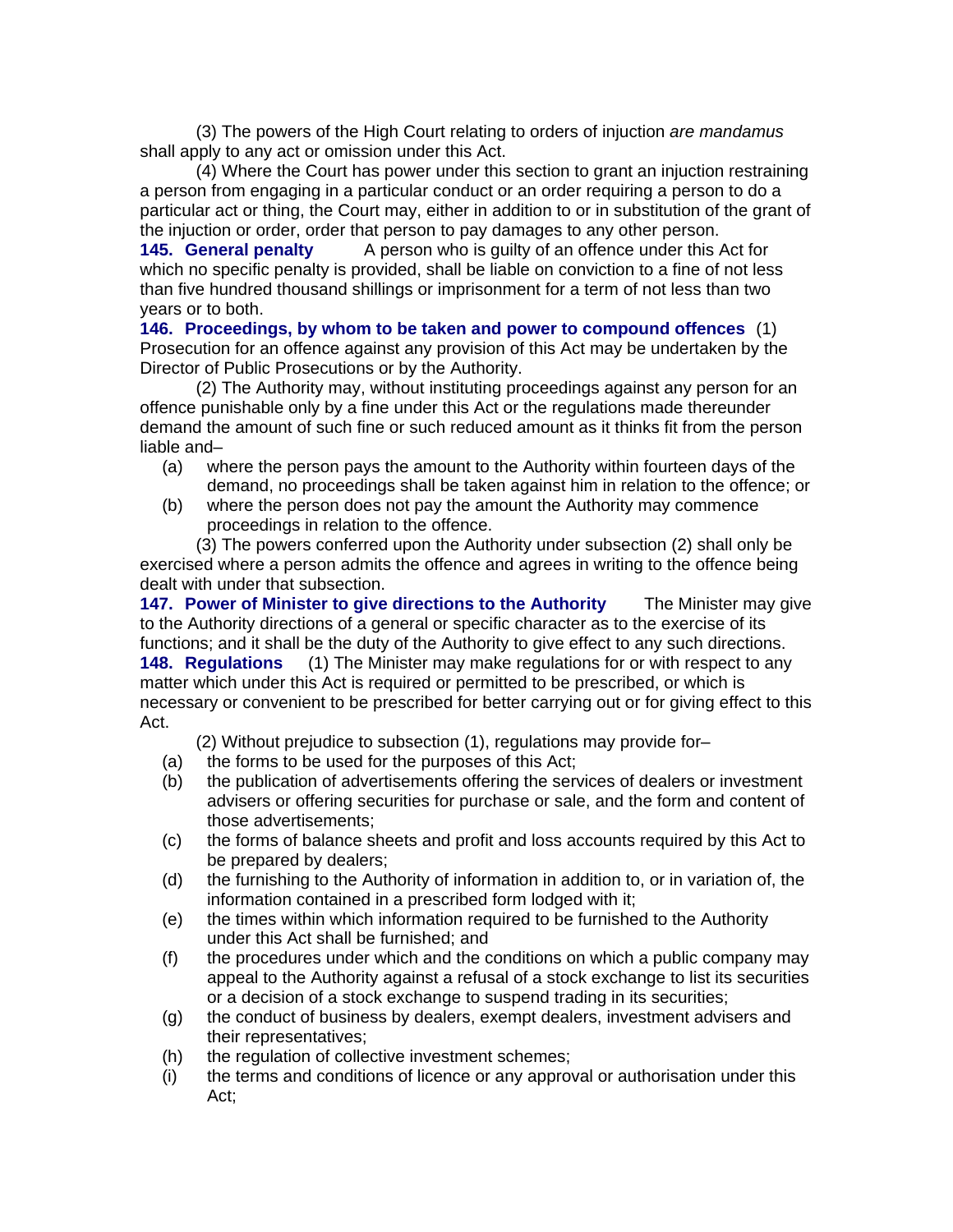(3) The powers of the High Court relating to orders of injuction *are mandamus* shall apply to any act or omission under this Act.

(4) Where the Court has power under this section to grant an injuction restraining a person from engaging in a particular conduct or an order requiring a person to do a particular act or thing, the Court may, either in addition to or in substitution of the grant of the injuction or order, order that person to pay damages to any other person.

**145. General penalty** A person who is guilty of an offence under this Act for which no specific penalty is provided, shall be liable on conviction to a fine of not less than five hundred thousand shillings or imprisonment for a term of not less than two years or to both.

**146. Proceedings, by whom to be taken and power to compound offences** (1) Prosecution for an offence against any provision of this Act may be undertaken by the Director of Public Prosecutions or by the Authority.

(2) The Authority may, without instituting proceedings against any person for an offence punishable only by a fine under this Act or the regulations made thereunder demand the amount of such fine or such reduced amount as it thinks fit from the person liable and–

- (a) where the person pays the amount to the Authority within fourteen days of the demand, no proceedings shall be taken against him in relation to the offence; or
- (b) where the person does not pay the amount the Authority may commence proceedings in relation to the offence.

(3) The powers conferred upon the Authority under subsection (2) shall only be exercised where a person admits the offence and agrees in writing to the offence being dealt with under that subsection.

**147. Power of Minister to give directions to the Authority** The Minister may give to the Authority directions of a general or specific character as to the exercise of its functions; and it shall be the duty of the Authority to give effect to any such directions. **148. Regulations** (1) The Minister may make regulations for or with respect to any

matter which under this Act is required or permitted to be prescribed, or which is necessary or convenient to be prescribed for better carrying out or for giving effect to this Act.

(2) Without prejudice to subsection (1), regulations may provide for–

- (a) the forms to be used for the purposes of this Act;
- (b) the publication of advertisements offering the services of dealers or investment advisers or offering securities for purchase or sale, and the form and content of those advertisements;
- (c) the forms of balance sheets and profit and loss accounts required by this Act to be prepared by dealers;
- (d) the furnishing to the Authority of information in addition to, or in variation of, the information contained in a prescribed form lodged with it;
- (e) the times within which information required to be furnished to the Authority under this Act shall be furnished; and
- (f) the procedures under which and the conditions on which a public company may appeal to the Authority against a refusal of a stock exchange to list its securities or a decision of a stock exchange to suspend trading in its securities;
- (g) the conduct of business by dealers, exempt dealers, investment advisers and their representatives;
- (h) the regulation of collective investment schemes;
- (i) the terms and conditions of licence or any approval or authorisation under this Act;